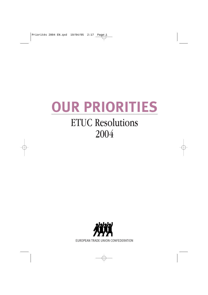# **OUR PRIORITIES** ETUC Resolutions 2004

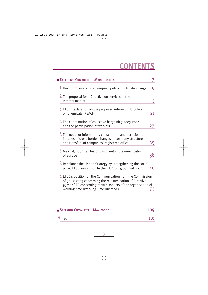### **CONTENTS**

| <b>EXECUTIVE COMMITTEE - MARCH 2004</b>                                                                                                                                                                                                    | 7  |
|--------------------------------------------------------------------------------------------------------------------------------------------------------------------------------------------------------------------------------------------|----|
| I. Union proposals for a European policy on climate change                                                                                                                                                                                 | 9  |
| $2$ . The proposal for a Directive on services in the<br>internal market                                                                                                                                                                   | 13 |
| $\beta$ . ETUC Declaration on the proposed reform of EU policy<br>on Chemicals (REACH)                                                                                                                                                     | 21 |
| 4. The coordination of collective bargaining 2003-2004<br>and the participation of workers                                                                                                                                                 | 27 |
| $5$ . The need for information, consultation and participation<br>in cases of cross-border changes in company structures<br>and transfers of companies' registered offices                                                                 | 35 |
| $\mathfrak b$ . May 1st, 2004: an historic moment in the reunification<br>of Europe                                                                                                                                                        | 38 |
| 7. Rebalance the Lisbon Strategy by strengthening the social<br>pillar. ETUC Resolution to the EU Spring Summit 2004                                                                                                                       | 40 |
| <b>&amp; ETUC's position on the Communication from the Commission</b><br>of 30-12-2003 concerning the re-examination of Directive<br>93/104/ EC concerning certain aspects of the organisation of<br>working time (Working Time Directive) |    |

**3**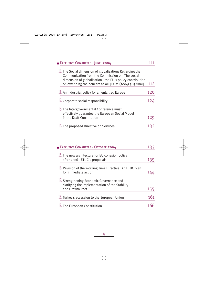| <b>EXECUTIVE COMMITTEE - JUNE 2004</b>                                                                                                                                                                                                   |     |
|------------------------------------------------------------------------------------------------------------------------------------------------------------------------------------------------------------------------------------------|-----|
| $10$ . The Social dimension of globalisation: Regarding the<br>Communication from the Commission on 'The social<br>dimension of globalisation - the EU's policy contribution<br>on extending the benefits to all' [COM (2004) 383 final] | 112 |
| II. An industrial policy for an enlarged Europe                                                                                                                                                                                          | 120 |
| 12. Corporate social responsibility                                                                                                                                                                                                      | 124 |
| $13$ . The Intergovernmental Conference must<br>effectively guarantee the European Social Model<br>in the Draft Constitution                                                                                                             | 129 |
| $14$ . The proposed Directive on Services                                                                                                                                                                                                |     |
|                                                                                                                                                                                                                                          |     |

| <b>EXECUTIVE COMMITTEE - OCTOBER 2004</b>                                                                      | 133 |
|----------------------------------------------------------------------------------------------------------------|-----|
| $15$ . The new architecture for EU cohesion policy<br>after 2006 - ETUC's proposals                            | 135 |
| $16$ . Revision of the Working Time Directive: An ETUC plan<br>for immediate action                            |     |
| 17. Strengthening Economic Governance and<br>clarifying the implementation of the Stability<br>and Growth Pact | 155 |
| $18$ . Turkey's accession to the European Union                                                                | 161 |
| 19. The European Constitution                                                                                  |     |
|                                                                                                                |     |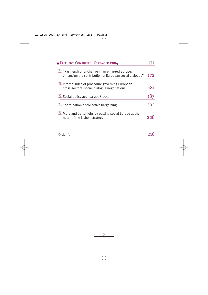| <b>EXECUTIVE COMMITTEE - DECEMBER 2004</b>                                                                      |     |
|-----------------------------------------------------------------------------------------------------------------|-----|
| $20.$ "Partnership for change in an enlarged Europe:<br>enhancing the contribution of European social dialogue" | 172 |
| $2l$ . Internal rules of procedure governing European<br>cross-sectoral social dialogue negotiations            | 181 |
| $22$ . Social policy agenda 2006-2010                                                                           | 187 |
| $23$ . Coordination of collective bargaining                                                                    | 202 |
| $24$ . More and better jobs by putting social Europe at the<br>heart of the Lisbon strategy                     |     |

ř.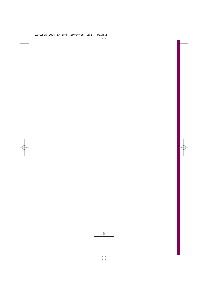Ŷ.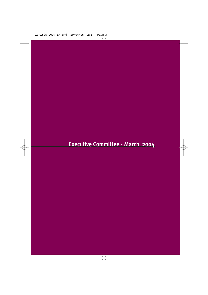**Executive Committee - March 2004**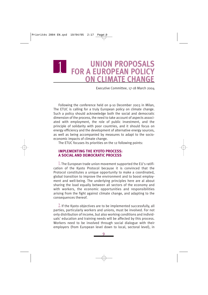### **UNION PROPOSALS FOR A EUROPEAN POLICY ON CLIMATE CHANGE** 1

Executive Committee, 17-18 March 2004

Following the conference held on 9-10 December 2003 in Milan, The ETUC is calling for a truly European policy on climate change. Such a policy should acknowledge both the social and democratic dimension of the process, the need to take account of aspects associated with employment, the role of public investment, and the principle of solidarity with poor countries, and it should focus on energy efficiency and the development of alternative energy sources, as well as being accompanied by measures to adapt to the socioeconomic impacts of climate change.

The ETUC focuses its priorities on the 12 following points:

#### **IMPLEMENTING THE KYOTO PROCESS: A SOCIAL AND DEMOCRATIC PROCESS**

**1.** The European trade union movement supported the EU's ratification of the Kyoto Protocol because it is convinced that the Protocol constitutes a unique opportunity to make a coordinated, global transition to improve the environment and to boost employment and well-being. The underlying principles here are al about sharing the load equally between all sectors of the economy and with workers, the economic opportunities and responsibilities arising from the fight against climate change, and adapting to the consequences thereof.

**2.** If the Kyoto objectives are to be implemented successfully, all parties, particularly workers and unions, must be involved. For not only distribution of income, but also working conditions and individuals' education and training needs will be affected by this process. Workers need to be involved through social dialogue with their employers (from European level down to local, sectoral level), in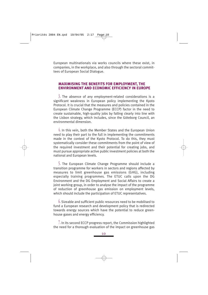European multinationals via works councils where these exist, in companies, in the workplace, and also through the sectoral committees of European Social Dialogue.

#### **MAXIMISING THE BENEFITS FOR EMPLOYMENT, THE ENVIRONMENT AND ECONOMIC EFFICIENCY IN EUROPE**

**3.** The absence of any employment-related considerations is a significant weakness in European policy implementing the Kyoto Protocol. It is crucial that the measures and policies contained in the European Climate Change Programme (ECCP) factor in the need to create sustainable, high-quality jobs by falling clearly into line with the Lisbon strategy, which includes, since the Göteborg Council, an environmental dimension.

**4.** In this vein, both the Member States and the European Union need to play their part to the full in implementing the commitments made in the context of the Kyoto Protocol. To do this, they must systematically consider these commitments from the point of view of the required investment and their potential for creating jobs, and must pursue appropriate active public investment policies at both the national and European levels.

**5.** The European Climate Change Programme should include a transition programme for workers in sectors and regions affected by measures to limit greenhouse gas emissions (GHG), including especially training programmes. The ETUC calls upon the DG Environment and the DG Employment and Social Affairs to create a joint working group, in order to analyse the impact of the programme of reduction of greenhouse gas emission on employment levels, which should include the participation of ETUC representatives.

**6.** Sizeable and sufficient public resources need to be mobilised to fund a European research and development policy that is redirected towards energy sources which have the potential to reduce greenhouse gases and energy efficiency.

**7.** In its second ECCP progress report, the Commission highlighted the need for a thorough evaluation of the impact on greenhouse gas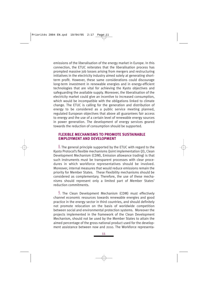emissions of the liberalisation of the energy market in Europe. In this connection, the ETUC reiterates that the liberalisation process has prompted massive job losses arising from mergers and restructuring initiatives in the electricity industry aimed solely at generating shortterm profit. However, these same considerations could discourage long-term investment in renewable energies and in energy-efficient technologies that are vital for achieving the Kyoto objectives and safeguarding the available supply. Moreover, the liberalisation of the electricity market could give an incentive to increased consumption, which would be incompatible with the obligations linked to climate change. The ETUC is calling for the generation and distribution of energy to be considered as a public service meeting planned, regulated European objectives that above all guarantees fair access to energy and the use of a certain level of renewable energy sources in power generation. The development of energy services geared towards the reduction of consumption should be supported.

#### **FLEXIBLE MECHANISMS TO PROMOTE SUSTAINABLE EMPLOYMENT AND DEVELOPMENT**

**8.** The general principle supported by the ETUC with regard to the Kyoto Protocol's flexible mechanisms (Joint implementation (JI), Clean Development Mechanism (CDM), Emission allowance trading) is that such instruments must be transparent processes with clear procedures in which workforce representatives should be involved. Moreover, internal measures that would reduce emissions remain the priority for Member States. These Flexibility mechanisms should be considered as complementary. Therefore, the use of these mechanisms should represent only a limited part of Member States' reduction commitments.

**9.** The Clean Development Mechanism (CDM) must effectively channel economic resources towards renewable energies and good practice in the energy sector in third countries, and should definitely not promote relocation on the basis of worldwide competition between social and environmental protection systems. Moreover the projects implemented in the framework of the Clean Development Mechanism, should not be used by the Member States to attain the aimed percentage of the gross national product used for the development assistance between now and 2010. The Workforce representa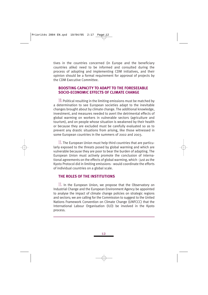tives in the countries concerned (in Europe and the beneficiary countries alike) need to be informed and consulted during the process of adopting and implementing CDM initiatives, and their opinion should be a formal requirement for approval of projects by the CDM Executive Committee.

#### **BOOSTING CAPACITY TO ADAPT TO THE FORESEEABLE SOCIO-ECONOMIC EFFECTS OF CLIMATE CHANGE**

**10.** Political resulting in the limiting emissions must be matched by a determination to see European societies adapt to the inevitable changes brought about by climate change. The additional knowledge, investment, and measures needed to avert the detrimental effects of global warming on workers in vulnerable sectors (agriculture and tourism), and on people whose situation is weakened by their health or because they are excluded must be carefully evaluated so as to prevent any drastic situations from arising, like those witnessed in some European countries in the summers of 2002 and 2003.

**11.** The European Union must help third countries that are particularly exposed to the threats posed by global warming and which are vulnerable because they are poor to bear the burden of adapting. The European Union must actively promote the conclusion of international agreements on the effects of global warming, which - just as the Kyoto Protocol did in limiting emissions - would coordinate the efforts of individual countries on a global scale.

#### **THE ROLES OF THE INSTITUTIONS**

**11.** In the European Union, we propose that the Observatory on Industrial Change and the European Environment Agency be appointed to analyse the impact of climate change policies on strategic regions and sectors; we are calling for the Commission to suggest to the United Nations Framework Convention on Climate Change (UNFCCC) that the International Labour Organisation (ILO) be involved in the Kyoto process.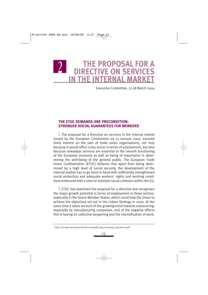## <sup>2</sup> **THE PROPOSAL FOR A DIRECTIVE ON SERVICES IN THE INTERNAL MARKET**

Executive Committee, 17-18 March 2004

#### **THE ETUC DEMANDS ONE PRECONDITION: STRONGER SOCIAL GUARANTEES FOR WORKERS**

**1.** The proposal for a Directive on services in the internal market issued by the European Commission on 13 January 2004<sup>1</sup> aroused lively interest on the part of trade union organisations, not only because it would affect a key sector in terms of employment, but also because nowadays services are essential to the smooth functioning of the European economy as well as being of importance in determining the well-being of the general public. The European Trade Union Confederation (ETUC) believes that apart from being determined by a high level of social security, the development of the internal market has to go hand in hand with sufficiently strengthened social protection and adequate workers' rights and working conditions embraced with a view to maintain social cohesion within the EU.

**2.** ETUC has examined the proposal for a directive and recognises the major growth potential in terms of employment in these sectors, especially in the future Member States, which could help the Union to achieve the objectives set out in the Lisbon Strategy in 2000. At the same time it takes account of the growing trend towards outsourcing, especially by manufacturing companies, and of the negative effects this is having on collective bargaining and the intensification of work.

http://europa.eu.int/eur-lex/en/com/pdf/2004/com2004\_0002en01.pdf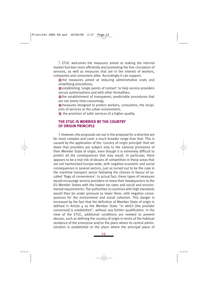**3.** ETUC welcomes the measures aimed at making the internal market function more efficiently and promoting the free circulation of services, as well as measures that are in the interest of workers, companies and consumers alike. Accordingly it can support:

■ the measures aimed at reducing administrative costs and simplifying procedures;

■ establishing 'single points of contact' to help service providers secure authorisations and with other formalities;

 $\blacksquare$  the establishment of transparent, predictable procedures that are not overly time-consuming;

■ measures designed to protect workers, consumers, the recipients of services or the urban environment;

 $\blacksquare$  the provision of safer services of a higher quality.

#### **THE ETUC IS WORRIED BY THE COUNTRY OF ORIGIN PRINCIPLE**

**4.** However, the proposals set out in the proposal for a directive are far more complex and cover a much broader range than that. This is caused by the application of the 'country of origin principle' that set down that providers are subject only to the national provisions of their Member State of origin, even though it is extremely difficult to predict all the consequences that may result. In particular, there appears to be a real risk of abuses of competition in those areas that are not harmonised Europe-wide, with negative economic and social consequences in several sectors, just as turned out to be the case in the maritime transport sector following the choices in favour of socalled 'flags of convenience'. In actual fact, these types of measures would encourage service providers to move their headquarters to the EU Member States with the lowest tax rates and social and environmental requirements. The authorities in countries with high standards would then be under pressure to lower them, with negative consequences for the environment and social cohesion. This danger is increased by the fact that the definition of Member State of origin is defined in Article  $4$  as the Member State "in which [the provider concerned] is established", without any further qualification. In the view of the ETUC, additional conditions are needed to prevent abuses, such as defining the country of origin in terms of the habitual residence of the enterprise and/or the place where its central administration is established or the place where the principal place of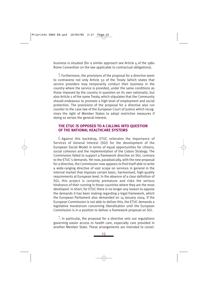business is situated (for a similar approach see Article 4 of the 1980 Rome Convention on the law applicable to contractual obligations).

**5.** Furthermore, the provisions of the proposal for a directive seem to contravene not only Article 50 of the Treaty (which states that service providers may temporarily conduct their business in the country where the service is provided, under the same conditions as those imposed by the country in question on its own nationals), but also Article 2 of the same Treaty, which stipulates that the Community should endeavour to promote a high level of employment and social protection. The provisions of the proposal for a directive also run counter to the case law of the European Court of Justice which recognises the right of Member States to adopt restrictive measures if doing so serves the general interest.

#### **THE ETUC IS OPPOSED TO A CALLING INTO QUESTION OF THE NATIONAL HEALTHCARE SYSTEMS**

**6.** Against this backdrop, ETUC reiterates the importance of Services of General Interest (SGI) for the development of the European Social Model in terms of equal opportunities for citizens, social cohesion and the implementation of the Lisbon Strategy. The Commission failed to support a framework directive on SGI, contrary to the ETUC's demands. Yet now, paradoxically, with the new proposal for a directive, the Commission now appears to find itself able to write a wide-ranging directive of vast scope on services in general in the internal market that imposes certain basic, harmonised, high-quality requirements at European level. In the absence of a clear definition of SGI, this project is certainly premature and risks the serious hindrance of their running in those countries where they are the most developed. In short, for ETUC there is no longer any reason to oppose the demands it has been making regarding a legal framework, which the European Parliament also demanded on 14 January 2004. If the European Commission is not able to deliver this, the ETUC demands a legislative moratorium concerning liberalisation until the European Commission is in a position to deliver a framework proposal on SGI.

**7.** In particular, the proposal for a directive sets out regulations governing easier access to health care, especially care provided in another Member State. These arrangements are intended to consti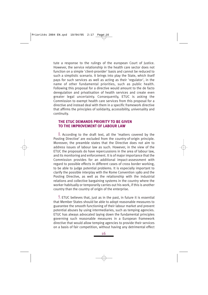tute a response to the rulings of the european Court of Justice. However, the service relationship in the health care sector does not function on a simple 'client-provider' basis and cannot be reduced to such a simplistic scenario. It brings into play the State, which itself pays for such services as well as acting as their 'regulator', in the name of other fundamental priorities, such as public health. Following this proposal for a directive would amount to the de facto deregulation and privatisation of health services and create even greater legal uncertainty. Consequently, ETUC is asking the Commission to exempt health care services from this proposal for a directive and instead deal with them in a specific framework directive that affirms the principles of solidarity, accessibility, universality and continuity.

#### **THE ETUC DEMANDS PRIORITY TO BE GIVEN TO THE IMPROVEMENT OF LABOUR LAW**

**8.** According to the draft text, all the 'matters covered by the Posting Directive' are excluded from the country-of-origin principle. Moreover, the preamble states that the Directive does not aim to address issues of labour law as such. However, in the view of the ETUC the proposals do have repercussions in the area of labour law, and its monitoring and enforcement. It is of major importance that the Commission provides for an additional impact-assessment with regard to possible effects in different cases of cross border working, to be able to judge potential problems. It is especially important to clarify the possible interplay with the Rome Convention 1980 and the Posting Directive, as well as the relationship with the industrial relations and collective bargaining systems in the country where the worker habitually or temporarily carries out his work, if this is another country than the country of origin of the enterprise.

**9.** ETUC believes that, just as in the past, in future it is essential that Member States should be able to adopt reasonable measures to guarantee the smooth functioning of their labour market and prevent potential abuses by using intermediaries, such as temping agencies. ETUC has always advocated laying down the fundamental principles governing such reasonable measures in a European framework directive that would allow temping agencies to provide their services on a basis of fair competition, without having any detrimental effect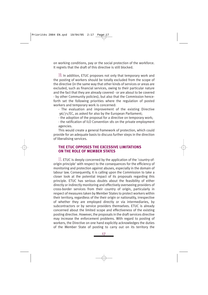on working conditions, pay or the social protection of the workforce. It regrets that the draft of this directive is still blocked.

**10.** In addition, ETUC proposes not only that temporary work and the posting of workers should be totally excluded from the scope of the directive (in the same way that other kinds of services or areas are excluded, such as financial services, owing to their particular nature and the fact that they are already covered - or are about to be covered - by other Community policies), but also that the Commission henceforth set the following priorities where the regulation of posted workers and temporary work is concerned:

- The evaluation and improvement of the existing Directive 96/71/EC, as asked for also by the European Parliament;

- the adoption of the proposal for a directive on temporary work;

- the ratification of ILO Convention 181 on the private employment agencies.

This would create a general framework of protection, which could provide for an adequate basis to discuss further steps in the direction of liberalising services.

#### **THE ETUC OPPOSES THE EXCESSIVE LIMITATIONS ON THE ROLE OF MEMBER STATES**

**11.** ETUC is deeply concerned by the application of the 'country-oforigin principle' with respect to the consequences for the efficiency of monitoring and protection against abuses, especially in the domain of labour law. Consequently, it is calling upon the Commission to take a closer look at the potential impact of its proposals regarding this principle. ETUC has serious doubts about the feasibility of either directly or indirectly monitoring and effectively overseeing providers of cross-border services from their country of origin, particularly in respect of measures taken by Member States to protect workers within their territory, regardless of the their origin or nationality, irrespective of whether they are employed directly or via intermediaries, by subcontractors or by service providers themselves. ETUC is already concerned about the limited scope and effectiveness of the existing posting directive. However, the proposals in the draft services directive may increase the enforcement problems. With regard to posting of workers, the Directive on one hand explicitly acknowledges the duties of the Member State of posting to carry out on its territory the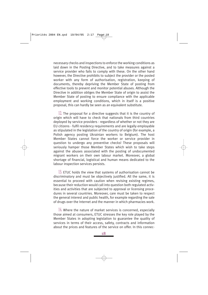necessary checks and inspections to enforce the working conditions as laid down in the Posting Directive, and to take measures against a service provider who fails to comply with these. On the other hand however, the Directive prohibits to subject the provider or the posted worker with any form of authorisation, registration, keeping of documents, thereby depriving the Member State of posting from effective tools to prevent and monitor potential abuses. Although the Directive in addition obliges the Member State of origin to assist the Member State of posting to ensure compliance with the applicable employment and working conditions, which in itself is a positive proposal, this can hardly be seen as an equivalent substitute.

**12.** The proposal for a directive suggests that it is the country of origin which will have to check that nationals from third countries deployed by service providers - regardless of whether or not they are EU citizens - fulfil residency requirements and are legally employable as stipulated in the legislation of the country of origin (for example, a Polish agency posting Ukrainian workers to Belgium). The host Member States cannot force the worker or service provider in question to undergo any preventive checks! These proposals will seriously hamper those Member States which wish to take steps against the abuses associated with the posting of undocumented migrant workers on their own labour market. Moreover, a global shortage of financial, logistical and human means dedicated to the labour inspection services persists.

**13.** ETUC holds the view that systems of authorisation cannot be discriminatory and must be objectively justified. All the same, it is essential to proceed with caution when revising existing regimes, because their reduction would call into question both regulated activities and activities that are subjected to approval or licensing procedures in several countries. Moreover, care must be taken to respect the general interest and public health, for example regarding the sale of drugs over the Internet and the manner in which pharmacies work.

**14.** Where the nature of market services is concerned, especially those aimed at consumers, ETUC stresses the key role played by the Member States in adopting legislation to guarantee the quality of services in terms of their access, safety, contracts and information about the prices and features of the service on offer. In this connec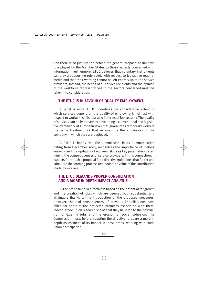tion there is no justification behind the general proposal to limit the role played by the Member States to those aspects concerned with information. Furthermore, ETUC believes that voluntary instruments can play a supporting role solely with respect to legislative requirements and that their wording cannot be left entirely up to the service providers; instead, the needs of all service recipients and the opinion of the workforce representatives in the sectors concerned must be taken into consideration.

#### **THE ETUC IS IN FAVOUR OF QUALITY EMPLOYMENT**

**15.** What is more, ETUC underlines the considerable extent to which services depend on the quality of employment, not just with respect to workers' skills, but also in terms of job security. The quality of services can be improved by developing a conventional and legislative framework at European level that guarantees temporary workers the same treatment as that received by the employees of the company in which they are deployed.

**16.** ETUC is happy that the Commission, in its Communication dating from December 2003, recognises the importance of lifelong learning and the updating of workers' skills as key parameters determining the competitiveness of service providers. In this connection, it expects from such a proposal for a directive guidelines that foster and stimulate the learning process and boost the value of the contribution made by workers.

#### **THE ETUC DEMANDS PROPER CONSULTATION AND A MORE IN DEPTH IMPACT ANALYSIS**

**17.** The proposal for a directive is based on the potential for growth and the creation of jobs, which are deemed both substantial and attainable thanks to the introduction of the proposed measures. However, the real consequences of previous liberalisations have fallen far short of the projected promises associated with them. Indeed, trade union research shows that they have led to the destruction of existing jobs and the erosion of social cohesion. The Commission must, before adopting the directive, prepare a more in depth assessment of its impact in these areas, working with trade union participation.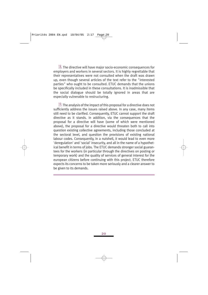**18.** The directive will have major socio-economic consequences for employers and workers in several sectors. It is highly regrettable that their representatives were not consulted when the draft was drawn up, even though several articles of the text refer to the "interested parties" who ought to be consulted. ETUC demands that the unions be specifically included in these consultations. It is inadmissible that the social dialogue should be totally ignored in areas that are especially vulnerable to restructuring.

**19.** The analysis of the impact of this proposal for a directive does not sufficiently address the issues raised above. In any case, many items still need to be clarified. Consequently, ETUC cannot support the draft directive as it stands. In addition, via the consequences that the proposal for a directive will have (some of which were mentioned above), the proposal for a directive would threaten both to call into question existing collective agreements, including those concluded at the sectoral level, and question the provisions of existing national labour codes. Consequently, in a nutshell, it would lead to even more 'deregulation' and 'social' insecurity, and all in the name of a hypothetical benefit in terms of jobs. The ETUC demands stronger social guarantees for the workers (in particular through the directives on posting or temporary work) and the quality of services of general interest for the european citizens before continuing with this project. ETUC therefore expects its concerns to be taken more seriously and a clearer answer to be given to its demands.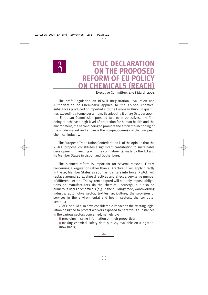

Executive Committee, 17-18 March 2004

The draft Regulation on REACH (Registration, Evaluation and Authorisation of Chemicals) applies to the 30,000 chemical substances produced or imported into the European Union in quantities exceeding 1 tonne per annum. By adopting it on 29 October 2003, the European Commission pursued two main objectives, the first being to achieve a high level of protection for human health and the environment, the second being to promote the efficient functioning of the single market and enhance the competitiveness of the European chemical industry.

The European Trade Union Confederation is of the opinion that the REACH proposal constitutes a significant contribution to sustainable development in keeping with the commitments made by the EU and its Member States in Lisbon and Gothenburg.

The planned reform is important for several reasons. Firstly, concerning a Regulation rather than a Directive, it will apply directly in the 25 Member States as soon as it enters into force. REACH will replace around 40 existing directives and affect a very large number of different sectors. The system adopted will not only impose obligations on manufacturers (in the chemical industry), but also on numerous users of chemicals (e.g. in the building trade, woodworking industry, automotive sector, textiles, agriculture, the provision of services in the environmental and health sectors, the computer sector…)

REACH should also have considerable impact on the existing legislation designed to protect workers exposed to hazardous substances in the various sectors concerned, namely by:

■ providing missing information on their properties;

■ making chemical safety data publicly available on a right-toknow basis;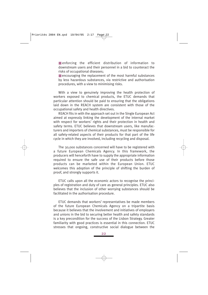■ enforcing the efficient distribution of information to downstream users and their personnel in a bid to counteract the risks of occupational diseases;

■ encouraging the replacement of the most harmful substances by less hazardous substances, via restrictive and authorisation procedures, with a view to minimising risks.

With a view to genuinely improving the health protection of workers exposed to chemical products, the ETUC demands that particular attention should be paid to ensuring that the obligations laid down in the REACH system are consistent with those of the occupational safety and health directives.

REACH fits in with the approach set out in the Single European Act aimed at expressly linking the development of the internal market with respect for workers' rights and their protection in health and safety terms. ETUC believes that downstream users, like manufacturers and importers of chemical substances, must be responsible for all safety-related aspects of their products for that part of the life cycle in which they are involved, including recycling and disposal.

The 30,000 substances concerned will have to be registered with a future European Chemicals Agency. In this framework, the producers will henceforth have to supply the appropriate information required to ensure the safe use of their products before those products can be marketed within the European Union. ETUC welcomes this adoption of the principle of shifting the burden of proof, and strongly supports it.

ETUC calls upon all the economic actors to recognise the principles of registration and duty of care as general principles. ETUC also believes that the inclusion of other worrying substances should be facilitated in the authorisation procedure.

ETUC demands that workers' representatives be made members of the future European Chemicals Agency on a tripartite basis because it believes that the involvement and initiatives of employers and unions in the bid to securing better health and safety standards is a key precondition for the success of the Lisbon Strategy. Greater familiarity with good practices is essential in this connection. ETUC stresses that ongoing, constructive social dialogue between the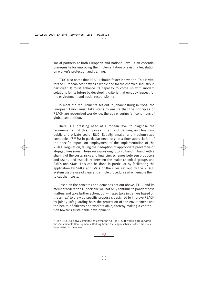social partners at both European and national level is an essential prerequisite for improving the implementation of existing legislation on worker's protection and training.

ETUC also notes that REACH should foster innovation. This is vital for the European economy as a whole and for the chemical industry in particular. It must enhance its capacity to come up with modern solutions for its future by developing criteria that embody respect for the environment and social responsibility.

To meet the requirements set out in Johannesburg in 2002, the European Union must take steps to ensure that the principles of REACH are recognised worldwide, thereby ensuring fair conditions of global competition.

There is a pressing need at European level to diagnose the requirements that this imposes in terms of defining and financing public and private sector R&D. Equally, smaller and medium-sized companies (SMEs) in particular need to gain a finer appreciation of the specific impact on employment of the implementation of the REACH Regulation, failing their adoption of appropriate preventive or stopgap measures. These measures ought to go hand in hand with a sharing of the costs, risks and financing schemes between producers and users, and especially between the major chemical groups and SMEs and SMIs. This can be done in particular by facilitating the application by SMEs and SMIs of the rules set out by the REACH system via the use of clear and simple procedures which enable them to cut their costs.

Based on the concerns and demands set out above, ETUC and its member federations undertake will not only continue to ponder these matters and take further action, but will also take initiatives based on the annex<sup>1</sup> to draw up specific proposals designed to improve REACH by jointly safeguarding both the protection of the environment and the health of citizens and workers alike, thereby making a contribution towards sustainable development.

 $1$  The ETUC executive commitee has given the Ad Hoc REACH working group within the «Sustainable Development» Working Group the responsability further the questions raised in the annex.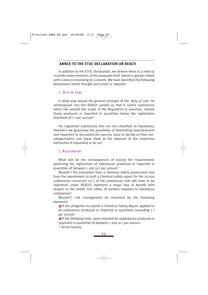#### **ANNEX TO THE ETUC DECLARATION ON REACH**

In addition to the ETUC declaration, we believe there is a need to consider some elements of the proposed draft reform in greater depth with a view to improving its contents. We have identified the following dimensions where thought and action is required:

#### 1. DUTY OF CARE

In what way should the general principle of the 'duty of care' be reintroduced into the REACH system so that it covers substances which fall outside the scope of the Regulation in question, namely those produced or imported in quantities below the registration threshold of 1 t per annum?

For registered substances that are not classified as hazardous, shouldn't we guarantee the possibility of demanding manufacturers and importers to document the sources used to decide on that noncategorisation and place them at the disposal of the respective authorities if requested to do so?

#### 2. REGISTRATION

What will be the consequences of easing the requirements governing the registration of substances produced or imported in quantities of between 1 and 10 t per annum?

Wouldn't the exemption from a chemical safety assessment and from the requirement to draft a chemical safety report for the 20,000 substances concerned  $\left(2/3\right)$  of the substances that will have to be registered under REACH) represent a major loss of benefit with respect to the health and safety of workers exposed to hazardous substances?

Wouldn't risk management be improved by the following elements?

■ If the obligation to submit a Chemical Safety Report applied to all substances produced or imported in quantities exceeding 1 t per annum.

■ If the following tests were required for substances produced or imported in quantities of between 1 and 10 t per annum:

**1.** Acute toxicity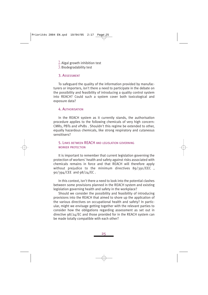- **2.** Algal growth inhibition test
- **3.** Biodegradability test

#### 3. ASSESSMENT

To safeguard the quality of the information provided by manufacturers or importers, isn't there a need to participate in the debate on the possibility and feasibility of introducing a quality control system into REACH? Could such a system cover both toxicological and exposure data?

#### 4. AUTHORISATION

In the REACH system as it currently stands, the authorisation procedure applies to the following chemicals of very high concern: CMRs, PBTs and vPvBs . Shouldn't this regime be extended to other, equally hazardous chemicals, like strong respiratory and cutaneous sensitisers?

#### 5. LINKS BETWEEN REACH AND LEGISLATION GOVERNING WORKER PROTECTION

It is important to remember that current legislation governing the protection of workers' health and safety against risks associated with chemicals remains in force and that REACH will therefore apply without prejudice to the minimum directives 89/391/EEC, 90/394/CEE and 98/24/EC .

In this context, isn't there a need to look into the potential clashes between some provisions planned in the REACH system and existing legislation governing health and safety in the workplace?

Should we consider the possibility and feasibility of introducing provisions into the REACH that aimed to shore up the application of the various directives on occupational health and safety? In particular, might we envisage getting together with the relevant parties to consider how the obligations regarding assessment as set out in directive 98/24/EC and those provided for in the REACH system can be made totally compatible with each other?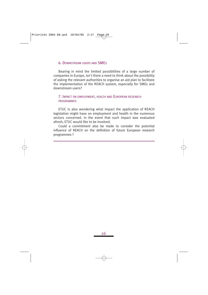#### 6. DOWNSTREAM USERS AND SMES

Bearing in mind the limited possibilities of a large number of companies in Europe, isn't there a need to think about the possibility of asking the relevant authorities to organise an aid plan to facilitate the implementation of the REACH system, especially for SMEs and downstream users?

#### 7. IMPACT ON EMPLOYMENT, HEALTH AND EUROPEAN RESEARCH PROGRAMMES

ETUC is also wondering what impact the application of REACH legislation might have on employment and health in the numerous sectors concerned. In the event that such impact was evaluated afresh, ETUC would like to be involved.

Could a commitment also be made to consider the potential influence of REACH on the definition of future European research programmes ?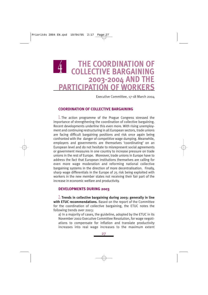## <sup>4</sup> **THE COORDINATION OF COLLECTIVE BARGAINING 2003-2004 AND THE PARTICIPATION OF WORKERS**

Executive Committee, 17-18 March 2004

#### **COORDINATION OF COLLECTIVE BARGAINING**

**1.** The action programme of the Prague Congress stressed the importance of strengthening the coordination of collective bargaining. Recent developments underline this even more. With rising unemployment and continuing restructuring in all European sectors, trade unions are facing difficult bargaining positions and risk once again being confronted with the danger of competitive wage dumping. Meanwhile, employers and governments are themselves 'coordinating' on an European level and do not hesitate to misrepresent social agreements or government measures in one country to increase pressure on trade unions in the rest of Europe. Moreover, trade unions in Europe have to address the fact that European institutions themselves are calling for even more wage moderation and reforming national collective bargaining systems in the direction of more decentralisation. Finally, sharp wage differentials in the Europe of 25 risk being exploited with workers in the new member states not receiving their fair part of the increase in economic welfare and productivity.

#### **DEVELOPMENTS DURING 2003**

**2. Trends in collective bargaining during 2003: generally in line with ETUC recommendations.** Based on the report of the Committee for the coordination of collective bargaining, the ETUC notes the following trends over 2003:

a) In a majority of cases, the guideline, adopted by the ETUC in its November 2002 Executive Committee Resolution, for wage negotiations to compensate for inflation and translate productivity increases into real wage increases to the maximum extent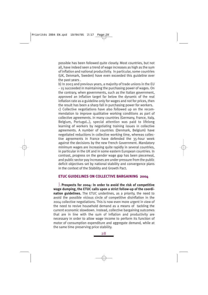possible has been followed quite closely. Most countries, but not all, have indeed seen a trend of wage increases as high as the sum of inflation and national productivity. In particular, some countries (UK, Denmark, Sweden) have even exceeded this guideline over the past years .

b) In 2003 and previous years, a majority of trade unions in the EU – 15 succeeded in maintaining the purchasing power of wages. On the contrary, when governments, such as the Italian government, approved an inflation target far below the dynamic of the real inflation rate as a guideline only for wages and not for prices, then the result has been a sharp fall in purchasing power for workers.

c) Collective negotiations have also followed up on the recommendation to improve qualitative working conditions as part of collective agreements. In many countries (Germany, France, Italy, Belgium, Portugal…), special attention was paid to lifelong learning of workers by negotiating training issues in collective agreements. A number of countries (Denmark, Belgium) have negotiated reductions in collective working time, whereas collective agreements in France have defended the 35-hour week against the decisions by the new French Government. Mandatory minimum wages are increasing quite rapidly in several countries, in particular in the UK and in some eastern European countries. In contrast, progress on the gender wage gap has been piecemeal, and public sector pay increases are under pressure from the public deficit objectives set by national stability and convergence plans in the context of the Stability and Growth Pact.

#### **ETUC GUIDELINES ON COLLECTIVE BARGAINING 2004**

**3. Prospects for 2004: In order to avoid the risk of competitive wage dumping, the ETUC calls upon a strict follow-up of the coordination guidelines.** The ETUC underlines, as a priority, the need to avoid the possible vicious circle of competitive disinflation in the 2004 collective negotiations. This is now even more urgent in view of the need to revive household demand as a means of tackling the current economic slowdown. Instead, collective bargaining outcomes that are in line with the sum of inflation and productivity are necessary in order to allow wage income to perform its function of motor of consumption expenditure and aggregate demand, while at the same time preserving price stability.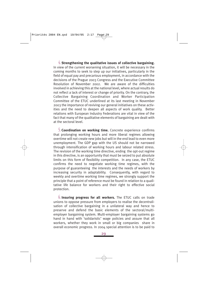**4. Strengthening the qualitative issues of collective bargaining.** In view of the current worsening situation, it will be necessary in the coming months to seek to step up our initiatives, particularly in the field of equal pay and precarious employment, in accordance with the decisions of the Prague 2003 Congress and the Executive Committee Resolution of November 2002. We are aware of the difficulties involved in achieving this at the national level, where actual results do not reflect a lack of interest or change of priority. On the contrary, the Collective Bargaining Coordination and Worker Participation Committee of the ETUC underlined at its last meeting in November 2003 the importance of reviving our general initiatives on these activities and the need to deepen all aspects of work quality. Better relations with European Industry Federations are vital in view of the fact that many of the qualitative elements of bargaining are dealt with at the sectoral level.

**5. Coordination on working time.** Concrete experience confirms that prolonging working hours and more liberal regimes allowing overtime will not create new jobs but will in the end lead to even more unemployment. The GDP gap with the US should not be narrowed through intensification of working hours and labour related stress. The revision of the working time directive, ending the opt-out regime in this directive, is an opportunity that must be seized to put absolute limits on this form of flexibility competition. In any case, the ETUC confirms the need to negotiate working time regimes, with the purpose of guaranteeing the interests and the needs of workers by increasing security in adaptability. Consequently, with regard to weekly and overtime working time regimes, we strongly support the principle that a point of reference must be found in relation to a qualitative life balance for workers and their right to effective social protection.

**6. Insuring progress for all workers.** The ETUC calls on trade unions to oppose pressure from employers to realise the decentralisation of collective bargaining in a unilateral way and hence to preserve and defend the basic elements of the sectoral/multiemployer bargaining system. Multi-employer bargaining systems go hand in hand with 'solidaristic' wage policies and assure that all workers, whether they work in small or big companies share in overall economic progress. In 2004 special attention is to be paid to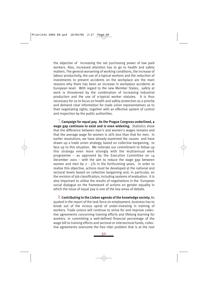the objective of increasing the net purchasing power of low paid workers. Also, increased attention has to go to health and safety matters. The general worsening of working conditions, the increase of labour productivity, the use of a-typical workers and the reduction of investments to prevent accidents on the workplace are the main reasons why there has been an increase in workplace accidents at European level. With regard to the new Member States, safety at work is threatened by the combination of increasing industrial production and the use of a-typical worker statutes. It is thus necessary for us to focus on health and safety protection as a priority and demand clear information for trade union representatives as to their negotiating rights, together with an effective system of control and inspection by the public authorities.

**7. Campaign for equal pay. As the Prague Congress underlined, a wage gap continues to exist and is even widening.** Statistics show that the difference between men's and women's wages remains and that the average wage for women is 16% less than that for men. In earlier resolutions, we have already examined the causes and have drawn up a trade union strategy, based on collective bargaining, to face up to this situation. We reiterate our commitment to follow up this strategy even more strongly with the multiannual work programme – as approved by the Executive Committee on 14 December 2001 – with the aim to reduce the wage gap between women and men by 2 - 5% in the forthcoming years. In order to realise this objective, actions must be developed at the national and sectoral levels based on collective bargaining and, in particular, on the revision of job classification, including systems of evaluation. It is also important to utilise the results of negotiations in the European social dialogue on the framework of actions on gender equality in which the issue of equal pay is one of the key areas of debate.

**8. Contributing to the Lisbon agenda of the knowledge society.** As quoted in the report of the task force on employment, business has to break out of the vicious spiral of under-investing in training of workers. Trade unions will continue to strive for and improve collective agreements concerning training efforts and lifelong learning for workers. In committing a well-defined financial percentage of the wage bill to training efforts and sectoral or intersectoral funds, collective agreements overcome the free rider problem that is at the root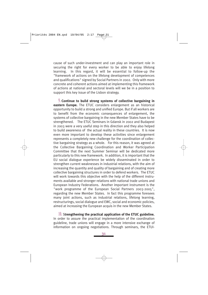cause of such under-investment and can play an important role in securing the right for every worker to be able to enjoy lifelong learning. In this regard, it will be essential to follow-up the "framework of actions on the lifelong development of competences and qualifications" signed by Social Partners in 2002. Only with more concrete and coherent actions aimed at implementing this framework of actions at national and sectoral levels will we be in a position to support this key issue of the Lisbon strategy.

**9. Continue to build strong systems of collective bargaining in eastern Europe.** The ETUC considers enlargement as an historical opportunity to build a strong and unified Europe. But if all workers are to benefit from the economic consequences of enlargement, the systems of collective bargaining in the new Member States have to be strengthened. The ETUC Seminars in Gdansk in 2002 and Budapest in 2003 were a very useful step in this direction and they also helped to build awareness of the actual reality in these countries. It is now even more important to develop these activities since enlargement represents a completely new challenge for the coordination of collective bargaining strategy as a whole. For this reason, it was agreed at the Collective Bargaining Coordination and Worker Participation Committee that the next Summer Seminar will be dedicated more particularly to this new framework. In addition, it is important that the EU social dialogue experience be widely disseminated in order to strengthen current weaknesses in industrial relations, with the aim of increasing the quantity and quality of bargaining and of creating more collective bargaining structures in order to defend workers. The ETUC will work towards this objective with the help of the different instruments available and stronger relations with national trade unions and European Industry Federations. Another important instrument is the "work programme of the European Social Partners 2003-2005", regarding the new Member States. In fact this programme foresees many joint actions, such as industrial relations, lifelong learning, restructurings, social dialogue and EWC, social and economic policies, aimed at increasing the European acquis in the new Member States.

**10.** S**trengthening the practical application of the ETUC guideline.** In order to assure the practical implementation of the coordination guideline, trade unions will engage in a more intensive exchange of information on ongoing negotiations. Through seminars, the ETUI-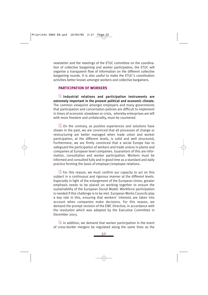newsletter and the meetings of the ETUC committee on the coordination of collective bargaining and worker participation, the ETUC will organise a transparent flow of information on the different collective bargaining rounds. It is also useful to make the ETUC's coordination activities better known amongst workers and collective bargainers.

#### **PARTICIPATION OF WORKERS**

**11. Industrial relations and participation instruments are extremely important in the present political and economic climate.** The common viewpoint amongst employers and many governments that participation and concertation policies are difficult to implement in times of economic slowdown or crisis, whereby enterprises are left with more freedom and unilaterality, must be countered.

**12.** On the contrary, as positive experiences and solutions have shown in the past, we are convinced that all processes of change or restructuring are better managed when trade union and worker participation, at the different levels, is solid and well structured, Furthermore, we are firmly convinced that a social Europe has to safeguard the participation of workers and trade unions in plants and companies at European level companies. Guarantors of this are information, consultation and worker participation. Workers must be informed and consulted fully and in good time as a standard and daily practice forming the basis of employer/employee relations.

**13.** For this reason, we must confirm our capacity to act on this subject in a continuous and rigorous manner at the different levels. Especially in light of the enlargement of the European Union, greater emphasis needs to be placed on working together to ensure the sustainability of the European Social Model. Workforce participation is needed if this challenge is to be met. European Works Councils play a key role in this, ensuring that workers' interests are taken into account when companies make decisions. For this reason, we demand the prompt revision of the EWC Directive, in accordance with the resolution which was adopted by the Executive Committee in December 2003.

**14.** In addition, we demand that worker participation in the event of cross-border mergers be regulated along the same lines as the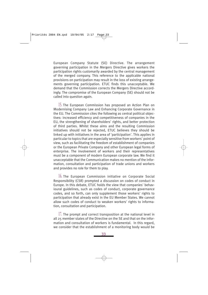European Company Statute (SE) Directive. The arrangement governing participation in the Mergers Directive gives workers the participation rights customarily awarded by the central management of the merged company. This reference to the applicable national provisions on participation may result in the loss of existing arrangements governing participation. ETUC finds this unacceptable. We demand that the Commission corrects the Mergers Directive accordingly. The compromise of the European Company (SE) should not be called into question again.

**15.** The European Commission has proposed an Action Plan on Modernising Company Law and Enhancing Corporate Governance in the EU. The Commission cites the following as central political objectives: increased efficiency and competitiveness of companies in the EU, the strengthening of shareholders' rights, and better protection of third parties. Whilst these aims and the resulting Commission initiatives should not be rejected, ETUC believes they should be linked up with initiatives in the area of 'participation'. This applies in particular to topics that are especially sensitive from workers' point of view, such as facilitating the freedom of establishment of companies or the European Private Company and other European legal forms of enterprise. The involvement of workers and their representatives must be a component of modern European corporate law. We find it unacceptable that the Communication makes no mention of the information, consultation and participation of trade unions and workers and provides no role for them to play.

**16.** The European Commission initiative on Corporate Social Responsibility (CSR) prompted a discussion on codes of conduct in Europe. In this debate, ETUC holds the view that companies' behavioural guidelines, such as codes of conduct, corporate governance codes, and so forth, can only supplement those workers' rights to participation that already exist in the EU Member States. We cannot allow such codes of conduct to weaken workers' rights to information, consultation and participation.

**17.** The prompt and correct transposition at the national level in all 25 member states of the Directive on the SE and that on the information and consultation of workers is fundamental. In this regard, we consider that the establishment of a monitoring body would be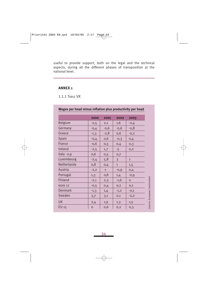useful to provide support, both on the legal and the technical aspects, during all the different phases of transposition at the national level.

#### **ANNEX 1**

1.1.1 TABLE VX

|                    | 2000    | 2001   | 2002         | 2003         |
|--------------------|---------|--------|--------------|--------------|
| Belgium            | $-2,5$  | 2,1    | 1,6          | $-0,4$       |
| Germany            | $-0,4$  | $-0,6$ | $-0,6$       | $-0,8$       |
| Greece             | $-1,3$  | $-2,8$ | 0,6          | $-0,2$       |
| Spain              | $-0,4$  | 0,6    | $-0,3$       | 0,4          |
| France             | -0,6    | 0,5    | 0,4          | 0,3          |
| Ireland            | $-2,5$  | 1,7    | -5           | 0,2          |
| Italy -0,9         | 0,6     | 0,5    | 0,7          |              |
| Luxembourg         | $-2,4$  | 5,8    | 3            | $\mathbf{1}$ |
| <b>Netherlands</b> | 0,8     | 0,4    | $\mathbf{1}$ | 1, 5         |
| Austria            | $-2,2$  | $-1$   | $-0,9$       | 0,4          |
| Portugal           | 1,3     | 0,8    | 1,4          | $-0,9$       |
| Finland            | $-2,1$  | 2,3    | $-1,6$       | $\mathsf{O}$ |
| euro 12            | $-0,5$  | 0,4    | 0,2          | 0,1          |
| Denmark            | $-1,3$  | 1,4    | $-1,2$       | $-0,1$       |
| Sweden             | 3,7     | 3,1    | 0,1          | $-0,2$       |
| UK                 | 2,4     | 1,9    | 1,3          | 1,5          |
| <b>EU 15</b>       | $\circ$ | 0,6    | 0,2          | 0,3          |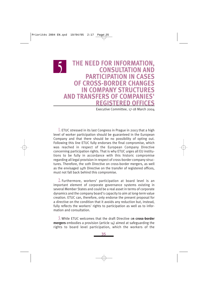

Executive Committee, 17-18 March 2004

**1.** ETUC stressed in its last Congress in Prague in 2003 that a high level of worker participation should be guaranteed in the European Company and that there should be no possibility of opting out. Following this line ETUC fully endorses the final compromise, which was reached in respect of the European Company Directive concerning participation rights. That is why ETUC urges all EU institutions to be fully in accordance with this historic compromise regarding all legal provision in respect of cross-border company structures. Therefore, the 10th Directive on cross-border mergers, as well as the envisaged 14th Directive on the transfer of registered offices, must not fall back behind this compromise.

**2.** Furthermore, workers' participation at board level is an important element of corporate governance systems existing in several Member States and could be a real asset in terms of corporate dynamics and the company board's capacity to aim at long-term value creation. ETUC can, therefore, only endorse the present proposal for a directive on the condition that it avoids any reduction but, instead, fully reflects the workers' rights to participation as well as to information and consultation.

**3.** While ETUC welcomes that the draft Directive o**n cross-border mergers** embodies a provision (article 14) aimed at safeguarding the rights to board level participation, which the workers of the

**35**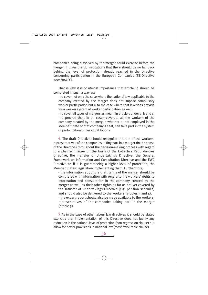companies being dissolved by the merger could exercise before the merger, it urges the EU institutions that there should be no fall-back behind the level of protection already reached in the Directive concerning participation in the European Companies (SE-Directive 2001/86/EC).

That is why it is of utmost importance that article 14 should be completed in such a way as:

- to cover not only the case where the national law applicable to the company created by the merger does not impose compulsory worker participation but also the case where that law does provide for a weaker system of worker participation as well;

- to cover all types of mergers as meant in article 1 under a, b and c; - to provide that, in all cases covered, all the workers of the company created by the merger, whether or not employed in the Member State of that company's seat, can take part in the system of participation on an equal footing.

**4.** The draft Directive should recognise the role of the workers' representatives of the companies taking part in a merger (in the sense of the Directive) throughout the decision-making process with regard to a planned merger on the basis of the Collective Redundancies Directive, the Transfer of Undertakings Directive, the General Framework on Information and Consultation Directive and the EWC Directive or, if it is guaranteeing a higher level of protection, the Member States' legislation implementing them. Furthermore,

- the information about the draft terms of the merger should be completed with information with regard to the workers' rights to information and consultation in the company created by the merger as well as their other rights as far as not yet covered by the Transfer of Undertakings Directive (e.g. pension schemes) and should also be delivered to the workers (articles 3 and 4). - the expert report should also be made available to the workers'

representatives of the companies taking part in the merger  $(\text{article } 5).$ 

**5.** As in the case of other labour law directives it should be stated explicitly that implementation of this Directive does not justify any reduction in the national level of protection (non-regression clause) but allow for better provisions in national law (most favourable clause).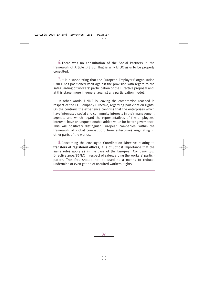**6.** There was no consultation of the Social Partners in the framework of Article 138 EC. That is why ETUC asks to be properly consulted.

**7.** It is disappointing that the European Employers' organisation UNICE has positioned itself against the provision with regard to the safeguarding of workers' participation of the Directive proposal and, at this stage, more in general against any participation model.

In other words, UNICE is leaving the compromise reached in respect of the EU Company Directive, regarding participation rights. On the contrary, the experience confirms that the enterprises which have integrated social and community interests in their management agenda, and which regard the representatives of the employees' interests have an unquestionable added value for better governance. This will positively distinguish European companies, within the framework of global competition, from enterprises originating in other parts of the worlds.

**8.** Concerning the envisaged Coordination Directive relating to **transfers of registered offices**, it is of utmost importance that the same rules apply as in the case of the European Company (SE) Directive 2001/86/EC in respect of safeguarding the workers' participation. Transfers should not be used as a means to reduce, undermine or even get rid of acquired workers' rights.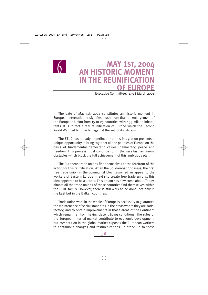

# **MAY 1ST, 2004 AN HISTORIC MOMENT IN THE REUNIFICATION OF EUROPE**

Executive Committee, 17-18 March 2004

The date of May 1st, 2004 constitutes an historic moment in European Integration. It signifies much more than an enlargement of the European Union from 15 to 25 countries with 455 million inhabitants. It is in fact a real reunification of Europe which the Second World War had left divided against the will of its citizens.

The ETUC has already underlined that this integration presents a unique opportunity to bring together all the peoples of Europe on the basis of fundamental democratic values: democracy, peace and freedom. This process must continue to lift the very last remaining obstacles which block the full achievement of this ambitious plan.

The European trade unions find themselves at the forefront of the action for this reunification. When the Solidarnosc Congress, the first free trade union in the communist bloc, launched an appeal to the workers of Eastern Europe in 1981 to create free trade unions, this idea appeared to be a utopia. This dream has now come about. Today, almost all the trade unions of these countries find themselves within the ETUC family. However, there is still work to be done, not only in the East but in the Balkan countries.

Trade union work in the whole of Europe is necessary to guarantee the maintenance of social standards in the areas where they are satisfactory, and to obtain improvements in those areas of the Continent which remain far from having decent living conditions. The rules of the European internal market contribute to economic development, but competition in the global market exposes the European workers to continuous changes and restructurations. To stand up to these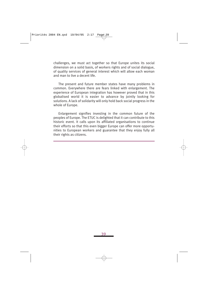challenges, we must act together so that Europe unites its social dimension on a solid basis, of workers rights and of social dialogue, of quality services of general interest which will allow each woman and man to live a decent life.

The present and future member states have many problems in common. Everywhere there are fears linked with enlargement. The experience of European integration has however proved that in this globalised world it is easier to advance by jointly looking for solutions. A lack of solidarity will only hold back social progress in the whole of Europe.

Enlargement signifies investing in the common future of the peoples of Europe. The ETUC is delighted that it can contribute to this historic event. It calls upon its affiliated organisations to continue their efforts so that this even bigger Europe can offer more opportunities to European workers and guarantee that they enjoy fully all their rights as citizens.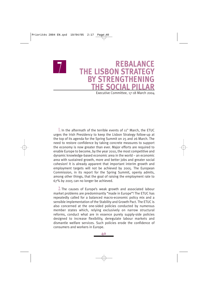

# **REBALANCE THE LISBON STRATEGY BY STRENGTHENING THE SOCIAL PILLAR**

Executive Committee, 17-18 March 2004

 $\mathbf{l}$ . In the aftermath of the terrible events of  $11^{\text{th}}$  March, the ETUC urges the Irish Presidency to keep the Lisbon Strategy follow-up at the top of its agenda for the Spring Summit on 25 and 26 March. The need to restore confidence by taking concrete measures to support the economy is now greater than ever. Major efforts are required to enable Europe to become, by the year 2010, the most competitive and dynamic knowledge-based economic area in the world – an economic area with sustained growth, more and better jobs and greater social cohesion! It is already apparent that important interim growth and employment targets will not be achieved by 2005. The European Commission, in its report for the Spring Summit, openly admits, among other things, that the goal of raising the employment rate to 67% by 2005 can no longer be achieved.

**2.** The causes of Europe's weak growth and associated labour market problems are predominantly "made in Europe"! The ETUC has repeatedly called for a balanced macro-economic policy mix and a sensible implementation of the Stability and Growth Pact. The ETUC is also concerned at the one-sided policies conducted by numerous member states which, relying exclusively on narrow structural reforms, conduct what are in essence purely supply-side policies designed to increase flexibility, deregulate labour markets and dismantle welfare services. Such policies erode the confidence of consumers and workers in Europe.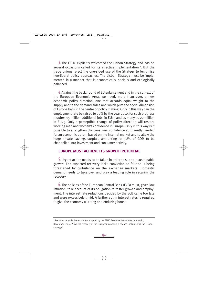**3.** The ETUC explicitly welcomed the Lisbon Strategy and has on several occasions called for its effective implementation <sup>1</sup>. But the trade unions reject the one-sided use of the Strategy to legitimise neo-liberal policy approaches. The Lisbon Strategy must be implemented in a manner that is economically, socially and ecologically balanced.

**4.** Against the background of EU enlargement and in the context of the European Economic Area, we need, more than ever, a new economic policy direction, one that accords equal weight to the supply and to the demand sides and which puts the social dimension of Europe back in the centre of policy making. Only in this way can the employment rate be raised to 70% by the year 2010, for such progress requires 15 million additional jobs in EU15 and as many as 22 million in EU25. Only a perceptible change of policy direction will restore working men and women's confidence in Europe. Only in this way is it possible to strengthen the consumer confidence so urgently needed for an economic upturn based on the internal market and to allow the huge private savings surplus, amounting to 3.8% of GDP, to be channelled into investment and consumer activity.

#### **EUROPE MUST ACHIEVE ITS GROWTH POTENTIAL**

**5.** Urgent action needs to be taken in order to support sustainable growth. The expected recovery lacks conviction so far and is being threatened by turbulence on the exchange markets. Domestic demand needs to take over and play a leading role in securing the recovery.

**6.** The policies of the European Central Bank (ECB) must, given low inflation, take account of its obligation to foster growth and employment. The interest rate reductions decided by the ECB came too late and were excessively timid. A further cut in interest rates is required to give the economy a strong and enduring boost.

<sup>&</sup>lt;sup>1</sup> See most recently the resolution adopted by the ETUC Executive Committee on  $\Lambda$  and 5 December 2003 : "Give the recovery of the European economy a chance : relaunching the Lisbon strategy''.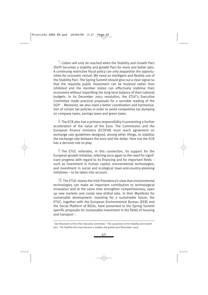**7.** Lisbon will only be reached when the Stability and Growth Pact (SGP) becomes a stability and growth Pact for more and better jobs. A continuing restrictive fiscal policy can only jeopardise the opportunities for economic revival. We need an intelligent and flexible use of the Stability Pact. The Spring Summit should give out a clear signal so that the requisite public investment can be fostered rather than inhibited and the member states can effectively stabilise their economies without imperilling the long-term balance of their national budgets. In its December 2003 resolution, the ETUC's Executive Committee made practical proposals for a sensible reading of the SGP<sup>2</sup>. Moreover, we also need a better coordination and harmonisation of certain tax policies in order to avoid competitive tax dumping on company taxes, savings taxes and green taxes.

**8.** The ECB also has a primary responsibility in preventing a further acceleration of the value of the Euro. The Commission and the European finance ministers (ECOFIN) must reach agreement on exchange rate guidelines designed, among other things, to stabilise the exchange rate between the euro and the dollar. Here too the ECB has a decisive role to play.

**9.** The ETUC reiterates, in this connection, its support for the European growth initiative, referring once again to the need for significant progress with regard to its financing and for important fields – such as investment in human capital, environmental technologies, and investment in social and ecological town-and-country-planning initiatives – to be taken into account.

**10.** The ETUC shares the Irish Presidency's view that environmental technologies can make an important contribution to technological innovation and at the same time strengthen competitiveness, open up new markets and create new skilled jobs. In their Manifesto for sustainable development: investing for a sustainable future, the ETUC, together with the European Environmental Bureau (EEB) and the Social Platform of NGOs, have presented to the Spring Summit specific proposals for sustainable investment in the fields of housing and transport<sup>3</sup>.

<sup>2</sup> See Resolution of the ETUC Executive Committee : 'The suspension of the Stability and Growth pact : The Stability Pact must become a stability and growth pact'(December 2003)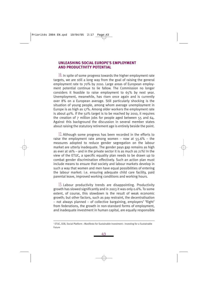## **UNLEASHING SOCIAL EUROPE'S EMPLOYMENT AND PRODUCTIVITY POTENTIAL**

**10.** In spite of some progress towards the higher employment rate targets, we are still a long way from the goal of raising the general employment rate to 70% by 2010. Large areas of European employment potential continue to lie fallow. The Commission no longer considers it feasible to raise employment to 65% by next year. Unemployment, meanwhile, has risen once again and is currently over 8% on a European average. Still particularly shocking is the situation of young people, among whom average unemployment in Europe is as high as 17%. Among older workers the employment rate is about 40%. If the 50% target is to be reached by 2010, it requires the creation of 7 million jobs for people aged between 55 and 64. Against this background the discussion in several member states about raising the statutory retirement age is entirely beside the point.

**12.** Although some progress has been recorded in the efforts to raise the employment rate among women – now at  $55.6\%$  – the measures adopted to reduce gender segregation on the labour market are utterly inadequate. The gender pays gap remains as high as ever at 16% – and in the private sector it is as much as 21%! In the view of the ETUC, a specific equality plan needs to be drawn up to combat gender discrimination effectively. Such an action plan must include means to ensure that society and labour markets develop in such a way that women and men have equal possibilities of entering the labour market: i.e. ensuring adequate child care facility, paid parental leave, improved working conditions and working hours.

**13.** Labour productivity trends are disappointing. Productivity growth has slowed significantly and in 2003 it was only 0.6%. To some extent, of course, this slowdown is the result of weak economic growth; but other factors, such as pay restraint, the decentralisation – not always planned – of collective bargaining, employers' 'flight' from federations, the growth in non-standard forms of employment, and inadequate investment in human capital, are equally responsible

<sup>3</sup> ETUC, EEB, Social Platform : Manifesto for Sustainable Investment : Investing for a Sustainable Future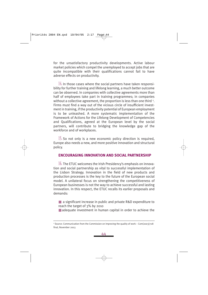for the unsatisfactory productivity developments. Active labour market policies which compel the unemployed to accept jobs that are quite incompatible with their qualifications cannot fail to have adverse effects on productivity.

**14.** In those cases where the social partners have taken responsibility for further training and lifelong learning, a much better outcome can be observed. In companies with collective agreements more than half of employees take part in training programmes; in companies without a collective agreement, the proportion is less than one third  $\hbox{}^4.$ Firms must find a way out of the vicious circle of insufficient investment in training, if the productivity potential of European employment is to be unleashed. A more systematic implementation of the Framework of Actions for the Lifelong Development of Competencies and Qualifications, agreed at the European level by the social partners, will contribute to bridging the knowledge gap of the workforce and of workplaces.

**15.** So not only is a new economic policy direction is required, Europe also needs a new, and more positive innovation and structural policy.

### **ENCOURAGING INNOVATION AND SOCIAL PARTNERSHIP**

**16.** The ETUC welcomes the Irish Presidency's emphasis on innovation and social partnership as vital to successful implementation of the Lisbon Strategy. Innovation in the field of new products and production processes is the key to the future of the European social model. A unilateral focus on strengthening the competitiveness of European businesses is not the way to achieve successful and lasting innovation. In this respect, the ETUC recalls its earlier proposals and demands:

■ a significant increase in public and private R&D expenditure to reach the target of 3% by 2010

■ adequate investment in human capital in order to achieve the

<sup>4</sup> Source: Communication from the Commission on Improving the quality of work – Com(2003)728 final, November 2003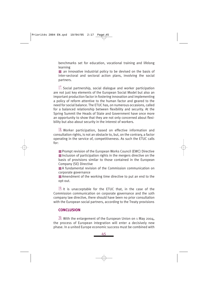benchmarks set for education, vocational training and lifelong learning

■ an innovative industrial policy to be devised on the basis of inter-sectoral and sectoral action plans, involving the social partners.

**17.** Social partnership, social dialogue and worker participation are not just key elements of the European Social Model but also an important production factor in fostering innovation and implementing a policy of reform attentive to the human factor and geared to the need for social balance. The ETUC has, on numerous occasions, called for a balanced relationship between flexibility and security. At the Spring Summit the Heads of State and Government have once more an opportunity to show that they are not only concerned about flexibility but also about security in the interest of workers.

**18.** Worker participation, based on effective information and consultation rights, is not an obstacle to, but, on the contrary, a factor operating in the service of, competitiveness. As such the ETUC calls for:

■ Prompt revision of the European Works Council (EWC) Directive ■ Inclusion of participation rights in the mergers directive on the basis of provisions similar to those contained in the European Company (SE) Directive

■ A fundamental revision of the Commission communication on corporate governance

■ Amendment of the working time directive to put an end to the opt-out.

**19.** It is unacceptable for the ETUC that, in the case of the Commission communication on corporate governance and the 10th company law directive, there should have been no prior consultation with the European social partners, according to the Treaty provisions

## **CONCLUSION**

**20.** With the enlargement of the European Union on 1 May 2004, the process of European integration will enter a decisively new phase. In a united Europe economic success must be combined with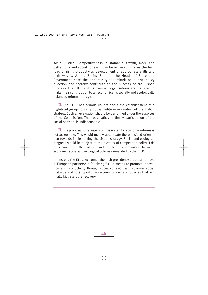social justice. Competitiveness, sustainable growth, more and better jobs and social cohesion can be achieved only via the high road of rising productivity, development of appropriate skills and high wages. At the Spring Summit, the Heads of State and Government have the opportunity to embark on a new policy direction and thereby contribute to the success of the Lisbon Strategy. The ETUC and its member organisations are prepared to make their contribution to an economically, socially and ecologically balanced reform strategy.

**21.** The ETUC has serious doubts about the establishment of a high-level group to carry out a mid-term evaluation of the Lisbon strategy. Such an evaluation should be performed under the auspices of the Commission. The systematic and timely participation of the social partners is indispensable.

**21.** The proposal for a 'super commissioner' for economic reforms is not acceptable. This would merely accentuate the one-sided orientation towards implementing the Lisbon strategy. Social and ecological progress would be subject to the dictates of competition policy. This runs counter to the balance and the better coordination between economic, social and ecological policies demanded by the ETUC.

Instead the ETUC welcomes the Irish presidency proposal to have a 'European partnership for change' as a means to promote innovation and productivity through social cohesion and stronger social dialogue and to support macroeconomic demand policies that will finally kick start the recovery.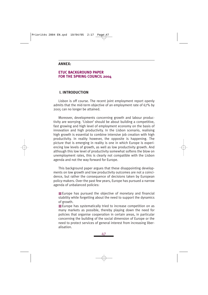# **ANNEX:**

## **ETUC BACKGROUND PAPER FOR THE SPRING COUNCIL 2004**

## **I. INTRODUCTION**

Lisbon is off course. The recent joint employment report openly admits that the mid-term objective of an employment rate of 67% by 2005 can no longer be attained.

Moreover, developments concerning growth and labour productivity are worrying. 'Lisbon' should be about building a competitive, fast growing and high level of employment economy on the basis of innovation and high productivity. In the Lisbon scenario, realising high growth is essential to combine intensive job creation with high productivity. In reality however, the opposite is happening. The picture that is emerging in reality is one in which Europe is experiencing low levels of growth, as well as low productivity growth. And although this low level of productivity somewhat softens the blow on unemployment rates, this is clearly not compatible with the Lisbon agenda and not the way forward for Europe.

This background paper argues that these disappointing developments on low growth and low productivity outcomes are not a coincidence, but rather the consequence of decisions taken by European policy-makers. Over the past few years, Europe has pursued a narrow agenda of unbalanced policies:

■ Europe has pursued the objective of monetary and financial stability while forgetting about the need to support the dynamics of growth.

■ Europe has systematically tried to increase competition on as many markets as possible, thereby playing down the need for policies that organise cooperation in certain areas, in particular concerning the building of the social dimension of Europe or the need to protect services of general interest from increasing liberalisation.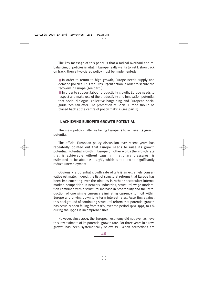The key message of this paper is that a radical overhaul and rebalancing of policies is vital. If Europe really wants to get Lisbon back on track, then a two-tiered policy must be implemented:

■ In order to return to high growth, Europe needs supply and demand policies. This requires urgent action in order to secure the recovery in Europe (see part I).

■ In order to support labour productivity growth, Europe needs to respect and make use of the productivity and innovation potential that social dialogue, collective bargaining and European social guidelines can offer. The promotion of Social Europe should be placed back at the centre of policy making (see part II).

### **II. ACHIEVING EUROPE'S GROWTH POTENTIAL**

The main policy challenge facing Europe is to achieve its growth potential

The official European policy discussion over recent years has repeatedly pointed out that Europe needs to raise its growth potential. Potential growth in Europe (in other words the growth rate that is achievable without causing inflationary pressures) is estimated to be about  $2 - 2.3$ %, which is too low to significantly reduce unemployment.

Obviously, a potential growth rate of 2% is an extremely conservative estimate. Indeed, the list of structural reforms that Europe has been implementing over the nineties is rather spectacular: internal market, competition in network industries, structural wage moderation combined with a structural increase in profitability and the introduction of one single currency eliminating currency turmoil within Europe and driving down long term interest rates. Asserting against this background of continuing structural reform that potential growth has actually been falling from 2.8%, over the period 1982-1991, to 2% during the 1990s is incomprehensible!

However, since 2001, the European economy did not even achieve this low estimate of its potential growth rate. For three years in a row, growth has been systematically below 2%. When corrections are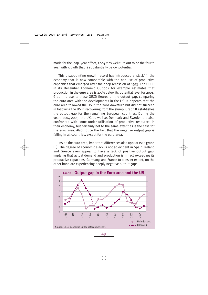made for the leap–year effect, 2004 may well turn out to be the fourth year with growth that is substantially below potential.

This disappointing growth record has introduced a 'slack' in the economy that is now comparable with the non-use of productive capacities that emerged after the deep recession of 1993. The OECD in its December Economic Outlook for example estimates that production in the euro area is 2.5% below its potential level for 2004. Graph I presents these OECD figures on the output gap, comparing the euro area with the developments in the US. It appears that the euro area followed the US in the 2001 downturn but did not succeed in following the US in recovering from the slump. Graph II establishes the output gap for the remaining European countries. During the years 2004-2005, the UK, as well as Denmark and Sweden are also confronted with some under utilisation of productive resources in their economy, but certainly not to the same extent as is the case for the euro area. Also notice the fact that the negative output gap is falling in all countries, except for the euro area.

Inside the euro area, important differences also appear (see graph III). The degree of economic slack is not so evident in Spain. Ireland and Greece even appear to have a lack of positive output gap, implying that actual demand and production is in fact exceeding its productive capacities. Germany, and France to a lesser extent, on the other hand are experiencing deeply negative output gaps.

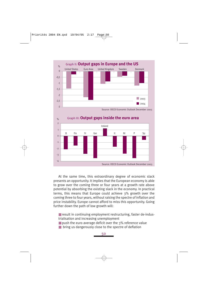

At the same time, this extraordinary degree of economic slack presents an opportunity. It implies that the European economy is able to grow over the coming three or four years at a growth rate above potential by absorbing the existing slack in the economy. In practical terms, this means that Europe could achieve 3% growth over the coming three to four years, without raising the spectre of inflation and price instability. Europe cannot afford to miss this opportunity. Going further down the path of low growth will:

■ result in continuing employment restructuring, faster de-industrialisation and increasing unemployment

 $\blacksquare$  push the euro average deficit over the 3% reference value

■ bring us dangerously close to the spectre of deflation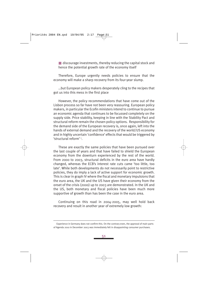$\blacksquare$  discourage investments, thereby reducing the capital stock and hence the potential growth rate of the economy itself

Therefore, Europe urgently needs policies to ensure that the economy will make a sharp recovery from its four-year slump.

…but European policy makers desperately cling to the recipes that got us into this mess in the first place

However, the policy recommendations that have come out of the Lisbon process so far have not been very reassuring. European policy makers, in particular the Ecofin ministers intend to continue to pursue an economic agenda that continues to be focussed completely on the supply side. Price stability, keeping in line with the Stability Pact and structural reform remain the chosen policy options. Responsibility for the demand side of the European recovery is, once again, left into the hands of external demand and the recovery of the world/US economy and in highly uncertain 'confidence' effects that would be triggered by 'structural reform' <sup>5</sup> .

These are exactly the same policies that have been pursued over the last couple of years and that have failed to shield the European economy from the downturn experienced by the rest of the world. From 2000 to 2003, structural deficits in the euro area have hardly changed, whereas the ECB's interest rate cuts came 'too little, too late'. While both developments do not necessarily point to restrictive policies, they do imply a lack of active support for economic growth. This is clear in graph IV where the fiscal and monetary impulsions that the euro area, the UK and the US have given their economy from the onset of the crisis (2000) up to 2003 are demonstrated. In the UK and the US, both monetary and fiscal policies have been much more supportive of growth than has been the case in the euro area.

Continuing on this road in 2004-2005, may well hold back recovery and result in another year of extremely low growth:

Experience in Germany does not confirm this. On the contrary even, the approval of main parts of Agenda 2010 in December 2003 was immediately felt in disappointing consumer purchases.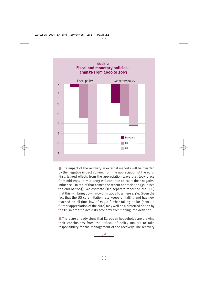

 $\blacksquare$  The impact of the recovery in external markets will be dwarfed by the negative impact coming from the appreciation of the euro. First, lagged effects from the appreciation wave that took place from mid 2002 to mid 2003 will continue to exert their negative influence. On top of that comes the recent appreciation (5% since the end of 2003). We estimate (see separate report on the ECB) that this will bring down growth in 2004 to a mere 1.3%. Given the fact that the US core inflation rate keeps on falling and has now reached an all-time low of 1%, a further falling dollar (hence a further appreciation of the euro) may well be a preferred option by the US in order to avoid its economy from tipping into deflation.

■ There are already signs that European households are drawing their conclusions from the refusal of policy makers to take responsibility for the management of the recovery. The recovery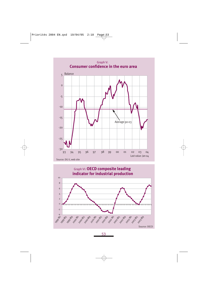

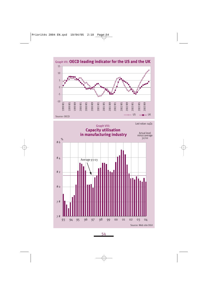

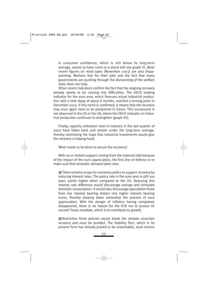in consumer confidence, which is still below its long-term average, seems to have come to a stand still see graph V). Most recent figures on retail sales (November 2003) are also disappointing. Workers fear for their jobs and the fact that many governments are pushing through the dismantling of the welfare state does not help.

Other recent indicators confirm the fact that the ongoing recovery already seems to be running into difficulties. The OECD leading indicator for the euro area, which foreruns actual industrial production with a time delay of about 6 months, reached a turning point in December 2003. If this trend is confirmed, it means that the recovery may once again have to be postponed in future. This turnaround is not observed in the US or the UK, where the OECD indicator on industrial production continues to strengthen (graph VII).

Finally, capacity utilisation rates in industry in the last quarter of 2003 have fallen back and remain under the long-term average, thereby minimizing the hope that industrial investments would give the recovery a helping hand.

What needs to be done to secure the recovery?

With no or limited support coming from the external side because of the impact of the euro appreciation, the first line of defence is to make sure that domestic demand takes over.

■ There remains scope for monetary policy to support recovery by reducing interest rates. The policy rate in the euro area is still 100 basic points higher when compared to the US. Reducing this interest rate difference would discourage savings and stimulate domestic consumption. It would also discourage speculative flows from low interest bearing dollars into higher interest bearing euros, thereby slowing down somewhat the process of euro appreciation. With the danger of inflation having completely disappeared, there is no reason for the ECB not to pursue its second Treaty mandate, which is to contribute to growth.

■ Restrictive fiscal policies would break the already uncertain recovery and must be avoided. The Stability Pact, which in its present form has already proved to be unworkable, must receive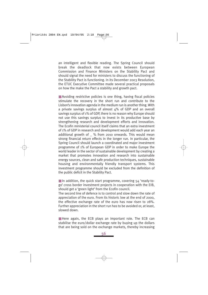an intelligent and flexible reading. The Spring Council should break the deadlock that now exists between European Commission and Finance Ministers on the Stability Pact and should signal the need for ministers to discuss the functioning of the Stability Pact is functioning. In its December 2003 Resolution, the ETUC Executive Committee made several practical proposals on how the make the Pact a stability and growth pact.

■ Avoiding restrictive policies is one thing, having fiscal policies stimulate the recovery in the short run and contribute to the Lisbon's innovation agenda in the medium run is another thing. With a private savings surplus of almost 4% of GDP and an overall savings surplus of 1% of GDP, there is no reason why Europe should not use this savings surplus to invest in its productive base by strengthening research and development efforts and innovation. The Ecofin ministerial council itself claims that an extra investment of 1% of GDP in research and development would add each year an additional growth of \_ % from 2010 onwards. This would mean strong financial return effects in the longer run. In particular, the Spring Council should launch a coordinated and major investment programme of 1% of European GDP in order to make Europe the world leader in the sector of sustainable development by creating a market that promotes innovation and research into sustainable energy sources, clean and safe production techniques, sustainable housing and environmentally friendly transport systems. This investment programme should be excluded from the definition of the public deficit in the Stability Pact.

■ In addition, the quick start programme, covering 54 'ready-togo' cross border investment projects in cooperation with the EIB, should get a 'green light' from the Ecofin council.

The second line of defence is to control and slow down the rate of appreciation of the euro. From its historic low at the end of 2000, the effective exchange rate of the euro has now risen to 28%. Further appreciation in the short run has to be avoided or, at least, slowed down.

■ Here again, the ECB plays an important role. The ECB can stabilise the euro/dollar exchange rate by buying up the dollars that are being sold on the exchange markets, thereby increasing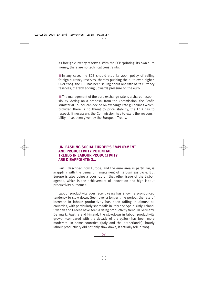its foreign currency reserves. With the ECB 'printing' its own euro money, there are no technical constraints.

 $\blacksquare$  In any case, the ECB should stop its 2003 policy of selling foreign currency reserves, thereby pushing the euro even higher. Over 2003, the ECB has been selling about one fifth of its currency reserves, thereby adding upwards pressure on the euro.

 $\blacksquare$  The management of the euro exchange rate is a shared responsibility. Acting on a proposal from the Commission, the Ecofin Ministerial Council can decide on exchange rate guidelines which, provided there is no threat to price stability, the ECB has to respect. If necessary, the Commission has to exert the responsibility it has been given by the European Treaty.

#### **UNLEASHING SOCIAL EUROPE'S EMPLOYMENT AND PRODUCTIVITY POTENTIAL TRENDS IN LABOUR PRODUCTIVITY ARE DISAPPOINTING...**

Part I described how Europe, and the euro area in particular, is grappling with the demand management of its business cycle. But Europe is also doing a poor job on that other issue of the Lisbon agenda, which is the achievement of innovation and high labour productivity outcomes.

Labour productivity over recent years has shown a pronounced tendency to slow down. Seen over a longer time period, the rate of increase in labour productivity has been falling in almost all countries, with particularly sharp falls in Italy and Spain. Only Ireland, Sweden and Greece have seen a rising productivity trend. In Germany, Denmark, Austria and Finland, the slowdown in labour productivity growth (compared with the decade of the 1980s) has been more moderate. In some countries (Italy and the Netherlands), hourly labour productivity did not only slow down, it actually fell in 2003.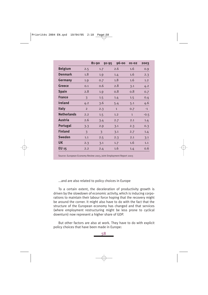|                    |                | 81-90<br>$91 - 95$ | $96 - 00$    | $01 - 02$    | 2003   |
|--------------------|----------------|--------------------|--------------|--------------|--------|
| <b>Belgium</b>     | 2.5            | 1.7                | 2.6          | 1.6          | 0.9    |
| <b>Denmark</b>     | 1.8            | 1.9                | 1.4          | 1.6          | 2.3    |
| <b>Germany</b>     | 1.9            | 0.7                | 1.8          | 1.6          | 1.2    |
| <b>Greece</b>      | 0.1            | 0.6                | 2.8          | 3.1          | 4.2    |
| <b>Spain</b>       | 2.8            | 1.9                | 0.8          | 0.8          | 0.7    |
| <b>France</b>      | 3              | 1.5                | 1.4          | 1.5          | 0.4    |
| <b>Ireland</b>     | 4.2            | 3.6                | 5.4          | 5.1          | 4.6    |
| <b>Italy</b>       | $\overline{2}$ | 2.3                | $\mathbf{1}$ | 0.7          | $-1$   |
| <b>Netherlands</b> | 2.2            | 1.5                | 1.2          | $\mathbf{1}$ | $-0.5$ |
| <b>Austria</b>     | 2.6            | 3.4                | 2.7          | 2.1          | 1.4    |
| <b>Portugal</b>    | 3.3            | 2.9                | 3.1          | 2.3          | 0.3    |
| <b>Finland</b>     | 3              | 3                  | 3.1          | 2.7          | 1.4    |
| <b>Sweden</b>      | 1.1            | 2.5                | 2.3          | 2.1          | 3.1    |
| <b>UK</b>          | 2.3            | 3.1                | 1.7          | 1.6          | 1.1    |
| <b>EU 15</b>       | 2.2            | 2.4                | 1.6          | 1.4          | 0.6    |
|                    |                |                    |              |              |        |

Source: European Economy Review 2003, Joint Employment Report 2003

...and are also related to policy choices in Europe

To a certain extent, the deceleration of productivity growth is driven by the slowdown of economic activity, which is inducing corporations to maintain their labour force hoping that the recovery might be around the corner. It might also have to do with the fact that the structure of the European economy has changed and that services (where employment restructuring might be less prone to cyclical downturn) now represent a higher share of GDP.

But other factors are also at work. They have to do with explicit policy choices that have been made in Europe: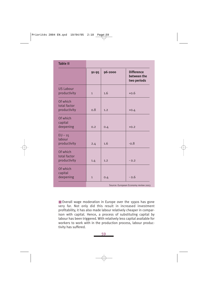| <b>Table II</b>                          |              |                                      |                                                 |  |  |
|------------------------------------------|--------------|--------------------------------------|-------------------------------------------------|--|--|
|                                          | $91 - 95$    | 96-2000                              | <b>Difference</b><br>between the<br>two periods |  |  |
| <b>US Labour</b><br>productivity         | $\mathbf{1}$ | 1.6                                  | $+0.6$                                          |  |  |
| Of which<br>total factor<br>productivity | 0.8          | 1.2                                  | $+0.4$                                          |  |  |
| Of which<br>capital<br>deepening         | 0.2          | 0.4                                  | $+0.2$                                          |  |  |
| $EU - 15$<br>labour<br>productivity      | 2.4          | 1.6                                  | $-0.8$                                          |  |  |
| Of which<br>total factor<br>productivity | 1.4          | 1.2                                  | $-0.2$                                          |  |  |
| Of which<br>capital<br>deepening         | $\mathbf{1}$ | 0.4                                  | $-0.6$                                          |  |  |
|                                          |              | Source: European Economy review 2003 |                                                 |  |  |

■ Overall wage moderation in Europe over the 1990s has gone very far. Not only did this result in increased investment profitability, it has also made labour relatively cheaper in comparison with capital. Hence, a process of substituting capital by labour has been triggered. With relatively less capital available for workers to work with in the production process, labour productivity has suffered.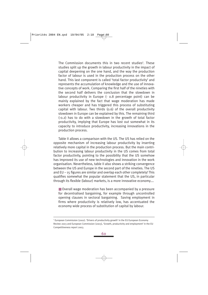The Commission documents this in two recent studies<sup>6</sup>. These studies split up the growth in labour productivity in the impact of capital deepening on the one hand, and the way the production factor of labour is used in the production process on the other hand. This last component is called 'total factor productivity' and represents the accumulation of knowledge and the use of innovative concepts of work. Comparing the first half of the nineties with the second half delivers the conclusion that the slowdown in labour productivity in Europe (- 0.8 percentage point) can be mainly explained by the fact that wage moderation has made workers cheaper and has triggered this process of substituting capital with labour. Two thirds (0.6) of the overall productivity slowdown in Europe can be explained by this. The remaining third (-0.2) has to do with a slowdown in the growth of total factor productivity, implying that Europe has lost out somewhat in its capacity to introduce productivity, increasing innovations in the production process.

Table II allows a comparison with the US. The US has relied on the opposite mechanism of increasing labour productivity by inserting relatively more capital in the production process. But the main contribution to increasing labour productivity in the US comes from total factor productivity, pointing to the possibility that the US somehow has improved its use of new technologies and innovation in the work organisation. Nevertheless, table II also shows a striking convergence between the US and Europe in the second part of the nineties. The US and EU – 15 figures are similar and overlap each other completely! This qualifies somewhat the popular statement that the US, in particular through its flexible (labour) markets, is a more innovative economy….

■ Overall wage moderation has been accompanied by a pressure for decentralised bargaining, for example through uncontrolled opening clauses in sectoral bargaining. Saving employment in firms where productivity is relatively low, has accentuated the economy wide process of substitution of capital by labour.

<sup>6</sup> European Commission (2002). 'Drivers of productivity growth' in the EU European Economy Review 2003 and European Commission (2003), 'Growth, productivity and employment' in the EU Competitiveness report 2003.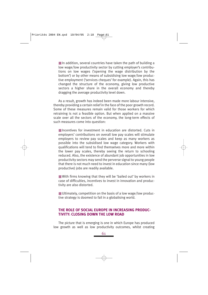$\blacksquare$  In addition, several countries have taken the path of building a low wage/low productivity sector by cutting employer's contributions on low wages ('opening the wage distribution by the bottom') or by other means of subsidising low wage/low productive employment ('services cheques' for example). Again, this has changed the structure of the economy, giving low productive sectors a higher share in the overall economy and thereby dragging the average productivity level down.

As a result, growth has indeed been made more labour intensive, thereby providing a certain relief in the face of the poor growth record. Some of these measures remain valid for those workers for which retraining is not a feasible option. But when applied on a massive scale over all the sectors of the economy, the long-term effects of such measures come into question:

■ Incentives for investment in education are distorted. Cuts in employers' contributions on overall low pay scales will stimulate employers to review pay scales and keep as many workers as possible into the subsidised low wage category. Workers with qualifications will tend to find themselves more and more within the lower pay scales, thereby seeing the return to schooling reduced. Also, the existence of abundant job opportunities in low productivity sectors may send the perverse signal to young people that there is not much need to invest in education since many (low productive) jobs are readily available.

■ With firms knowing that they will be 'bailed out' by workers in case of difficulties, incentives to invest in innovation and productivity are also distorted.

■ Ultimately, competition on the basis of a low wage/low productive strategy is doomed to fail in a globalising world.

## **THE ROLE OF SOCIAL EUROPE IN INCREASING PRODUC-TIVITY: CLOSING DOWN THE LOW ROAD**

The picture that is emerging is one in which Europe has produced low growth as well as low productivity outcomes, whilst creating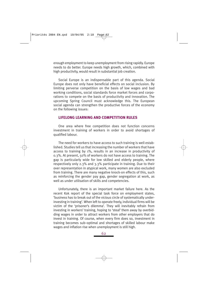enough employment to keep unemployment from rising rapidly. Europe needs to do better. Europe needs high growth, which, combined with high productivity, would result in substantial job creation.

Social Europe is an indispensable part of this agenda. Social Europe does not only have beneficial effects on social inclusion. By limiting perverse competition on the basis of low wages and bad working conditions, social standards force market forces and corporations to compete on the basis of productivity and innovation. The upcoming Spring Council must acknowledge this. The European social agenda can strengthen the productive forces of the economy on the following issues:

# **LIFELONG LEARNING AND COMPETITION RULES**

One area where free competition does not function concerns investment in training of workers in order to avoid shortages of qualified labour.

The need for workers to have access to such training is well established. Studies tell us that increasing the number of workers that have access to training by 1%, results in an increase in productivity of 0.3%. At present, 50% of workers do not have access to training. The gap is particularly wide for low skilled and elderly people, where respectively only 2.3% and 3.3% participate in training. Due to their over representation in atypical work, many women are also excluded from training. There are many negative knock-on effects of this, such as reinforcing the gender pay gap, gender segregation at work, as well as under utilisation of skills and competencies.

Unfortunately, there is an important market failure here. As the recent Kok report of the special task force on employment states, 'business has to break out of the vicious circle of systematically underinvesting in training'. When left to operate freely, individual firms will be victim of the 'prisoner's dilemma'. They will inevitably refrain from investing in workers' training, hoping to 'steal' them away by overbidding wages in order to attract workers from other employers that do invest in training. Of course, when every firm does so, investment in training becomes sub–optimal and shortages of skilled labour make wages and inflation rise when unemployment is still high.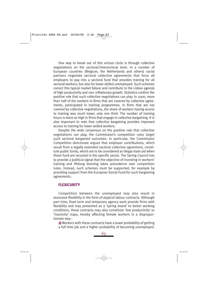One way to break out of this vicious circle is through collective negotiations on the sectoral/intersectoral level. In a number of European countries (Belgium, the Netherlands and others) social partners negotiate sectoral collective agreements that force all employers to pay into a sectoral fund that provides training for all sectoral workers, but also for lower skilled unemployed. Such schemes correct this typical market failure and contribute to the Lisbon agenda of high productivity and non–inflationary growth. Statistics confirm the positive role that such collective negotiations can play. In 2000, more than half of the workers in firms that are covered by collective agreements, participated in training programmes. In firms that are not covered by collective negotiations, the share of workers having access to training was much lower, only one third. The number of training hours is twice as high in firms that engage in collective bargaining. It is also important to note that collective bargaining provides improved access to training for lower skilled workers.

Despite the wide consensus on the positive role that collective negotiations can play, the Commission's competition rules target such sectoral bargained outcomes. In particular, the Commission Competition directorate argues that employer contributions, which result from a legally extended sectoral collective agreement, constitute public funds, which are to be considered as illegal state aid when these fund are recycled in the specific sector. The Spring Council has to provide a political signal that the objective of investing in workers' training and lifelong learning takes precedence over competition rules. Instead, such schemes must be supported, for example by providing support from the European Social Fund for such bargaining agreements.

#### **FLEXICURITY**

Competition between the unemployed may also result in excessive flexibility in the form of atypical labour contracts. Although part time, fixed term and temporary agency work provide firms with flexibility and may presented as a 'spring board' to better working conditions, these contracts may also constitute 'low productivity' or 'inactivity' traps, hereby affecting female workers in a disproportionate way :

 $\blacksquare$  Workers with these contracts have a lower probability of getting a full time job and a higher probability of becoming unemployed.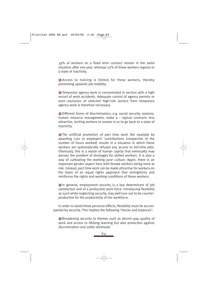39% of workers on a fixed term contract remain in the same situation after one year, whereas 22% of these workers regress to a state of inactivity.

■ Access to training is limited for these workers, thereby preventing upwards job mobility.

 $\blacksquare$  Temporary agency work is concentrated in sectors with a high record of work accidents. Adequate control of agency permits or even exclusion of selected high-risk sectors from temporary agency work is therefore necessary.

■ Different forms of discrimination, e.g. social security systems, human resource management, make a – typical contracts less attractive, inciting workers to remain in or to go back to a state of inactivity.

■ The artificial promotion of part time work (for example by awarding cuts in employers' contributions irrespective of the number of hours worked) results in a situation in which these workers are systematically refused any access to full-time jobs. Obviously, this is a waste of human capital that eventually may worsen the problem of shortages for skilled workers. It is also a way of cultivating the working poor culture. Again, there is an important gender aspect here with female workers being more at risk. Instead, part time work can be made attractive for workers on the basis of an equal rights approach that strengthens and reinforces the rights and working conditions of these workers.

■ In general, employment security is a key determinant of job satisfaction and of a productive work force. Introducing flexibility as such while neglecting security, may well turn out to be counterproductive for the productivity of the workforce.

In order to avoid these perverse effects, flexibility must be accompanied by security. This implies the following 'checks and balances':

■ Broadening security to themes such as decent pay, quality of work and access to lifelong learning but also protection against discrimination and unfair dismissal.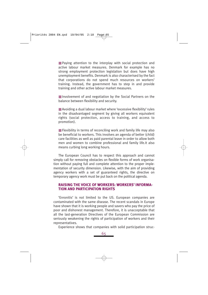■ Paying attention to the interplay with social protection and active labour market measures. Denmark for example has no strong employment protection legislation but does have high unemployment benefits. Denmark is also characterised by the fact that corporations do not spend much resources on workers' training. Instead, the government has to step in and provide training and other active labour market measures.

■ Involvement of and negotiation by the Social Partners on the balance between flexibility and security.

 $\blacksquare$  Avoiding a dual labour market where 'excessive flexibility' rules in the disadvantaged segment by giving all workers equivalent rights (social protection, access to training, and access to promotion).

 $\blacksquare$  Flexibility in terms of reconciling work and family life may also be beneficial to workers. This involves an agenda of better (child) care facilities as well as paid parental leave in order to allow both men and women to combine professional and family life.It also means curbing long working hours.

The European Council has to respect this approach and cannot simply call for removing obstacles on flexible forms of work organisation without paying full and complete attention to the proper implementation of security dimension. Likewise, with the aim of providing agency workers with a set of guaranteed rights, the directive on temporary agency work must be put back on the political agenda.

# **RAISING THE VOICE OF WORKERS: WORKERS' INFORMA-TION AND PARTICIPATION RIGHTS**

'Enronitis' is not limited to the US. European companies are contaminated with the same disease. The recent scandals in Europe have shown that it is working people and savers who pay the price of poor and dishonest management. Therefore, it is unacceptable that all the last-generation Directives of the European Commission are seriously weakening the rights of participation of workers and their representatives.

Experience shows that companies with solid participation struc-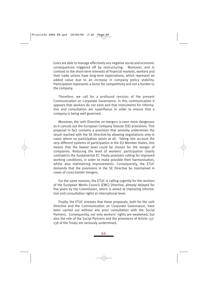tures are able to manage effectively any negative social and economic consequences triggered off by restructuring. Moreover, and in contrast to the short-term interests of financial markets, workers and their trade unions have long-term expectations, which represent an added value due to an increase in company policy stability. Participation represents a factor for competitivity and not a burden to the company.

Therefore, we call for a profound revision of the present Communication on Corporate Governance. In this communication it appears that workers do not exist and that instruments for information and consultation are superfluous in order to ensure that a company is being well governed.

Moreover, the 10th Directive on mergers is even more dangerous as it cancels out the European Company Statute (SE) provisions. This proposal in fact contains a provision that severely undermines the result reached with the SE Directive by allowing negotiations only in cases where no participation exists at all. Taking into account the very different systems of participation in the EU Member States, this means that the lowest level could be chosen for the merger of companies. Reducing the level of workers' participation clearly contradicts the fundamental EC Treaty provision calling for improved working conditions, in order to make possible their harmonisation, whilst also maintaining improvements. Consequently, the ETUC demands that the provisions in the SE Directive be maintained in cases of cross-border mergers.

For the same reasons, the ETUC is calling urgently for the revision of the European Works Council (EWC) Directive, already delayed for five years by the Commission, which is aimed at improving information and consultation rights at international level.

Finally, the ETUC stresses that these proposals, both for the 10th Directive and the Communication on Corporate Governance, have been carried out without any prior consultation with the Social Partners. Consequently, not only workers' rights are weakened, but also the role of the Social Partners and the provisions of Article 137- 138 of the Treaty are seriously undermined.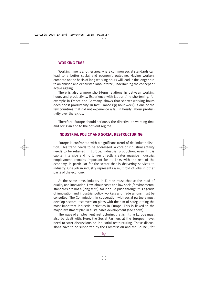#### **WORKING TIME**

Working time is another area where common social standards can lead to a better social and economic outcome. Having workers compete on the basis of long working hours will lead in the longer run to an abused and exhausted labour force, undermining the concept of active ageing.

There is also a more short-term relationship between working hours and productivity. Experience with labour time shortening, for example in France and Germany, shows that shorter working hours does boost productivity. In fact, France (35 hour week) is one of the few countries that did not experience a fall in hourly labour productivity over the 1990s.

Therefore, Europe should seriously the directive on working time and bring an end to the opt–out regime.

#### **INDUSTRIAL POLICY AND SOCIAL RESTRUCTURING**

Europe is confronted with a significant trend of de–industrialisation. This trend needs to be addressed. A core of industrial activity needs to be retained in Europe. Industrial production, even if it is capital intensive and no longer directly creates massive industrial employment, remains important for its links with the rest of the economy, in particular for the sector that is delivering services to industry. One job in industry represents a multifold of jobs in other parts of the economy.

At the same time, industry in Europe must choose the road of quality and innovation. Low labour costs and low social/environmental standards are not a (long term) solution. To push through this agenda of innovation and industrial policy, workers and trade unions must be consulted. The Commission, in cooperation with social partners must develop sectoral reconversion plans with the aim of safeguarding the most important industrial activities in Europe. This is linked to the major investment plan in sustainable development (see above).

The wave of employment restructuring that is hitting Europe must also be dealt with. Here, the Social Partners at the European level need to start discussions on industrial restructuring. These discussions have to be supported by the Commission and the Council, for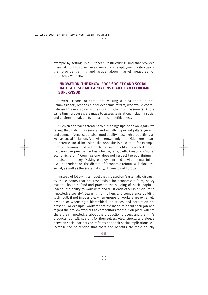example by setting up a European Restructuring Fund that provides financial input to collective agreements on employment restructuring that provide training and active labour market measures for retrenched workers.

# **INNOVATION, THE KNOWLEDGE SOCIETY AND SOCIAL DIALOGUE: SOCIAL CAPITAL INSTEAD OF AN ECONOMIC SUPERVISOR**

Several Heads of State are making a plea for a 'super-Commissioner', responsible for economic reform, who would coordinate and 'have a voice' in the work of other Commissioners. At the same time, proposals are made to assess legislation, including social and environmental, on its impact on competitiveness.

Such an approach threatens to turn things upside down. Again, we repeat that Lisbon has several and equally important pillars: growth and competitiveness, but also good quality jobs/high productivity as well as social inclusion. And while growth might provide more means to increase social inclusion, the opposite is also true, for example through training and adequate social benefits, increased social inclusion can provide the basis for higher growth. Creating a 'super economic reform' Commissioner does not respect the equilibrium in the Lisbon strategy. Making employment and environmental initiatives dependent on the dictate of 'economic reform' will block the social, as well as the sustainability, dimension of Europe.

Instead of following a model that is based on 'systematic distrust' by those actors that are responsible for economic reform, policy makers should defend and promote the building of 'social capital'. Indeed, the ability to work with and trust each other is crucial for a 'knowledge society'. Learning from others and competence building is difficult, if not impossible, when groups of workers are extremely divided or where rigid hierarchical structures and corruption are present. For example, workers that are insecure about their job and regard their fellow workers as competitors for their job place will not share their 'knowledge' about the production process and the firm's products, but will guard it for themselves. Also, structural dialogue between social partners on reforms and their social implications will increase the perception that costs and benefits are more equally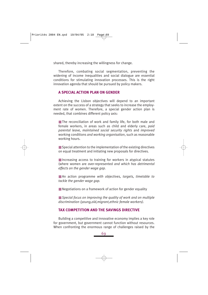shared, thereby increasing the willingness for change.

Therefore, combating social segmentation, preventing the widening of income inequalities and social dialogue are essential conditions for stimulating innovation processes. This is the right innovation agenda that should be pursued by policy makers.

# **A SPECIAL ACTION PLAN ON GENDER**

Achieving the Lisbon objectives will depend to an important extent on the success of a strategy that seeks to increase the employment rate of women. Therefore, a special gender action plan is needed, that combines different policy axis:

■ The reconciliation of work and family life, for both male and female workers, in areas such as child and elderly care, *paid parental leave, maintained social security rights* and *improved* working conditions *and working organisation*, such as reasonable working hours.

 $\blacksquare$  Special attention to the implementation of the existing directives on equal treatment and initiating new proposals for directives.

■ Increasing access to training for workers in atypical statutes (where women are over-represented *and which has detrimental effects on the gender wage gap.*

■ An action programme *with objectives, targets, timetable to tackle the gender wage gap.*

■ Negotiations on a framework of action for gender equality

■ *Special focus on improving the quality of work and on multiple discrimination (young,old,migrant,ethnic female workers).*

# **TAX COMPETITION AND THE SAVINGS DIRECTIVE**

Building a competitive and innovative economy implies a key role for government, but government cannot function without resources. When confronting the enormous range of challenges raised by the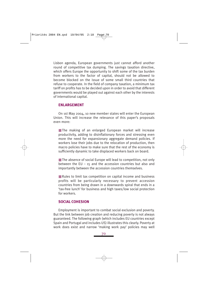Lisbon agenda, European governments just cannot afford another round of competitive tax dumping. The savings taxation directive, which offers Europe the opportunity to shift some of the tax burden from workers to the factor of capital, should not be allowed to become blocked on the issue of some small third countries that refuse to cooperate. In the field of company taxation, a minimum tax tariff on profits has to be decided upon in order to avoid that different governments would be played out against each other by the interests of international capital.

#### **ENLARGEMENT**

On 1st May 2004, 10 new member states will enter the European Union. This will increase the relevance of this paper's proposals even more:

■ The making of an enlarged European market will increase productivity, adding to disinflationary forces and stressing even more the need for expansionary aggregate demand policies. If workers lose their jobs due to the relocation of production, then macro policies have to make sure that the rest of the economy is sufficiently dynamic to take displaced workers back on board.

■ The absence of social Europe will lead to competition, not only between the EU  $-$  15 and the accession countries but also and importantly between the accession countries themselves.

■ Rules to limit tax competition on capital income and business profits will be particularly necessary to prevent accession countries from being drawn in a downwards spiral that ends in a 'tax-free lunch' for business and high taxes/low social protection for workers.

# **SOCIAL COHESION**

Employment is important to combat social exclusion and poverty. But the link between job creation and reducing poverty is not always guaranteed. The following graph (which includes EU countries except Spain and Portugal and includes US) illustrates this clearly. Poverty at work does exist and narrow 'making work pay' policies may well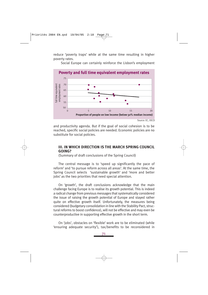reduce 'poverty traps' while at the same time resulting in higher poverty rates.



Social Europe can certainly reinforce the Lisbon's employment

and productivity agenda. But if the goal of social cohesion is to be reached, specific social policies are needed. Economic policies are no substitute for social policies.

# **III. IN WHICH DIRECTION IS THE MARCH SPRING COUNCIL GOING?**

(Summary of draft conclusions of the Spring Council)

The central message is to 'speed up significantly the pace of reform' and 'to pursue reform across all areas'. At the same time, the Spring Council selects 'sustainable growth' and 'more and better jobs' as the two priorities that need special attention.

On 'growth', the draft conclusions acknowledge that the main challenge facing Europe is to realise its growth potential. This is indeed a radical change from previous messages that systematically considered the issue of raising the growth potential of Europe and stayed rather quite on effective growth itself. Unfortunately, the measures being considered (budgetary consolidation in line with the Stability Pact, structural reforms to boost confidence), will not be effective and may even be counterproductive in supporting effective growth in the short term.

On 'jobs', obstacles on 'flexible' work are to be eliminated (while 'ensuring adequate security'), tax/benefits to be reconsidered in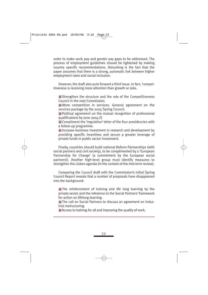order to make work pay and gender pay gaps to be addressed. The process of employment guidelines should be tightened by making country specific recommendations. Disturbing is the fact that the paper assumes that there is a strong, automatic link between higher employment rates and social inclusion.

However, the draft also puts forward a third issue. In fact, 'competitiveness is receiving more attention than growth or jobs.

■ Strengthen the structure and the role of the Competitiveness Council in the next Commission.

■ More competition in services. General agreement on the services package by the 2005 Spring Council.

■ Political agreement on the mutual recognition of professional qualifications by June 2004 (!)

■ Compliment the 'regulation' letter of the four presidencies with a follow-up programme.

■ Increase business investment in research and development by providing specific incentives and secure a greater leverage of private funds in public sector investment.

Finally, countries should build national Reform Partnerships (with social partners and civil society), to be complimented by a 'European Partnership for Change' (a commitment by the European social partners!). Another high-level group must identify measures to strengthen the Lisbon agenda (in the context of the mid-term review).

Comparing the Council draft with the Commission's initial Spring Council Report reveals that a number of proposals have disappeared into the background:

■ The reinforcement of training and life long learning by the private sector and the reference to the Social Partners' framework for action on lifelong learning.

■ The call on Social Partners to discuss an agreement on industrial restructuring.

■ Access to training for all and improving the quality of work.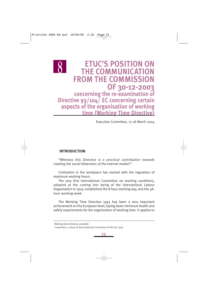

Executive Committee, 17-18 March 2004

## **INTRODUCTION**

*"Whereas this Directive is a practical contribution towards creating the social dimension of the internal market".1*

Civilization in the workplace has started with the regulation of maximum working hours.

The very first international Convention on working conditions, adopted at the coming into being of the International Labour Organisation in 1919, established the 8-hour working day, and the 48 hour working week.

The Working Time Directive 1993 has been a very important achievement on the European level, laying down minimum health and safety requirements for the organization of working time. It applies to

**73**

<sup>&</sup>lt;sup>1</sup> Working time Directive, preamble

<sup>2</sup> Convention 1, Hours of work (industry) Convention of the ILO, 1919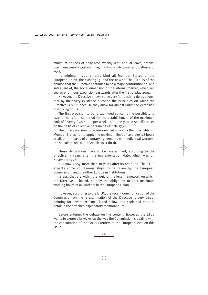minimum periods of daily rest, weekly rest, annual leave, breaks, maximum weekly working time, nightwork, shiftwork and patterns of work.

Its minimum requirements bind all Member States of the European Union, the existing 15, and the new 10. The ETUC is of the opinion that the Directive continues to be a major contribution to, and safeguard of, the social dimension of the internal market, which will see an enormous expansion eastwards after the first of May 2004.

However, the Directive knows some very far-reaching derogations, that by their very existence question the principles on which the Directive is built, because they allow for almost unlimited extension of working hours.

The first provision to be re-examined concerns the possibility to extend the reference-period for the establishment of the maximum limit of 'average' 48 hours per week up to one year in specific cases on the basis of collective bargaining (Article 17,4).

The other provision to be re-examined concerns the possibility for Member States not to apply the maximum limit of 'average' 48 hours at all, on the basis of voluntary agreements with individual workers, the so-called 'opt-out' of Article 18, 1 (b) (i).

These derogations have to be re-examined, according to the Directive, 7 years after the implementation date, which was 23 November 1996.

It is now 2004, more than 10 years after its adoption. The ETUC expects some courageous steps to be taken by the European Commission, and the other European Institutions.

Steps, that are within the logic of the legal framework on which the Directive is based, notably the obligation to limit maximum working hours of all workers in the European Union.

However, according to the ETUC, the recent Communication of the Commission on the re-examination of the Directive is very disappointing for several reasons, listed below, and explained more in detail in the attached explanatory memorandum.

Before entering the debate on the content, however, the ETUC wants to express its views on the way the Commission is dealing with the consultation of the Social Partners at the European level on this issue.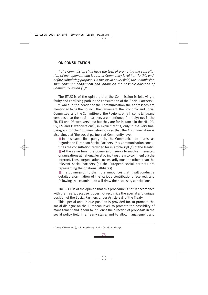### **ON CONSULTATION**

*" The Commission shall have the task of promoting the consultation of management and labour at Community level (…). To this end, before submitting proposals in the social policy field, the Commission shall consult management and labour on the possible direction of Community action.(…)" 3*

The ETUC is of the opinion, that the Commission is following a faulty and confusing path in the consultation of the Social Partners:

ß while in the header of the Communication the addressees are mentioned to be the Council, the Parliament, the Economic and Social Committee, and the Committee of the Regions, only in some language versions also the social partners are mentioned (notably: **not** in the FR, EN and DE web-versions; but they are for instance in the NL, DA, SV, ES and P web-versions); in explicit terms, only in the very final paragraph of the Communication it says that the Communication is also aimed at 'the social partners at Community level'.

■ In this same final paragraph, the Communication states 'as regards the European Social Partners, this Communication constitutes the consultation provided for in Article 138 (2) of the Treaty'. ■ At the same time, the Commission seeks to involve interested organisations at national level by inviting them to comment via the Internet. These organisations necessarily must be others than the relevant social partners (as the European social partners are representing their national affiliates).

■ The Commission furthermore announces that it will conduct a detailed examination of the various contributions received, and following this examination will draw the necessary conclusions.

The ETUC is of the opinion that this procedure is not in accordance with the Treaty, because it does not recognize the special and unique position of the Social Partners under Article 138 of the Treaty.

This special and unique position is provided for, to promote the social dialogue on the European level, to promote the possibility of management and labour to influence the direction of proposals in the social policy field in an early stage, and to allow management and

<sup>3</sup> Treaty of Nice (2000), article 138Treaty of Nice (2000), article 138

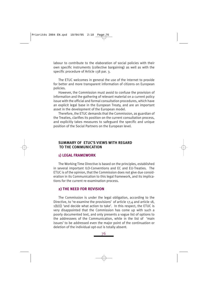labour to contribute to the elaboration of social policies with their own specific instruments (collective bargaining) as well as with the specific procedure of Article 138 par. 3.

The ETUC welcomes in general the use of the Internet to provide for better and more transparent information of citizens on European policies.

However, the Commission must avoid to confuse the provision of information and the gathering of relevant material on a current policy issue with the official and formal consultation procedures, which have an explicit legal base in the European Treaty, and are an important asset in the development of the European model.

Therefore, the ETUC demands that the Commission, as guardian of the Treaties, clarifies its position on the current consultation process, and explicitly takes measures to safeguard the specific and unique position of the Social Partners on the European level.

### **SUMMARY OF ETUC'S VIEWS WITH REGARD TO THE COMMUNICATION**

### **1) LEGAL FRAMEWORK**

The Working Time Directive is based on the principles, established in several important ILO-Conventions and EC and EU-Treaties. The ETUC is of the opinion, that the Commission does not give due consideration in its Communication to this legal framework, and its implications for the current re-examination process.

### **2) THE NEED FOR REVISION**

The Commission is under the legal obligation, according to the Directive, to 're-examine the provisions' of article 17,4 and article 18,  $1(b)(i)$  'and decide what action to take'. In this respect, the ETUC is very disappointed that the Commission has come up with such a poorly documented text, and only presents a vague list of options to the addressees of the Communication, while in the list of 'main issues' to be addressed even the major point of the continuation or deletion of the individual opt-out is totally absent.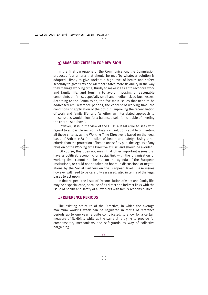### **3) AIMS AND CRITERIA FOR REVISION**

In the final paragraphs of the Communication, the Commission proposes four criteria that should be met 'by whatever solution is adopted', firstly to give workers a high level of health and safety, secondly to give firms and Member States more flexibility in the way they manage working time, thirdly to make it easier to reconcile work and family life, and fourthly to avoid imposing unreasonable constraints on firms, especially small and medium sized businesses. According to the Commission, the five main issues that need to be addressed are: reference periods, the concept of working time, the conditions of application of the opt-out, improving the reconciliation of work and family life, and 'whether an interrelated approach to these issues would allow for a balanced solution capable of meeting the criteria set above'.

However, it is in the view of the ETUC a legal error to seek with regard to a possible revision a balanced solution capable of meeting all these criteria, as the Working Time Directive is based on the legal basis of Article 118a (protection of health and safety). Using other criteria than the protection of health and safety puts the legality of any revision of the Working time Directive at risk, and should be avoided.

Of course, this does not mean that other important issues that have a political, economic or social link with the organisation of working time cannot not be put on the agenda of the European Institutions, or could not be taken on board in discussions or negotiations by the Social Partners on the European level. These issues however will need to be carefully assessed, also in terms of the legal bases to act upon.

In that respect, the issue of 'reconciliation of work and family life' may be a special case, because of its direct and indirect links with the issue of health and safety of all workers with family-responsibilities.

### **4) REFERENCE PERIODS**

The existing structure of the Directive, in which the average maximum working week can be regulated in terms of reference periods up to one year is quite complicated, to allow for a certain measure of flexibility while at the same time trying to provide for compensatory mechanisms and safeguards by way of collective bargaining.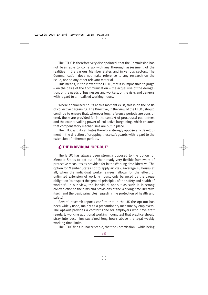The ETUC is therefore very disappointed, that the Commission has not been able to come up with any thorough assessment of the realities in the various Member States and in various sectors. The Communication does not make reference to any research on the issue, nor on any other relevant material.

This means, in the view of the ETUC, that it is impossible to judge – on the basis of the Communication – the actual use of the derogation, or the needs of businesses and workers, or the risks and dangers with regard to annualised working hours.

Where annualized hours at this moment exist, this is on the basis of collective bargaining. The Directive, in the view of the ETUC, should continue to ensure that, wherever long reference periods are considered, these are provided for in the context of procedural guarantees and the countervailing power of collective bargaining, which ensures that compensatory mechanisms are put in place.

The ETUC and its affiliates therefore strongly oppose any development in the direction of dropping these safeguards with regard to the extension of reference periods.

### **5) THE INDIVIDUAL 'OPT-OUT'**

The ETUC has always been strongly opposed to the option for Member States to opt out of the already very flexible framework of protective measures as provided for in the Working time Directive. The option for Member States not to apply article 6 (average 48 hours) at all, when the individual worker agrees, allows for the effect of unlimited extension of working hours, only balanced by the vague obligation 'to respect the general principles of the safety and health of workers'. In our view, the individual opt-out as such is in strong contradiction to the aims and provisions of the Working time Directive itself, and the basic principles regarding the protection of health and safety!

Several research reports confirm that in the UK the opt-out has been widely used, mainly as a precautionary measure by employers. The opt-out provides a comfort zone for employers who have staff regularly working additional working hours, lest that practice should stray into becoming sustained long hours above the legal weekly working time limits.

The ETUC finds it unacceptable, that the Commission – while being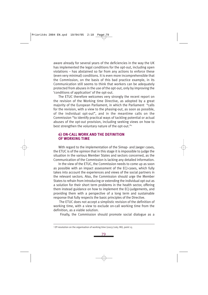aware already for several years of the deficiencies in the way the UK has implemented the legal conditions for the opt-out, including open violations – has abstained so far from any actions to enforce these (even very minimal) conditions. It is even more incomprehensible that the Commission, on the basis of this bad practice example, in its Communication still seems to think that workers can be adequately protected from abuses in the use of the opt-out, only by improving the 'conditions of application' of the opt-out.

The ETUC therefore welcomes very strongly the recent report on the revision of the Working time Directive, as adopted by a great majority of the European Parliament, in which the Parliament "calls for the revision, with a view to the phasing-out, as soon as possible, of the individual opt-out", and in the meantime calls on the Commission "to identify practical ways of tackling potential or actual abuses of the opt-out provision, including seeking views on how to best strengthen the voluntary nature of the opt-out."<sup>4</sup>

### **6) ON-CALL WORK AND THE DEFINITION OF WORKING TIME**

With regard to the implementation of the Simap- and Jaeger cases, the ETUC is of the opinion that in this stage it is impossible to judge the situation in the various Member States and sectors concerned, as the Communication of the Commission is lacking any detailed information.

In the view of the ETUC, the Commission needs to come up as soon as possible with an impact assessment of the ECJ-cases, which fully takes into account the experiences and views of the social partners in the relevant sectors. Also, the Commission should urge the Member States to refrain from introducing or extending the individual opt out as a solution for their short term problems in the health sector, offering them instead guidance on how to implement the ECJ-judgements, and providing them with a perspective of a long term and sustainable response that fully respects the basic principles of the Directive.

The ETUC does not accept a simplistic revision of the definition of working time, with a view to exclude on-call working time from the definition, as a viable solution.

Finally, the Commission should promote social dialogue as a

<sup>4</sup> EP-resolution on the organisation of working time (2003/2165 INI), point 15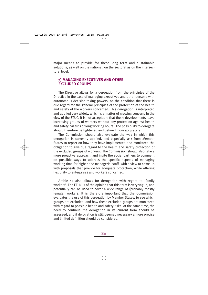major means to provide for these long term and sustainable solutions, as well on the national, on the sectoral as on the intersectoral level.

### **7) MANAGING EXECUTIVES AND OTHER EXCLUDED GROUPS**

The Directive allows for a derogation from the principles of the Directive in the case of managing executives and other persons with autonomous decision-taking powers, on the condition that there is due regard for the general principles of the protection of the health and safety of the workers concerned. This derogation is interpreted and applied very widely, which is a matter of growing concern. In the view of the ETUC, it is not acceptable that these developments leave increasing groups of workers without any protection against health and safety hazards of long working hours. The possibility to derogate should therefore be tightened and defined more accurately.

The Commission should also evaluate the way in which this derogation is currently applied, and especially ask from Member States to report on how they have implemented and monitored the obligation to give due regard to the health and safety protection of the excluded groups of workers. The Commission should also take a more proactive approach, and invite the social partners to comment on possible ways to address the specific aspects of managing working time for higher and managerial staff, with a view to come up with proposals that provide for adequate protection, while offering flexibility to enterprises and workers concerned.

Article 17 also allows for derogation with regard to 'family workers'. The ETUC is of the opinion that this term is very vague, and potentially can be used to cover a wide range of (probably mostly female) workers. It is therefore important that the Commission evaluates the use of this derogation by Member States, to see which groups are excluded, and how these excluded groups are monitored with regard to possible health and safety risks. At the same time, the need to continue the derogation in its current form should be assessed, and if derogation is still deemed necessary a more precise and limited definition should be considered.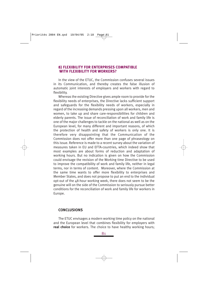### **8) FLEXIBILITY FOR ENTERPRISES COMPATIBLE WITH FLEXIBILITY FOR WORKERS?**

In the view of the ETUC, the Commission confuses several issues in its Communication, and thereby creates the false illusion of automatic joint interests of employers and workers with regard to flexibility.

Whereas the existing Directive gives ample room to provide for the flexibility needs of enterprises, the Directive lacks sufficient support and safeguards for the flexibility needs of workers, especially in regard of the increasing demands pressing upon all workers, men and women, to take up and share care-responsibilities for children and elderly parents. The issue of reconciliation of work and family life is one of the major challenges to tackle on the national as well as on the European level, for many different and important reasons, of which the protection of health and safety of workers is only one. It is therefore very disappointing that the Communication of the Commission does not offer more than one page of phraseology on this issue. Reference is made to a recent survey about the variation of measures taken in EU and EFTA-countries, which indeed show that most examples are about forms of reduction and adaptation of working hours. But no indication is given on how the Commission could envisage the revision of the Working time Directive to be used to improve the compatibility of work and family life, neither in legal terms, nor in terms of content. Moreover, where the Commission at the same time wants to offer more flexibility to enterprises and Member States, and does not propose to put an end to the individual opt-out of the 48-hour working week, there does not seem to be the genuine will on the side of the Commission to seriously pursue better conditions for the reconciliation of work and family life for workers in Europe.

### **CONCLUSIONS**

The ETUC envisages a modern working time policy on the national and the European level that combines flexibility for employers with **real choice** for workers. The choice to have healthy working hours: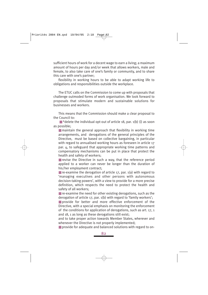sufficient hours of work for a decent wage to earn a living; a maximum amount of hours per day and/or week that allows workers, male and female, to also take care of one's family or community, and to share this care with one's partner;

flexibility in working hours to be able to adapt working life to obligations and responsibilities outside the workplace.

The ETUC calls on the Commission to come up with proposals that challenge outmoded forms of work organisation. We look forward to proposals that stimulate modern and sustainable solutions for businesses and workers.

This means that the Commission should make a clear proposal to the Council to:

 $\blacksquare$  \*delete the individual opt-out of article 18, par. 1(b) (i) as soon as possible;

 $\blacksquare$  maintain the general approach that flexibility in working time arrangements, and derogations of the general principles of the Directive, must be based on collective bargaining, in particular with regard to annualised working hours as foreseen in article 17 par. 4, to safeguard that appropriate working time patterns and compensatory mechanisms can be put in place that protect the health and safety of workers;

■ revise the Directive in such a way, that the reference period applied to a worker can never be longer than the duration of his/her employment contract;

 $\blacksquare$  re-examine the derogation of article 17, par. 1(a) with regard to 'managing executives and other persons with autonomous decision-taking powers', with a view to provide for a more precise definition, which respects the need to protect the health and safety of all workers;

 $\blacksquare$  re-examine the need for other existing derogations, such as the derogation of article 17, par. 1(b) with regard to 'family workers';

■ provide for better and more effective enforcement of the Directive, with a special emphasis on monitoring the enforcement of the conditions for application of derogations, such as art. 17, 1 and 18, 1 as long as these derogations still exist;

and to take proper action towards Member States, wherever and whenever the Directive is not properly implemented;

■ provide for adequate and balanced solutions with regard to on-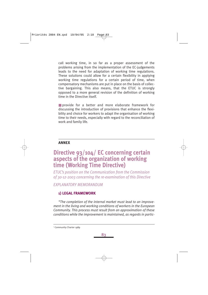call working time, in so far as a proper assessment of the problems arising from the implementation of the EC-judgements leads to the need for adaptation of working time regulations. These solutions could allow for a certain flexibility in applying working time regulations for a certain period of time, when compensatory mechanisms are put in place on the basis of collective bargaining. This also means, that the ETUC is strongly opposed to a more general revision of the definition of working time in the Directive itself.

■ provide for a better and more elaborate framework for discussing the introduction of provisions that enhance the flexibility and choice for workers to adapt the organisation of working time to their needs, especially with regard to the reconciliation of work and family life.

### **ANNEX**

# **Directive 93/104/ EC concerning certain aspects of the organization of working time (Working Time Directive)**

*ETUC's position on the Communication from the Commission of 30-12-2003 concerning the re-examination of this Directive* 

*EXPLANATORY MEMORANDUM*

## **1) LEGAL FRAMEWORK**

*"The completion of the internal market must lead to an improvement in the living and working conditions of workers in the European Community. This process must result from an approximation of these conditions while the improvement is maintained, as regards in partic-*

<sup>5</sup> Community Charter 1989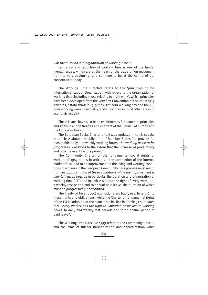*ular the duration and organization of working time." 5*

Limitation and reduction of working time is one of the fundamental issues, which are at the heart of the trade union movement from its very beginning, and continue to be at the centre of our concern until today.

The Working Time Directive refers to the 'principles of the International Labour Organization with regard to the organization of working time, including those relating to night work', which principles have been developed from the very first Convention of the ILO in 1919 onwards, establishing in 1919 the eight hour working day and the 48 hour working week in industry, and since then in most other areas of economic activity.

These issues have also been enshrined as fundamental principles and goals in all the treaties and charters of the Council of Europe and the European Union:

The European Social Charter of 1961, as updated in 1996, speaks in article 2 about the obligation of Member States "to provide for reasonable daily and weekly working hours, *the working week to be progressively reduced* to the extent that the increase of productivity and other relevant factors permit".

The Community Charter of the fundamental social rights of workers of 1989 states in article 7: "the completion of the internal market must lead to an improvement in the living and working conditions of workers in the European Community. This process must result from an *approximation of these conditions while the improvement is maintained,* as regards in particular the duration and organization of working time (…)"; and in article 8 about the right of every worker to a weekly rest period and to annual paid leave, the duration of which must be *progressively harmonized.* 

The Treaty of Nice (2000) explicitly refers back, in article 136, to these rights and obligations, while the Charter of fundamental rights of the EU as adopted at the same time in Nice in article 31 stipulates that *"every worker has the right to limitation of maximum working hours,* to daily and weekly rest periods and to an annual period of paid leave".

The Working time Directive 1993 refers to the Community Charter and the aims of further harmonization and approximation while

**84**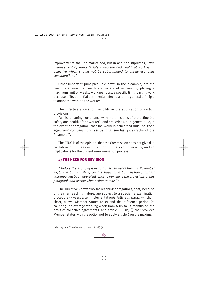improvements shall be maintained, but in addition stipulates, *"the improvement of worker's safety, hygiene and health at work is an objective which should not be subordinated to purely economic considerations".* 

Other important principles, laid down in the preamble, are the need to ensure the health and safety of workers by placing a maximum limit on weekly working hours, a specific limit to night work because of its potential detrimental effects, and the general principle to adapt the work to the worker.

The Directive allows for flexibility in the application of certain provisions,

"whilst ensuring compliance with the principles of protecting the safety and health of the worker", and prescribes, as a general rule, in the event of derogation, that the workers concerned must be given *equivalent compensatory rest periods* (see last paragraphs of the Preamble)".

The ETUC is of the opinion, that the Commission does not give due consideration in its Communication to this legal framework, and its implications for the current re-examination process.

### **2) THE NEED FOR REVISION**

*" Before the expiry of a period of seven years from 23 November 1996, the Council shall, on the basis of a Commission proposal accompanied by an appraisal report, re-examine the provisions of this paragraph and decide what action to take." 6*

The Directive knows two far reaching derogations, that, because of their far reaching nature, are subject to a special re-examination procedure (7 years after implementation): Article 17 par.4, which, in short, allows Member States to extend the reference period for counting the average working week from 6 up to 12 months on the basis of collective agreements, and article 18,1 (b) (i) that provides Member States with the option not to apply article 6 on the maximum

<sup>6</sup> Working time Directive, art. 17,4 and 18,1 (b) (i)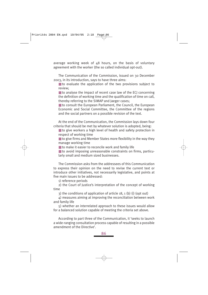average working week of 48 hours, on the basis of voluntary agreement with the worker (the so called individual opt-out).

The Communication of the Commission, issued on 30 December 2003, in its introduction, says to have three aims:

 $\blacksquare$  to evaluate the application of the two provisions subject to review;

 $\blacksquare$  to analyse the impact of recent case law of the ECJ concerning the definition of working time and the qualification of time on call, thereby referring to the SIMAP and Jaeger cases;

 $\blacksquare$  to consult the European Parliament, the Council, the European Economic and Social Committee, the Committee of the regions and the social partners on a possible revision of the text.

At the end of the Communication, the Commission lays down four criteria that should be met by whatever solution is adopted, being:

 $\blacksquare$  to give workers a high level of health and safety protection in respect of working time

 $\blacksquare$  to give firms and Member States more flexibility in the way they manage working time

 $\blacksquare$  to make it easier to reconcile work and family life

■ to avoid imposing unreasonable constraints on firms, particularly small and medium sized businesses.

The Commission asks from the addressees of this Communication to express their opinion on the need to revise the current text or introduce other initiatives, not necessarily legislative, and points at five main issues to be addressed:

1) reference periods

2) the Court of Justice's interpretation of the concept of working time

3) the conditions of application of article 18, 1 (b) (i) (opt out)

4) measures aiming at improving the reconciliation between work and family life

5) whether an interrelated approach to these issues would allow for a balanced solution capable of meeting the criteria set above.

According to part three of the Communication, it 'seeks to launch a wide-ranging consultation process capable of resulting in a possible amendment of the Directive'.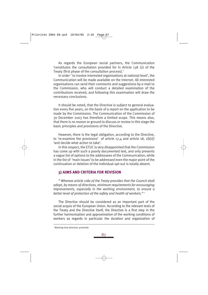As regards the European social partners, the Communication 'constitutes the consultation provided for in Article 138 (2) of the Treaty (first phase of the consultation process).'

In order ' to involve interested organisations at national level', the Communication will be made available on the Internet. All interested organisations can send their comments and suggestions by e-mail to the Commission, who will conduct a detailed examination of the contributions received, and following this examination will draw the necessary conclusions.

It should be noted, that the Directive is subject to general evaluation every five years, on the basis of a report on the application to be made by the Commission. The Communication of the Commission of 30 December 2003 has therefore a limited scope. This means also, that there is no reason or ground to discuss or review in this stage the basic principles and provisions of the Directive.

However, there is the legal obligation, according to the Directive, to 're-examine the provisions' of article  $17,4$  and article  $18, 1(b)(i)$ 'and decide what action to take'.

In this respect, the ETUC is very disappointed that the Commission has come up with such a poorly documented text, and only presents a vague list of options to the addressees of the Communication, while in the list of 'main issues' to be addressed even the major point of the continuation or deletion of the individual opt-out is totally absent.

## **3) AIMS AND CRITERIA FOR REVISION**

*" Whereas article 118a of the Treaty provides that the Council shall adopt, by means of directives, minimum requirements for encouraging improvements, especially in the working environment, to ensure a better level of protection of the safety and health of workers." 7*

The Directive should be considered as an important part of the social acquis of the European Union. According to the relevant texts of the Treaty and the Directive itself, the Directive is a first step in the further harmonization and approximation of the working conditions of workers as regards in particular the duration and organization of

<sup>7</sup> Working time directive, preamble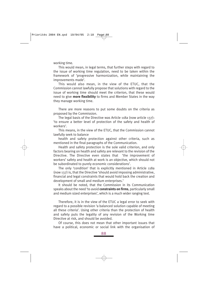working time.

This would mean, in legal terms, that further steps with regard to the issue of working time regulation, need to be taken within the framework of 'progressive harmonization, while maintaining the improvements made'.

This would also mean, in the view of the ETUC, that the Commission cannot lawfully propose that solutions with regard to the issue of working time should meet the criterion, that these would need to give **more flexibility** to firms and Member States in the way they manage working time.

There are more reasons to put some doubts on the criteria as proposed by the Commission.

The legal basis of the Directive was Article 118a (now article 137): 'to ensure a better level of protection of the safety and health of workers'.

This means, in the view of the ETUC, that the Commission cannot lawfully seek to balance

health and safety protection against other criteria, such as mentioned in the final paragraphs of the Communication.

Health and safety protection is the sole valid criterion, and only factors bearing on health and safety are relevant to the revision of the Directive. The Directive even states that 'the improvement of workers' safety and health at work is an objective, which should not be subordinated to purely economic considerations'.

The only 'condition' that is explicitly mentioned in Article 118a (now 137) is, that the Directive 'should avoid imposing administrative, financial and legal constraints that would hold back the creation and development of small and medium enterprises.'

It should be noted, that the Commission in its Communication speaks about the need 'to avoid **constraints on firms**, particularly small and medium sized enterprises', which is a much wider ranging text.

Therefore, it is in the view of the ETUC a legal error to seek with regard to a possible revision 'a balanced solution capable of meeting all these criteria'. Using other criteria than the protection of health and safety puts the legality of any revision of the Working time Directive at risk, and should be avoided.

Of course, this does not mean that other important issues that have a political, economic or social link with the organisation of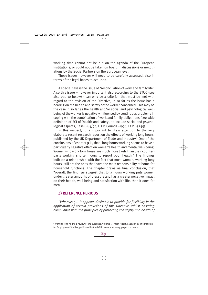working time cannot not be put on the agenda of the European Institutions, or could not be taken on board in discussions or negotiations by the Social Partners on the European level.

These issues however will need to be carefully assessed, also in terms of the legal bases to act upon.

A special case is the issue of 'reconciliation of work and family life'. Also this issue – however important also according to the ETUC (see also par. 10 below) - can only be a criterion that must be met with regard to the revision of the Directive, in so far as the issue has a bearing on the health and safety of the worker concerned. This may be the case in so far as the health and/or social and psychological wellbeing of the worker is negatively influenced by continuous problems in coping with the combination of work and family obligations (see wide definition of ECJ of 'health and safety', to include social and psychological aspects, Case C-84/94, UK v. Council –1996, ECR I-5755).

In this respect, it is important to draw attention to the very elaborate recent research report on the effects of working long hours, published by the UK Department of Trade and Industry.<sup>8</sup> One of the conclusions of chapter 9 is, that "long hours working seems to have a particularly negative effect on women's health and mental well-being. Women who work long hours are much more likely than their counterparts working shorter hours to report poor health." The findings indicate a relationship with the fact that most women, working long hours, still are the ones that have the main responsibility at home for household functions. The chapter draws as final conclusion, that "overall, the findings suggest that long hours working puts women under greater amounts of pressure and has a greater negative impact on their health, well-being and satisfaction with life, than it does for men"

### **4) REFERENCE PERIODS**

*"Whereas (…) it appears desirable to provide for flexibility in the application of certain provisions of this Directive, whilst ensuring compliance with the principles of protecting the safety and health of*

<sup>8</sup> Working long hours: a review of the evidence. Volume 1 – Main report. J.Kodz et al. The Institute for Employment Studies, published by the DTI in November 2003, pages 220 –242

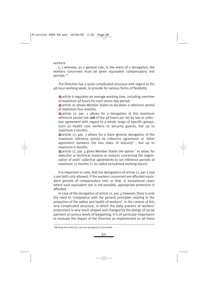*workers.* 

(…) whereas, as a general rule, in the event of a derogation, the workers concerned must be given equivalent compensatory rest periods." <sup>9</sup>

The Directive has a quite complicated structure with regard to the 48-hour working week, to provide for various forms of flexibility.

 $\blacksquare$  article 6 regulates an average working time, including overtime of maximum 48 hours for each seven day period;

■ article 16 allows Member States to lay down a reference period of maximum four months;

■ article 17, par. 2 allows for a derogation of this maximum reference period (nb: **not** of the 48 hours per se) by law or collective agreement with regard to a whole range of specific groups, such as health care workers or security guards, but up to maximum 6 months

■ article 17, par. 3 allows for a more general derogation of the maximum reference period by collective agreement or 'other agreement between the two sides of industry' , but up to maximum 6 months

■ article 17, par. 4 gives Member States the option ' to allow, for objective or technical reasons or reasons concerning the organization of work' collective agreements to set reference periods of maximum 12 months (= so called annualised working hours).

It is important to note, that the derogations of article 17, par 2 and 3 are both only allowed, if the workers concerned are afforded equivalent periods of compensatory rest, or that, in exceptional cases where such equivalent rest is not possible, appropriate protection is afforded.

In case of the derogation of article 17, par. 4 however, there is only the need to 'compliance with the general principles relating to the protection of the safety and health of workers'. In the context of this very complicated structure, in which the daily practice of workers' protections is very much shaped and changed by the doings of social partners at various levels of bargaining, it is of particular importance to evaluate the impact of the Directive as implemented on all these

<sup>9</sup> Working time directive, last two paragraphs of preamble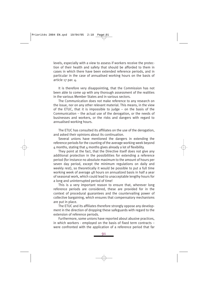levels, especially with a view to assess if workers receive the protection of their health and safety that should be afforded to them in cases in which there have been extended reference periods, and in particular in the case of annualised working hours on the basis of article 17 par. 4.

It is therefore very disappointing, that the Commission has not been able to come up with any thorough assessment of the realities in the various Member States and in various sectors.

The Communication does not make reference to any research on the issue, nor on any other relevant material. This means, in the view of the ETUC, that it is impossible to judge – on the basis of the Communication – the actual use of the derogation, or the needs of businesses and workers, or the risks and dangers with regard to annualised working hours.

The ETUC has consulted its affiliates on the use of the derogation, and asked their opinions about its continuation.

Several unions have mentioned the dangers in extending the reference periods for the counting of the average working week beyond 4 months, stating that 4 months gives already a lot of flexibility.

They point at the fact, that the Directive itself does not give any additional protection in the possibilities for extending a reference period (for instance no absolute maximum to the amount of hours per seven day period, except the minimum regulations on daily and weekly rest), so theoretically it would be possible to put a full time working week of average 48 hours on annualized basis in half a year of seasonal work, which could lead to unacceptable lengthy hours for a long and uninterrupted period of time!

This is a very important reason to ensure that, wherever long reference periods are considered, these are provided for in the context of procedural guarantees and the countervailing power of collective bargaining, which ensures that compensatory mechanisms are put in place.

The ETUC and its affiliates therefore strongly oppose any development in the direction of dropping these safeguards with regard to the extension of reference periods.

Furthermore, some unions have reported about abusive practices, in which workers - employed on the basis of fixed term contracts – were confronted with the application of a reference period that far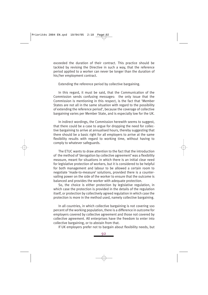exceeded the duration of their contract. This practice should be tackled by revising the Directive in such a way, that the reference period applied to a worker can never be longer than the duration of his/her employment contract.

Extending the reference period by collective bargaining.

In this regard, it must be said, that the Communication of the Commission sends confusing messages: the only issue that the Commission is mentioning in this respect, is the fact that 'Member States are not all in the same situation with regard to the possibility of extending the reference period', because the coverage of collective bargaining varies per Member State, and is especially low for the UK.

In indirect wordings, the Commission herewith seems to suggest, that there could be a case to argue for dropping the need for collective bargaining to arrive at annualised hours, thereby suggesting that there should be a basic right for all employers to arrive at the same flexibility results with regard to working time, without having to comply to whatever safeguards.

The ETUC wants to draw attention to the fact that the introduction of the method of 'derogation by collective agreement' was a flexibility measure, meant for situations in which there is an initial clear need for legislative protection of workers, but it is considered to be helpful for both management and labour to be allowed a certain room to negotiate 'made-to-measure' solutions, provided there is a countervailing power on the side of the worker to ensure that the outcome is balanced and provides the worker with adequate protection.

So, the choice is either protection by legislative regulation, in which case the protection is provided in the details of the regulation itself, or protection by collectively agreed regulation in which case the protection is more in the method used, namely collective bargaining.

In all countries, in which collective bargaining is not covering 100 percent of the working population, there is a difference in outcome for employers covered by collective agreement and those not covered by collective agreement. All enterprises have the freedom to enter into collective bargaining, or to abstain from that.

If UK employers prefer not to bargain about flexibility needs, but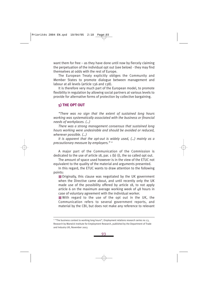want them for free – as they have done until now by fiercely claiming the perpetuation of the individual opt out (see below) - they may find themselves at odds with the rest of Europe.

The European Treaty explicitly obliges the Community and Member States to promote dialogue between management and labour at all levels (article 136 and 138).

It is therefore very much part of the European model, to promote flexibility in regulation by allowing social partners at various levels to provide for alternative forms of protection by collective bargaining.

### **5) THE OPT OUT**

*"There was no sign that the extent of sustained long hours working was systematically associated with the business or financial needs of workplaces. (…)* 

*There was a strong management consensus that sustained long hours working were undesirable and should be avoided or reduced, wherever possible. (…)*

*It is apparent that the opt-out is widely used, (…) mainly as a precautionary measure by employers." 10*

A major part of the Communication of the Commission is dedicated to the use of article 18, par. 1 (b) (i), the so called opt out.

The amount of space used however is in the view of the ETUC not equivalent to the quality of the material and arguments presented.

In this regard, the ETUC wants to draw attention to the following points:

■ Originally, this clause was negotiated by the UK government when the Directive came about, and until recently only the UK made use of the possibility offered by article 18, to not apply article 6 on the maximum average working week of 48 hours in case of voluntary agreement with the individual worker.

■ With regard to the use of the opt out in the UK, the Communication refers to several government reports, and material by the CBI, but does not make any reference to relevant

<sup>&</sup>lt;sup>10</sup> "The business context to working long hours", Employment relations research series no 23, Research by Warwick Institute for Employment Research, published by the Department of Trade and Industry UK, November 2003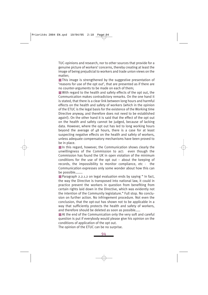TUC-opinions and research, nor to other sources that provide for a genuine picture of workers' concerns, thereby creating at least the image of being prejudicial to workers and trade union views on the matter;

■ This image is strengthened by the suggestive presentation of 'reasons for use of the opt out', that are presented as if there are no counter-arguments to be made on each of them;

■ With regard to the health and safety effects of the opt out, the Communication makes contradictory remarks. On the one hand it is stated, that there is a clear link between long hours and harmful effects on the health and safety of workers (which in the opinion of the ETUC is the legal basis for the existence of the Working time Directive anyway, and therefore does not need to be established again!). On the other hand it is said that the effect of the opt out on the health and safety cannot be judged, because of lacking data. However, where the opt out has led to long working hours beyond the average of 48 hours, there is a case for at least suspecting negative effects on the health and safety of workers, unless adequate compensatory mechanisms have been proved to be in place.

■ In this regard, however, the Communication shows clearly the unwillingness of the Commission to act: even though the Commission has found the UK in open violation of the minimum conditions for the use of the opt out – about the keeping of records, the impossibility to monitor compliance, etc - the Communication expresses only some wonder about how this can be possible………

■ Paragraph 2.2.1.2 on legal evaluation ends by saying " In fact, the way the Directive is transposed into national law, it could in practice prevent the workers in question from benefiting from certain rights laid down in the Directive, which was evidently not the intention of the Community legislature." Full stop. No conclusion on further action. No infringement procedure. Not even the conclusion, that the opt-out has shown not to be applicable in a way that sufficiently protects the health and safety of workers, and therefore should be deleted as soon as possible……

■ At the end of the Communication only the very soft and careful question is put if everybody would please give his opinion on the conditions of application of the opt out.

The opinion of the ETUC can be no surprise.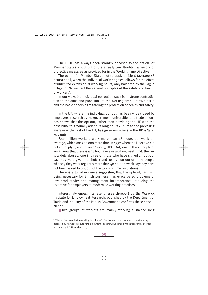The ETUC has always been strongly opposed to the option for Member States to opt out of the already very flexible framework of protective measures as provided for in the Working time Directive.

The option for Member States not to apply article 6 (average 48 hours) at all, when the individual worker agrees, allows for the effect of unlimited extension of working hours, only balanced by the vague obligation 'to respect the general principles of the safety and health of workers'.

In our view, the individual opt-out as such is in strong contradiction to the aims and provisions of the Working time Directive itself, and the basic principles regarding the protection of health and safety!

In the UK, where the individual opt out has been widely used by employers, research by the government, universities and trade unions has shown that the opt-out, rather than providing the UK with the possibility to gradually adapt its long hours culture to the prevailing average in the rest of the EU, has given employers in the UK a 'lazy' way out:

Four million workers work more than 48 hours per week on average, which are 700.000 more than in 1992 when the Directive did not yet apply! (Labour Force Survey, UK). Only one in three people at work know that there is a 48 hour average working week limit; the law is widely abused, one in three of those who have signed an opt-out say they were given no choice; and nearly two out of three people who say they work regularly more than 48 hours a week say they have not been asked to opt out of the working time regulations.

There is a lot of evidence suggesting that the opt-out, far from being necessary for British business, has exacerbated problems of low productivity and management incompetence, reducing the incentive for employers to modernise working practices.

Interestingly enough, a recent research-report by the Warwick Institute for Employment Research, published by the Department of Trade and Industry of the British Government, confirms these conclusions $11$ :

■ two groups of workers are mainly working sustained long

<sup>11</sup> "The business context to working long hours", Employment relations research series no 23, Research by Warwick Institute for Employment Research, published by the Department of Trade and Industry UK, November 2003

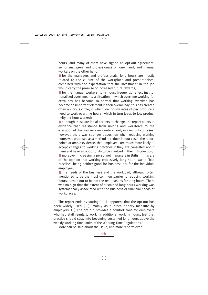hours, and many of them have signed an opt-out agreement: senior managers and professionals on one hand, and manual workers on the other hand;

■ for the managers and professionals, long hours are mostly related to the culture of the workplace and presenteeism, combined with the expectation that the investment in the job would carry the promise of increased future rewards;

■ for the manual workers, long hours frequently reflect institutionalised overtime, i.e. a situation in which overtime working for extra pay has become so normal that working overtime has become an important element in their overall pay; this has created often a vicious circle, in which low hourly rates of pay produce a need to work overtime hours, which in turn leads to low productivity per hour worked;

■ although these are initial barriers to change, the report points at evidence that resistance from unions and workforce to the execution of changes were encountered only in a minority of cases; however, there was stronger opposition when reducing working hours was proposed as a method to reduce labour costs; the report points at ample evidence, that employees are much more likely to accept changes to working practices if they are consulted about them and have an opportunity to be involved in their introduction;

■ moreover, increasingly personnel managers in British firms are of the opinion that working excessively long hours was a 'bad practice', being neither good for business nor for the individual employee;

■ The needs of the business and the workload, although often mentioned to be the most common barrier to reducing working hours, turned out to be not the real reasons for long hours. There was no sign that the extent of sustained long hours working was systematically associated with the business or financial needs of workplaces.

The report ends by stating "It is apparent that the opt-out has been widely used (….), mainly as a precautionary measure by employers. (…) The opt-out provides a comfort zone for employers who had staff regularly working additional working hours, lest that practice should stray into becoming sustained long hours above the weekly working time limits of the Working Time Regulations."

More can be said about the issue, and more reports cited.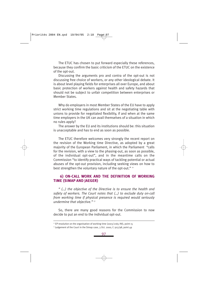The ETUC has chosen to put forward especially these references, because they confirm the basic criticism of the ETUC on the existence of the opt-out.

Discussing the arguments pro and contra of the opt-out is not discussing free choice of workers, or any other ideological debate. It is about level playing fields for enterprises all over Europe, and about basic protection of workers against health and safety hazards that should not be subject to unfair competition between enterprises or Member States.

Why do employers in most Member States of the EU have to apply strict working time regulations and sit at the negotiating table with unions to provide for negotiated flexibility, if and when at the same time employers in the UK can avail themselves of a situation in which no rules apply?

The answer by the EU and its institutions should be: this situation is unacceptable and has to end as soon as possible.

The ETUC therefore welcomes very strongly the recent report on the revision of the Working time Directive, as adopted by a great majority of the European Parliament, in which the Parliament "calls for the revision, with a view to the phasing-out, as soon as possible, of the individual opt-out", and in the meantime calls on the Commission "to identify practical ways of tackling potential or actual abuses of the opt-out provision, including seeking views on how to best strengthen the voluntary nature of the opt-out." 12

### **6) ON-CALL WORK AND THE DEFINITION OF WORKING TIME (SIMAP AND JAEGER)**

*" (…) the objective of the Directive is to ensure the health and safety of workers. The Court notes that (…) to exclude duty on-call from working time if physical presence is required would seriously undermine that objective." 13*

So, there are many good reasons for the Commission to now decide to put an end to the individual opt-out.

<sup>&</sup>lt;sup>12</sup> EP-resolution on the organisation of working time (2003/2165 INI), point 15

<sup>&</sup>lt;sup>13</sup> Iudgement of the Court in the Simap case, 3 Oct. 2000, C-303/98, point 49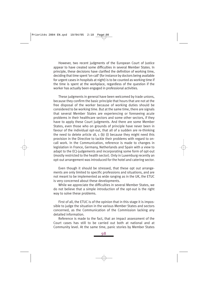However, two recent judgments of the European Court of Justice appear to have created some difficulties in several Member States. In principle, these decisions have clarified the definition of working time, deciding that time spent 'on-call' (for instance by doctors being available for urgent cases in hospitals at night) is to be counted as working time if the time is spent at the workplace, regardless of the question if the worker has actually been engaged in professional activities.

These judgments in general have been welcomed by trade unions, because they confirm the basic principle that hours that are not at the free disposal of the worker because of working duties should be considered to be working time. But at the same time, there are signals that several Member States are experiencing or foreseeing acute problems in their healthcare sectors and some other sectors, if they have to apply these Court judgments. And there are some Member States, even those who on grounds of principle have never been in favour of the individual opt-out, that all of a sudden are re-thinking the need to delete article 18, 1 (b) (i) because they might need this provision in the Directive to tackle their problems with regard to oncall work. In the Communication, reference is made to changes in legislation in France, Germany, Netherlands and Spain with a view to adapt to the ECJ-judgements and incorporating some form of opt-out (mostly restricted to the health sector). Only in Luxemburg recently an opt-out arrangement was introduced for the hotel and catering sector.

Even though it should be stressed, that these opt out arrangements are only limited to specific professions and situations, and are not meant to be implemented as wide ranging as in the UK, the ETUC is very concerned about these developments.

While we appreciate the difficulties in several Member States, we do not believe that a simple introduction of the opt-out is the right way to solve these problems.

First of all, the ETUC is of the opinion that in this stage it is impossible to judge the situation in the various Member States and sectors concerned, as the Communication of the Commission lacking any detailed information.

Reference is made to the fact, that an impact assessment of the Court cases has still to be carried out both at national and at Community level. At the same time, panic stories by Member States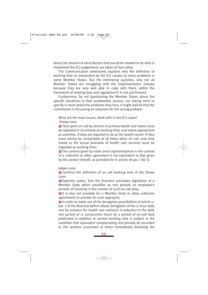about the amount of extra doctors that would be needed to be able to implement the ECJ-judgements are taken at face value.

The Communication extensively explains why the definition of working time as interpreted by the ECJ causes so many problems in some Member States. But the interesting question, why not all Member States are struggling with the implementation (maybe because they are very well able to cope with them, within the framework of existing laws and regulations?) is not put forward.

Furthermore, by not questioning the Member States about the specific situations in their problematic sectors, nor asking them to specify in more detail the problems they face, it might well be that the Commission is focussing on solutions for the wrong problem.

What are the main issues, dealt with in the ECJ-cases? Simap-case:

■ *Time spent on call by doctors in primary health care teams must be regarded in its entirety as working time, and where appropriate as overtime, if they are required to be at the health centre*. If they must merely be contactable at all times when on call, only time linked to the actual provision of health care services must be regarded as working time;

■ The consent given by trade union representatives in the context of a collective or other agreement is not equivalent to that given by the worker himself, as provided for in article 18 par. 1 (b) (i).

Jaeger-case:

■ Confirms the definition of on call working time of the Simap case;

■ Explicitly states, that the Directive precludes legislation of a Member State which classifies as rest periods an employee's periods of inactivity in the context of such on-call duty;

■ It is also not possible for a Member State to allow collective agreements to provide for such approach;

 $\blacksquare$  In order to make use of the derogation possibilities of article 17 par. 2 of the Directive (which allows derogation of the 11-hour daily rest for instance for health care workers) *'a reduction in the daily rest period of 11 consecutive hours by a period of on-call duty performed in addition to normal working time is subject to the condition that equivalent compensating rest periods be accorded to the workers concerned at times immediately following the*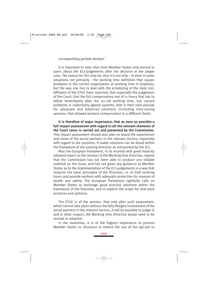### *corresponding periods worked.'*

It is important to note, that most Member States only started to panic about the ECJ-judgements after the decision in the Jaeger case. The reason for this may be, that it is not only – or even in some situations not primarily - the working time definition that causes problems in the current organization of working time in hospitals, but the way one has to deal with the scheduling of the daily rest. Affiliates of the ETUC have reported, that especially the judgement of the Court, that the full compensatory rest of 11 hours that has to follow immediately after the on-call working time, has caused problems in collectively agreed systems, that in their view provide for adequate and balanced solutions (including time-saving systems, that allowed workers compensation in a different form).

**It is therefore of major importance, that as soon as possible a full impact assessment with regard to all the relevant elements of the Court cases is carried out and presented by the Commission.** This impact assessment should also take on board the experiences and views of the social partners in the relevant sectors, especially with regard to the question, if viable solutions can be found within the framework of the existing Directive as interpreted by the ECJ.

Also the European Parliament, in its recently with great majority adopted report on the revision of the Working time Directive, regrets that the Commission has not been able to produce any reliable material on the issue, and has not given any guidance to Member States as to the implementation of the ECJ-judgements in a way that respects the basic principles of the Directive, i.e. to limit working hours and provide workers with adequate protection for reasons of health and safety. The European Parliament rightfully calls on Member States to exchange good practice solutions within the framework of the Directive, and to explore the scope for new work practices and patterns.

The ETUC is of the opinion, that only after such assessment, which cannot take place without the fully fledged involvement of the social partners in the relevant sectors, it will be possible to judge if, and in what respect, the Working time Directive would need to be revised or adapted.

In the meantime, it is of the highest importance to prevent Member States to introduce or extend the use of the opt-out to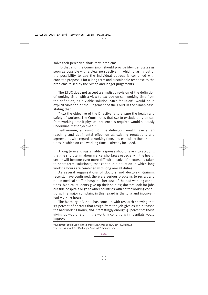solve their perceived short-term problems.

To that end, the Commission should provide Member States as soon as possible with a clear perspective, in which phasing out of the possibility to use the individual opt-out is combined with concrete proposals for a long term and sustainable response to the problems raised by the Simap and Jaeger judgements.

The ETUC does not accept a simplistic revision of the definition of working time, with a view to exclude on-call working time from the definition, as a viable solution. Such 'solution' would be in explicit violation of the judgement of the Court in the Simap-case, stating that

" (…) the objective of the Directive is to ensure the health and safety of workers. The Court notes that (…) to exclude duty on-call from working time if physical presence is required would seriously undermine that objective." 14

Furthermore, a revision of the definition would have a farreaching and detrimental effect on all existing regulations and agreements with regard to working time, and especially those situations in which on-call working time is already included.

A long term and sustainable response should take into account, that the short term labour market shortages especially in the health sector will become even more difficult to solve if recourse is taken to short term 'solutions', that continue a situation in which long working hours are combined with long on-call duties.

As several organisations of doctors and doctors-in-training recently have confirmed, there are serious problems to recruit and retain medical staff in hospitals because of the bad working conditions. Medical students give up their studies; doctors look for jobs outside hospitals or go to other countries with better working conditions. The major complaint in this regard is the long and inconvenient working hours.

The Marburger Bund 15 has come up with research showing that 77 percent of doctors that resign from the job give as main reason the bad working hours, and interestingly enough 51 percent of those giving up would return if the working conditions in hospitals would improve.

 $14$  Judgement of the Court in the Simap case, 3 Oct. 2000, C-303/98, point 49

<sup>15</sup> see for instance letter Marburger Bund to EP, January 2004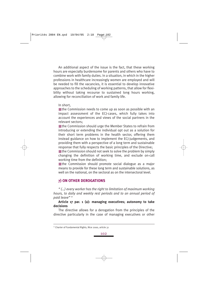An additional aspect of the issue is the fact, that these working hours are especially burdensome for parents and others who have to combine work with family duties. In a situation, in which in the higher professions in healthcare increasingly women are employed and will be needed to fill the vacancies, it is essential to develop innovative approaches to the scheduling of working patterns, that allow for flexibility without taking recourse to sustained long hours working, allowing for reconciliation of work and family life.

#### In short,

 $\blacksquare$  the Commission needs to come up as soon as possible with an impact assessment of the ECJ-cases, which fully takes into account the experiences and views of the social partners in the relevant sectors;

■ the Commission should urge the Member States to refrain from introducing or extending the individual opt out as a solution for their short term problems in the health sector, offering them instead guidance on how to implement the ECJ-judgements, and providing them with a perspective of a long term and sustainable response that fully respects the basic principles of the Directive;

 $\blacksquare$  the Commission should not seek to solve the problem by simply changing the definition of working time, and exclude on-call working time from the definition;

■ the Commission should promote social dialogue as a major means to provide for these long term and sustainable solutions, as well on the national, on the sectoral as on the intersectoral level.

## **7) ON OTHER DEROGATIONS**

*" (…) every worker has the right to limitation of maximum working hours, to daily and weekly rest periods and to an annual period of paid leave" 16*

**Article 17 par. 1 (a): managing executives; autonomy to take decisions** 

The directive allows for a derogation from the principles of the directive particularly in the case of managing executives or other

<sup>16</sup> Charter of Fundamental Rights, Nice 2000, article 31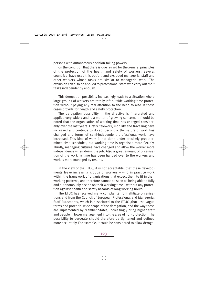persons with autonomous decision-taking powers,

on the condition that there is due regard for the general principles of the protection of the health and safety of workers. Several countries have used this option, and excluded managerial staff and other workers whose tasks are similar to managerial work. The exclusion can also be applied to professional staff, who carry out their tasks independently enough.

This derogation possibility increasingly leads to a situation where large groups of workers are totally left outside working time protection without paying any real attention to the need to also in these cases provide for health and safety protection.

The derogation possibility in the directive is interpreted and applied very widely and is a matter of growing concern. It should be noted that the organisation of working time has changed considerably over the last years. Firstly, telework, mobility and travelling have increased and continue to do so. Secondly, the nature of work has changed and forms of semi-independent professional work have increased. This kind of work is not done under precisely predetermined time schedules, but working time is organised more flexibly. Thirdly, managing cultures have changed and allow the worker more independence when doing the job. Also a great amount of organisation of the working time has been handed over to the workers and work is more managed by results.

In the view of the ETUC, it is not acceptable, that these developments leave increasing groups of workers – who in practice work within the framework of organisations that expect them to fit in their working patterns, and therefore cannot be seen as being able to fully and autonomously decide on their working time – without any protection against health and safety hazards of long working hours.

The ETUC has received many complaints from affiliate organisations and from the Council of European Professional and Managerial Staff Eurocadres, which is associated to the ETUC ,that the vague terms and potential wide scope of the derogation, and the way these are implemented by Member States, increasingly bring higher staff and people in lower management into the area of non-protection. The possibility to derogate should therefore be tightened and defined more accurately. For example, it could be considered to allow deroga-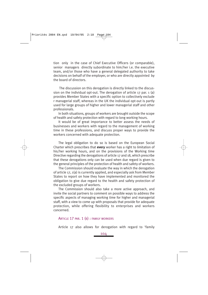tion only in the case of Chief Executive Officers (or comparable), senior managers directly subordinate to him/her i.e. the executive team, and/or those who have a general delegated authority to take decisions on behalf of the employer, or who are directly appointed by the board of directors.

The discussion on this derogation is directly linked to the discussion on the individual opt-out. The derogation of article 17 par. 1 (a) provides Member States with a specific option to collectively exclude r managerial staff, whereas in the UK the individual opt-out is partly used for large groups of higher and lower managerial staff and other professionals.

In both situations, groups of workers are brought outside the scope of health and safety protection with regard to long working hours.

It would be of great importance to better assess the needs of businesses and workers with regard to the management of working time in these professions, and discuss proper ways to provide the workers concerned with adequate protection.

The legal obligation to do so is based on the European Social Charter which prescribes that **every** worker has a right to limitation of his/her working hours, and on the provisions of the Working time Directive regarding the derogations of article 17 and 18, which prescribe that these derogations only can be used when due regard is given to the general principles of the protection of health and safety of workers.

The Commission should evaluate the way in which the derogation of article 17, 1(a) is currently applied, and especially ask from Member States to report on how they have implemented and monitored the obligation to give due regard to the health and safety protection of the excluded groups of workers.

The Commission should also take a more active approach, and invite the social partners to comment on possible ways to address the specific aspects of managing working time for higher and managerial staff, with a view to come up with proposals that provide for adequate protection, while offering flexibility to enterprises and workers concerned.

## ARTICLE 17 PAR. 1 (B) : FAMILY WORKERS

Article 17 also allows for derogation with regard to 'family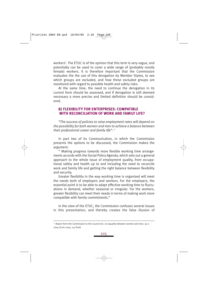workers'. The ETUC is of the opinion that this term is very vague, and potentially can be used to cover a wide range of (probably mostly female) workers. It is therefore important that the Commission evaluates the the use of this derogation by Member States, to see which groups are excluded, and how these excluded groups are monitored with regard to possible health and safety risks.

At the same time, the need to continue the derogation in its current form should be assessed, and if derogation is still deemed necessary a more precise and limited definition should be considered.

### **8) FLEXIBILITY FOR ENTERPRISES: COMPATIBLE WITH RECONCILIATION OF WORK AND FAMILY LIFE?**

*"The success of policies to raise employment rates will depend on the possibility for both women and men to achieve a balance between their professional career and family life". <sup>17</sup>*

In part two of its Communication, in which the Commission presents the options to be discussed, the Commission makes the argument:

" Making progress towards more flexible working time arrangements accords with the Social Policy Agenda, which sets out a general approach to the whole issue of employment quality, from occupational safety and health up to and including the need to reconcile work and family life and getting the right balance between flexibility and security.

Greater flexibility in the way working time is organised will meet the needs both of employers and workers. For the employers, the essential point is to be able to adapt effective working time to fluctuations in demand, whether seasonal or irregular. For the workers, greater flexibility can meet their needs in terms of making work more compatible with family commitments."

In the view of the ETUC, the Commission confuses several issues in this presentation, and thereby creates the false illusion of

<sup>&</sup>lt;sup>17</sup> Report form the Commission to the Council etc. on equality between women and men, 19-2-2004 (Com 2004, 115 final)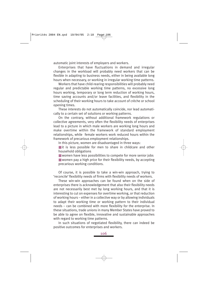automatic joint interests of employers and workers.

Enterprises that have fluctuations in demand and irregular changes in the workload will probably need workers that can be flexible in adapting to business needs, either in being available long hours when necessary, or working in irregular working time patterns.

Workers that have child-rearing responsibilities will probably need regular and predictable working time patterns, no excessive long hours working, temporary or long term reduction of working hours, time saving accounts and/or leave facilities, and flexibility in the scheduling of their working hours to take account of crèche or school opening times.

These interests do not automatically coincide, nor lead automatically to a certain set of solutions or working patterns.

On the contrary, without additional framework regulations or collective agreements, very often the flexibility needs of enterprises lead to a picture in which male workers are working long hours and make overtime within the framework of standard employment relationships, while female workers work reduced hours within the framework of precarious employment relationships.

In this picture, women are disadvantaged in three ways:

■ it is less possible for men to share in childcare and other household obligations

■ women have less possibilities to compete for more senior jobs  $\blacksquare$  women pay a high price for their flexibility needs, by accepting precarious working conditions.

Of course, it is possible to take a win-win approach, trying to 'reconcile' flexibility needs of firms with flexibility needs of workers.

These win-win approaches can be found when on the side of enterprises there is acknowledgement that also their flexibility needs are not necessarily best met by long working hours, and that it is interesting to cut on expenses for overtime working, or that reduction of working hours – either in a collective way or by allowing individuals to adapt their working time or working pattern to their individual needs – can be combined with more flexibility for the enterprise. In these situations, trade unions in many Member States have proved to be able to agree on flexible, innovative and sustainable approaches with regard to working time patterns.

In such situations of negotiated flexibility, there can indeed be positive outcomes for enterprises and workers.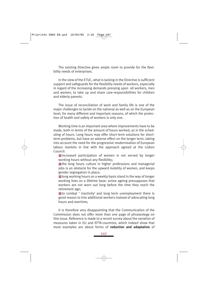The existing Directive gives ample room to provide for the flexibility needs of enterprises.

In the view of the ETUC, what is lacking in the Directive is sufficient support and safeguards for the flexibility needs of workers, especially in regard of the increasing demands pressing upon all workers, men and women, to take up and share care-responsibilities for children and elderly parents.

The issue of reconciliation of work and family life is one of the major challenges to tackle on the national as well as on the European level, for many different and important reasons, of which the protection of health and safety of workers is only one.

Working time is an important area where improvements have to be made, both in terms of the amount of hours worked, as in the scheduling of hours. Long hours may offer short-term solutions for shortterm problems, but have an adverse effect on the longer term, taking into account the need for the progressive modernisation of European labour markets in line with the approach agreed at the Lisbon Council:

■ increased participation of women is not served by longer working hours without any flexibility;

■ the long hours culture in higher professions and managerial jobs is an obstacle for the upward mobility of women, and keeps gender segregation in place;

 $\blacksquare$  long working hours on a weekly basis stand in the way of longer working lives on a lifetime base: active ageing presupposes that workers are not worn out long before the time they reach the retirement age;

■ to combat ' inactivity' and long term unemployment there is good reason to hire additional workers instead of advocating long hours and overtime;

It is therefore very disappointing that the Communication of the Commission does not offer more than one page of phraseology on this issue. Reference is made to a recent survey about the variation of measures taken in EU and EFTA-countries, which indeed show that most examples are about forms of **reduction and adaptation** of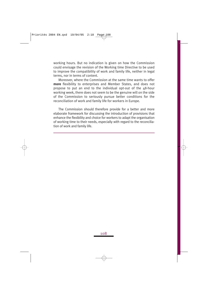working hours. But no indication is given on how the Commission could envisage the revision of the Working time Directive to be used to improve the compatibility of work and family life, neither in legal terms, nor in terms of content.

Moreover, where the Commission at the same time wants to offer **more** flexibility to enterprises and Member States, and does not propose to put an end to the individual opt-out of the 48-hour working week, there does not seem to be the genuine will on the side of the Commission to seriously pursue better conditions for the reconciliation of work and family life for workers in Europe.

The Commission should therefore provide for a better and more elaborate framework for discussing the introduction of provisions that enhance the flexibility and choice for workers to adapt the organisation of working time to their needs, especially with regard to the reconciliation of work and family life.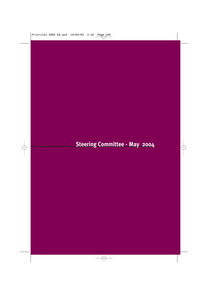**Steering Committee - May 2004**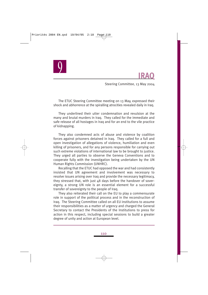

<sup>9</sup> **IRAQ**

Steering Committee, 13 May 2004

The ETUC Steering Committee meeting on 13 May, expressed their shock and abhorrence at the spiralling atrocities revealed daily in Iraq.

They underlined their utter condemnation and revulsion at the many and brutal murders in Iraq. They called for the immediate and safe release of all hostages in Iraq and for an end to the vile practice of kidnapping.

They also condemned acts of abuse and violence by coalition forces against prisoners detained in Iraq. They called for a full and open investigation of allegations of violence, humiliation and even killing of prisoners, and for any persons responsible for carrying out such extreme violations of international law to be brought to justice. They urged all parties to observe the Geneva Conventions and to cooperate fully with the investigation being undertaken by the UN Human Rights Commission (UNHRC).

Recalling that the ETUC had opposed the war and had consistently insisted that UN agreement and involvement was necessary to resolve issues arising over Iraq and provide the necessary legitimacy, they stressed that, with just 48 days before the handover of sovereignty, a strong UN role is an essential element for a successful transfer of sovereignty to the people of Iraq.

They also reiterated their call on the EU to play a commensurate role in support of the political process and in the reconstruction of Iraq. The Steering Committee called on all EU institutions to assume their responsibilities as a matter of urgency and charged the General Secretary to contact the Presidents of the Institutions to press for action in this respect, including special sessions to build a greater degree of unity and action at European level.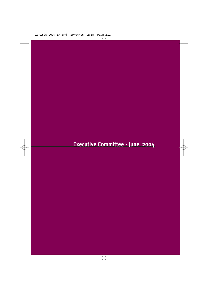**Executive Committee - June 2004**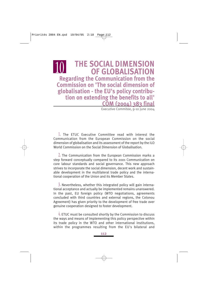# **THE SOCIAL DIMENSION OF GLOBALISATION Regarding the Communication from the Commission on 'The social dimension of globalisation - the EU's policy contribution on extending the benefits to all' COM (2004) 383 final** <u>IV</u>

Executive Commitee, 9-10 june 2004

**1.** The ETUC Executive Committee read with interest the Communication from the European Commission on the social dimension of globalisation and its assessment of the report by the ILO World Commission on the Social Dimension of Globalisation.

**2.** The Communication from the European Commission marks a step forward conceptually compared to its 2001 Communication on core labour standards and social governance. This new approach strives to incorporate the social dimension, decent work and sustainable development in the multilateral trade policy and the international cooperation of the Union and its Member States.

**3.** Nevertheless, whether this integrated policy will gain international acceptance and actually be implemented remains unanswered. In the past, EU foreign policy (WTO negotiations, agreements concluded with third countries and external regions, the Cotonou Agreement) has given priority to the development of free trade over genuine cooperation designed to foster development.

**4.** ETUC must be consulted shortly by the Commission to discuss the ways and means of implementing this policy perspective within its trade policy in the WTO and other international institutions, within the programmes resulting from the EU's bilateral and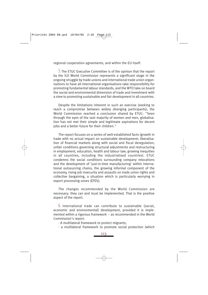regional cooperation agreements, and within the EU itself.

**5.** The ETUC Executive Committee is of the opinion that the report by the ILO World Commission represents a significant stage in the ongoing struggle by trade unions and international trade union organisations to have all international organisations take responsibility for promoting fundamental labour standards, and the WTO take on board the social and environmental dimension of trade and investment with a view to promoting sustainable and fair development in all countries.

Despite the limitations inherent in such an exercise (seeking to reach a compromise between widely diverging participants), the World Commission reached a conclusion shared by ETUC: "Seen through the eyes of the vast majority of women and men, globalisation has not met their simple and legitimate aspirations for decent jobs and a better future for their children."

The report focuses on a series of well-established facts (growth in trade with no actual impact on sustainable development; liberalisation of financial markets along with social and fiscal deregulation; unfair conditions governing structural adjustments and restructuring in employment, education, health and labour law; growing inequities in all countries, including the industrialised countries). ETUC condemns the social conditions surrounding company relocations and the development of 'just-in-time manufacturing' within international outsourcing chains, the growing informal component of the economy, rising job insecurity and assaults on trade union rights and collective bargaining, a situation which is particularly worrying in export processing zones (EPZs).

The changes recommended by the World Commission are necessary: they can and must be implemented. That is the positive aspect of the report.

**6.** International trade can contribute to sustainable (social, economic and environmental) development, provided it is implemented within a rigorous framework -- as recommended in the World Commission's report:

- A multilateral framework to protect migrants;
- a multilateral framework to promote social protection (which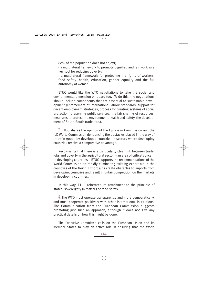80% of the population does not enjoy);

- a multilateral framework to promote dignified and fair work as a key tool for reducing poverty;

- a multilateral framework for protecting the rights of workers, food safety, health, education, gender equality and the full autonomy of women.

ETUC would like the WTO negotiations to take the social and environmental dimension on board too. To do this, the negotiations should include components that are essential to sustainable development (enforcement of international labour standards, support for decent employment strategies, process for creating systems of social protection, preserving public services, the fair sharing of resources, measures to protect the environment, health and safety, the development of South-South trade, etc.).

**7.** ETUC shares the opinion of the European Commission and the ILO World Commission denouncing the obstacles placed in the way of trade in goods by developed countries in sectors where developing countries receive a comparative advantage.

Recognising that there is a particularly clear link between trade, jobs and poverty in the agricultural sector -- an area of critical concern to developing countries -- ETUC supports the recommendations of the World Commission on rapidly eliminating existing export aid in the countries of the North. Export aids create obstacles to imports from developing countries and result in unfair competition on the markets in developing countries.

In this way, ETUC reiterates its attachment to the principle of states' sovereignty in matters of food safety.

**8.** The WTO must operate transparently and more democratically, and must cooperate positively with other international institutions. The Communication from the European Commission suggests promoting just such an approach, although it does not give any practical details on how this might be done.

The Executive Committee calls on the European Union and its Member States to play an active role in ensuring that the World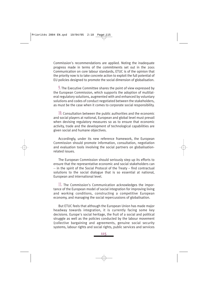Commission's recommendations are applied. Noting the inadequate progress made in terms of the commitments set out in the 2001 Communication on core labour standards, ETUC is of the opinion that the priority now is to take concrete action to exploit the full potential of EU policies designed to promote the social dimension of globalisation.

**9.** The Executive Committee shares the point of view expressed by the European Commission, which supports the adoption of multilateral regulatory solutions, augmented with and enhanced by voluntary solutions and codes of conduct negotiated between the stakeholders, as must be the case when it comes to corporate social responsibility.

**10.** Consultation between the public authorities and the economic and social players at national, European and global level must prevail when devising regulatory measures so as to ensure that economic activity, trade and the development of technological capabilities are given social and humane objectives.

Accordingly, under its new reference framework, the European Commission should promote information, consultation, negotiation and evaluation tools involving the social partners on globalisationrelated issues.

The European Commission should seriously step up its efforts to ensure that the representative economic and social stakeholders can -- in the spirit of the Social Protocol of the Treaty – find contractual solutions to the social dialogue that is so essential at national, European and international level.

**11.** The Commission's Communication acknowledges the importance of the European model of social integration for improving living and working conditions, constructing a competitive European economy, and managing the social repercussions of globalisation.

But ETUC feels that although the European Union has made major headway towards integration, it is currently facing some key decisions. Europe's social heritage, the fruit of a social and political struggle as well as the policies conducted by the labour movement (collective bargaining and agreements, genuine social security systems, labour rights and social rights, public services and services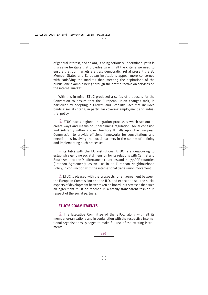of general interest, and so on), is being seriously undermined, yet it is this same heritage that provides us with all the criteria we need to ensure that our markets are truly democratic. Yet at present the EU Member States and European institutions appear more concerned with satisfying the markets than meeting the aspirations of the public, one example being through the draft directive on services on the internal market.

With this in mind, ETUC produced a series of proposals for the Convention to ensure that the European Union changes tack, in particular by adopting a Growth and Stability Pact that includes binding social criteria, in particular covering employment and industrial policy.

**12.** ETUC backs regional integration processes which set out to create ways and means of underpinning regulation, social cohesion and solidarity within a given territory. It calls upon the European Commission to provide efficient frameworks for consultations and negotiations involving the social partners in the course of defining and implementing such processes.

In its talks with the EU institutions, ETUC is endeavouring to establish a genuine social dimension for its relations with Central and South America, the Mediterranean countries and the 77 ACP countries (Cotonou Agreement), as well as in its European Neighbourhood Policy, in conjunction with the international trade union movement.

**13.** ETUC is pleased with the prospects for an agreement between the European Commission and the ILO, and expects to see the social aspects of development better taken on board, but stresses that such an agreement must be reached in a totally transparent fashion in respect of the social partners.

#### **ETUC'S COMMITMENTS**

**14.** The Executive Committee of the ETUC, along with all its member organisations and in conjunction with the respective international organisations, pledges to make full use of the existing instruments: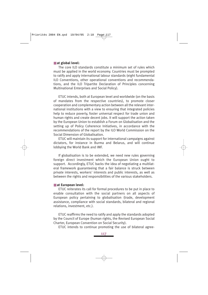#### ■ at global level:

The core ILO standards constitute a minimum set of rules which must be applied in the world economy. Countries must be prompted to ratify and apply international labour standards (eight fundamental ILO Conventions, other operational conventions and recommendations, and the ILO Tripartite Declaration of Principles concerning Multinational Enterprises and Social Policy).

ETUC intends, both at European level and worldwide (on the basis of mandates from the respective countries), to promote closer cooperation and complementary action between all the relevant international institutions with a view to ensuring that integrated policies help to reduce poverty, foster universal respect for trade union and human rights and create decent jobs. It will support the action taken by the European Union to establish a Forum on Globalisation and the setting up of Policy Coherence Initiatives, in accordance with the recommendations of the report by the ILO World Commission on the Social Dimension of Globalisation.

ETUC will maintain its support for international campaigns against dictators, for instance in Burma and Belarus, and will continue lobbying the World Bank and IMF.

If globalisation is to be extended, we need new rules governing foreign direct investment which the European Union ought to support. Accordingly, ETUC backs the idea of negotiating a multilateral framework guaranteeing that a fair balance is struck between private interests, workers' interests and public interests, as well as between the rights and responsibilities of the various stakeholders.

#### ■ at European level:

ETUC reiterates its call for formal procedures to be put in place to enable consultation with the social partners on all aspects of European policy pertaining to globalisation (trade, development assistance, compliance with social standards, bilateral and regional relations, investment, etc.).

ETUC reaffirms the need to ratify and apply the standards adopted by the Council of Europe (human rights, the Revised European Social Charter, European Convention on Social Security).

ETUC intends to continue promoting the use of bilateral agree-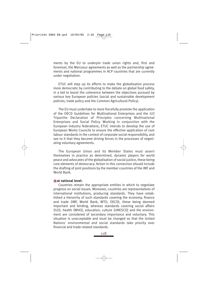ments by the EU to underpin trade union rights and, first and foremost, the Mercosur agreements as well as the partnership agreements and national programmes in ACP countries that are currently under negotiation.

ETUC will step up its efforts to make the globalisation process more democratic by contributing to the debate on global food safety, in a bid to boost the coherence between the objectives pursued by various key European policies (social and sustainable development policies, trade policy and the Common Agricultural Policy).

The EU must undertake to more forcefully promote the application of the OECD Guidelines for Multinational Enterprises and the ILO Tripartite Declaration of Principles concerning Multinational Enterprises and Social Policy. Working in conjunction with the European industry federations, ETUC intends to develop the use of European Works Councils to ensure the effective application of core labour standards in the context of corporate social responsibility, and see to it that they become driving forces in the processes of negotiating voluntary agreements.

The European Union and its Member States must assert themselves in practice as determined, dynamic players for world peace and advocates of the globalisation of social justice, these being core elements of democracy. Action in this connection should include the drafting of joint positions by the member countries of the IMF and World Bank.

#### ■ **at national level:**

Countries remain the appropriate entities in which to negotiate progress on social issues. Moreover, countries are representatives of international institutions, producing standards. They have established a hierarchy of such standards covering the economy, finance and trade (IMF, World Bank, WTO, OECD), these being deemed important and binding, whereas standards covering social affairs (ILO), health (WHO), education, culture (UNESCO) and the environment are considered of secondary importance and voluntary. This situation is unacceptable and must be changed so that the United Nations' environmental and social standards take priority over financial and trade-related standards.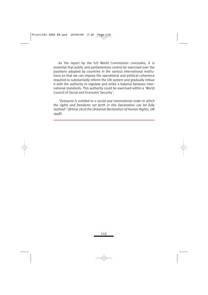As the report by the ILO World Commission concludes, it is essential that public and parliamentary control be exercised over the positions adopted by countries in the various international institutions so that we can impose the operational and political coherence required to substantially reform the UN system and gradually imbue it with the authority to regulate and strike a balance between international standards. This authority could be exercised within a 'World Council of Social and Economic Security'.

*"Everyone is entitled to a social and international order in which the rights and freedoms set forth in this Declaration can be fully realised" (Article 28 of the Universal Declaration of Human Rights, UN 1948).*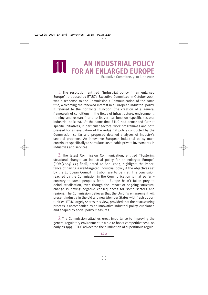# 11 **AN INDUSTRIAL POLICY FOR AN ENLARGED EUROPE**

Executive Commitee, 9-10 june 2004

**1.** The resolution entitled "Industrial policy in an enlarged Europe", produced by ETUC's Executive Committee in October 2003 was a response to the Commission's Communication of the same title, welcoming the renewed interest in a European industrial policy. It referred to the horizontal function (the creation of a general framework of conditions in the fields of infrastructure, environment, training and research) and to its vertical function (specific sectoral industrial policies). At the same time ETUC had demanded further specific initiatives, in particular sectoral work programmes and both pressed for an evaluation of the industrial policy conducted by the Commission so far and proposed detailed analyses of industry's sectoral problems. An innovative European industrial policy must contribute specifically to stimulate sustainable private investments in industries and services.

**2.** The latest Commission Communication, entitled "Fostering structural change: an industrial policy for an enlarged Europe" (COM(2004) 274 final), dated 20 April 2004, highlights the importance of having a well-targeted industrial policy if the objectives set by the European Council in Lisbon are to be met. The conclusion reached by the Commission in the Communication is that so far – contrary to some people's fears – Europe hasn't fallen prey to deindustrialisation, even though the impact of ongoing structural change is having negative consequences for some sectors and regions. The Commission believes that the Union's enlargement will present industry in the old and new Member States with fresh opportunities. ETUC largely shares this view, provided that the restructuring process is accompanied by an innovative industrial policy, cushioned and shaped by social policy measures.

**3.** The Commission attaches great importance to improving the general regulatory environment in a bid to boost competitiveness. As early as 1995, ETUC advocated the elimination of superfluous regula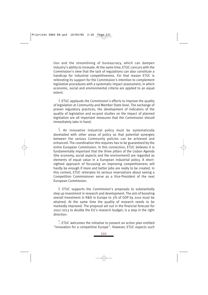tion and the streamlining of bureaucracy, which can dampen industry's ability to innovate. At the same time, ETUC concurs with the Commission's view that the lack of regulations can also constitute a handicap for industrial competitiveness. For that reason ETUC is reiterating its support for the Commission's intention to complement legislative procedures with a systematic impact assessment, in which economic, social and environmental criteria are applied to an equal extent.

**4.** ETUC applauds the Commission's efforts to improve the quality of legislation at Community and Member State level. The exchange of proven regulatory practices, the development of indicators of the quality of legislation and ex-post studies on the impact of planned legislation are all important measures that the Commission should immediately take in hand.

**5.** An innovative industrial policy must be systematically dovetailed with other areas of policy so that potential synergies between the various Community policies can be achieved and enhanced. The coordination this requires has to be guaranteed by the entire European Commission. In this connection, ETUC believes it is fundamentally important that the three pillars of the Lisbon Agenda (the economy, social aspects and the environment) are regarded as elements of equal value in a European industrial policy. A shortsighted approach of focussing on improving competitiveness will hardly be enough if more and better jobs are really to be created. In this context, ETUC reiterates its serious reservations about seeing a Competition Commissioner serve as a Vice-President of the next European Commission.

**6.** ETUC supports the Commission's proposals to substantially step up investment in research and development. The aim of boosting overall investment in R&D in Europe to 3% of GDP by 2010 must be attained. At the same time the quality of research needs to be markedly improved. The proposal set out in the financial forecast for 2007-2013 to double the EU's research budget, is a step in the right direction.

**7.** ETUC welcomes the initiative to present an action plan entitled "Innovation for a competitive Europe". However, ETUC expects such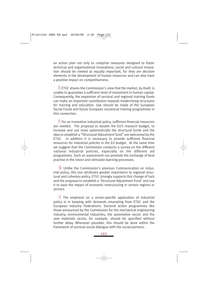an action plan not only to comprise measures designed to foster technical and organisational innovations; social and cultural innovation should be viewed as equally important, for they are decisive elements in the development of human resources and can also have a positive impact on competitiveness.

**8.** ETUC shares the Commission's view that the market, by itself, is unable to guarantee a sufficient level of investment in human capital. Consequently, the expansion of sectoral and regional training funds can make an important contribution towards modernising structures for training and education. Use should be made of the European Social Funds and future European vocational training programmes in this connection.

**9.** For an innovative industrial policy, sufficient financial resources are needed. The proposal to double the EU's research budget, to increase and use more systematically the structural funds and the idea to establish a "Structural Adjustment fund" are welcomed by the ETUC. In addition it is necessary to provide sufficient financial resources for industrial policies in the EU budget. At the same time we suggest that the Commission conducts a survey on the different national industrial policies, especially on the different aid programmes. Such an assessment can promote the exchange of best practise in the Union and stimulate learning processes.

**10.** Unlike the Commission's previous Communication on industrial policy, this one attributes greater importance to regional structural and cohesion policy. ETUC strongly supports this change of tack and the proposal to establish a 'Structural Adjustment Fund' and use it to ease the impact of economic restructuring in certain regions or sectors.

**11** The emphasis on a sector-specific application of industrial policy is in keeping with demands emanating from ETUC and the European Industry Federations. Sectoral action programmes like those announced by the Commission for the mechanical engineering industry, environmental industries, the automotive sector and the new materials sector, for example, should be specified without further delay. Whenever possible, this should be done within the framework of sectoral social dialogue with the social partners.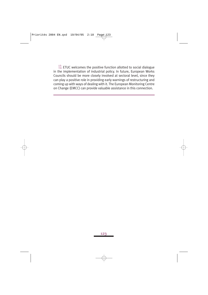**12.** ETUC welcomes the positive function allotted to social dialogue in the implementation of industrial policy. In future, European Works Councils should be more closely involved at sectoral level, since they can play a positive role in providing early warnings of restructuring and coming up with ways of dealing with it. The European Monitoring Centre on Change (EMCC) can provide valuable assistance in this connection.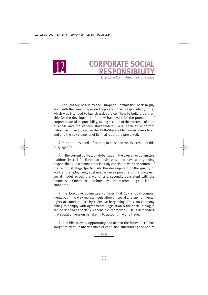<sup>12</sup> **CORPORATE SOCIAL RESPONSIBILITY**

Executive Commitee, 9-10 June 2004

**1.** The journey begun by the European Commission back in July 2001 with the Green Paper on Corporate Social Responsibility (CSR) which was intended to launch a debate on "how to build a partnership for the development of a new framework for the promotion of corporate social responsibility, taking account of the interests of both business and the various stakeholders", will reach an important milestone on 29 June when the Multi-Stakeholder Forum comes to an end and the key elements of its final report are presented.

**2.** Our priorities need, of course, to be set afresh as a result of this busy agenda.

**3.** In the current context of globalisation, the Executive Committee reaffirms its call for European businesses to behave with growing responsibility, in a manner that is firstly consistent with the content of the Lisbon strategy (particularly the development of the quality of work and employment, sustainable development and the European social model across the world) and secondly consistent with the Commission Communication from July 2001 on promoting core labour standards.

**4.** The Executive Committee confirms that CSR should complement, but in no way replace, legislation on social and environmental rights or standards set by collective bargaining. Thus, no company failing to comply with agreements, legislation o the social dialogue can be defined as socially responsible. Moreover, ETUC is demanding that social dimension be taken into account in world trade.

**5.** In public at every opportunity and also in the forum, ETUC has sought to clear up uncertainties or confusion surrounding the nature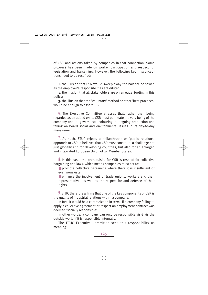of CSR and actions taken by companies in that connection. Some progress has been made on worker participation and respect for legislation and bargaining. However, the following key misconceptions need to be rectified:

**1.** the illusion that CSR would sweep away the balance of power, as the employer's responsibilities are diluted;

2. the illusion that all stakeholders are on an equal footing in this policy;

**3.** the illusion that the 'voluntary' method or other 'best practices' would be enough to assert CSR.

**6.** The Executive Committee stresses that, rather than being regarded as an added extra, CSR must permeate the very being of the company and its governance, colouring its ongoing production and taking on board social and environmental issues in its day-to-day management.

**7.** As such, ETUC rejects a philanthropic or 'public relations' approach to CSR. It believes that CSR must constitute a challenge not just globally and for developing countries, but also for an enlarged and integrated European Union of 25 Member States.

**8.** In this case, the prerequisite for CSR is respect for collective bargaining and laws, which means companies must act to:

■ promote collective bargaining where there it is insufficient or even nonexistent;

■ enhance the involvement of trade unions, workers and their representatives as well as the respect for and defence of their rights.

**9.** ETUC therefore affirms that one of the key components of CSR is the quality of industrial relations within a company.

In fact, it would be a contradiction in terms if a company failing to apply a collective agreement or respect an employment contract was deemed 'socially responsible'.

In other words, a company can only be responsible vis-à-vis the outside world if it is responsible internally.

The ETUC Executive Committee sees this responsibility as meaning: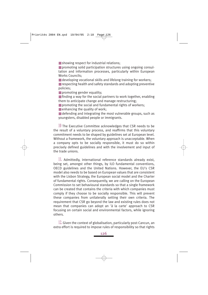■ showing respect for industrial relations;

■ promoting solid participation structures using ongoing consultation and information processes, particularly within European Works Councils;

 $\blacksquare$  developing vocational skills and lifelong training for workers;  $\blacksquare$  respecting health and safety standards and adopting preventive policies;

■ promoting gender equality;

 $\blacksquare$  finding a way for the social partners to work together, enabling them to anticipate change and manage restructuring;

■ promoting the social and fundamental rights of workers;

 $\blacksquare$  enhancing the quality of work;

 $\blacksquare$  defending and integrating the most vulnerable groups, such as youngsters, disabled people or immigrants.

**10** The Executive Committee acknowledges that CSR needs to be the result of a voluntary process, and reaffirms that this voluntary commitment needs to be shaped by guidelines set at European level. Without a framework, the voluntary approach is unacceptable. When a company opts to be socially responsible, it must do so within precisely defined guidelines and with the involvement and input of the trade unions.

**11.** Admittedly, international reference standards already exist, being set, amongst other things, by ILO fundamental conventions, OECD guidelines and the United Nations. However, the EU's CSR model also needs to be based on European values that are consistent with the Lisbon Strategy, the European social model and the Charter of fundamental rights. Consequently, we are calling on the European Commission to set behavioural standards so that a single framework can be created that contains the criteria with which companies must comply if they choose to be socially responsible. This will prevent these companies from unilaterally setting their own criteria. The requirement that CSR go beyond the law and existing rules does not mean that companies can adopt an 'à la carte' approach to CSR focusing on certain social and environmental factors, while ignoring others.

**12.** Given the context of globalisation, particularly post-Cancun, an extra effort is required to impose rules of responsibility so that rights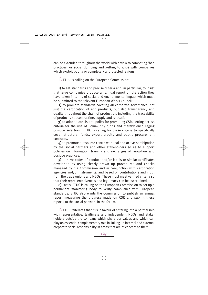can be extended throughout the world with a view to combating 'bad practices' or social dumping and getting to grips with companies which exploit poorly or completely unprotected regions.

**13.** ETUC is calling on the European Commission:

**1)** to set standards and precise criteria and, in particular, to insist that large companies produce an annual report on the action they have taken in terms of social and environmental impact which must be submitted to the relevant European Works Council;

**2)** to promote standards covering all corporate governance, not just the certification of end products, but also transparency and quality throughout the chain of production, including the traceability of products, subcontracting, supply and relocation;

**3)** to adopt a consistent policy for promoting CSR, setting access criteria for the use of Community funds and thereby encouraging positive selection. ETUC is calling for these criteria to specifically cover structural funds, export credits and public procurement contracts.

**4)** to promote a resource centre with real and active participation by the social partners and other stakeholders so as to support policies on information, training and exchanges of know-how and positive practices.

**5)** to have codes of conduct and/or labels or similar certificates developed by using clearly drawn up procedures and checks managed by the Commission and in conjunction with certification agencies and/or instruments, and based on contributions and input from the trade unions and NGOs. These must meet verified criteria so that their representativeness and legitimacy can be ascertained.

**6)** Lastly, ETUC is calling on the European Commission to set up a permanent monitoring body to verify compliance with European standards. ETUC also wants the Commission to publish an annual report measuring the progress made on CSR and submit these reports to the social partners in the forum.

**14.** ETUC reiterates that it is in favour of entering into a partnership with representative, legitimate and independent NGOs and stakeholders outside the company which share our values and which can play an essential complementary role in linking up internal and external corporate social responsibility in areas that are of concern to them.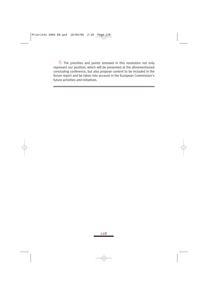**15.** The priorities and points stressed in this resolution not only represent our position, which will be presented at the aforementioned concluding conference, but also propose content to be included in the forum report and be taken into account in the European Commission's future activities and initiatives.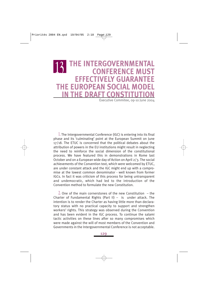# **THE INTERGOVERNMENTAL CONFERENCE MUST EFFECTIVELY GUARANTEE THE EUROPEAN SOCIAL MODEL IN THE DRAFT CONSTITUT** 13

Executive Commitee, 09-10 June 2004

**1.** The Intergovernmental Conference (IGC) is entering into its final phase and its 'culminating' point at the European Summit on June 17/18. The ETUC is concerned that the political debates about the attribution of powers in the EU institutions might result in neglecting the need to reinforce the social dimension of the constitutional process. We have featured this in demonstrations in Rome last October and on a European wide day of Action on April 2/3. The social achievements of the Convention text, which were welcomed by ETUC, are under constant attack and the IGC might end up with a compromise at the lowest common denominator - well known from former IGCs. In fact it was criticism of this process for being untransparent and undemocratic, which had led to the introduction of the Convention method to formulate the new Constitution.

**2.** One of the main cornerstones of the new Constitution – the Charter of Fundamental Rights (Part II)  $-$  is under attack. The intention is to render the Charter as having little more than declaratory status with no practical capacity to support and strengthen workers' rights. This strategy was observed during the Convention and has been evident in the IGC process. To continue the salami tactic activities on these lines after so many compromises which were made against the will of most members of the Convention and Governments in the Intergovernmental Conference is not acceptable.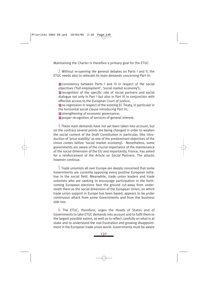Maintaining the Charter is therefore a primary goal for the ETUC.

**3.** Without re-opening the general debates on Parts I and II, the ETUC needs also to reiterate its main demands concerning Part III:

■ consistency between Parts I and III in respect of the social objectives ('full employment', 'social market economy');

■ recognition of the specific role of social partners and social dialogue not only in Part I but also in Part III in conjunction with effective access to the European Court of Justice;

 $\blacksquare$  no regression in respect of the existing EC Treaty, in particular in the horizontal social clause introducing Part III;

■ strengthening of economic governance;

■ proper recognition of services of general interest.

**4.** These main demands have not yet been taken into account, but on the contrary several points are being changed in order to weaken the social content of the Draft Constitution in particular, (the introduction of 'price stability' as one of the predominant objectives of the Union comes before 'social market economy). Nonetheless, some governments are aware of the crucial importance of the maintenance of the social dimension of the EU and importantly, France, has asked for a reinforcement of the Article on Social Partners. The attacks however continue.

**5.** Trade unionists all over Europe are deeply concerned that some Governments are currently opposing every positive European initiative in the social field. Meanwhile, trade union leaders and trade unionists who are seeking to encourage participation in the forthcoming European elections face the ground cut-away from underneath them as the social dimension of the European Union, on which trade union support in Europe has been based, appears to be under continuous attack from some Governments and from the business side too.

**6.** The ETUC, therefore, urges the Heads of States and of Governments to take ETUC demands into account and to fulfil them to the largest possible extent, as well as to reflect carefully on what is at stake and to understand the real frustration and growing disappointment in the European trade union world. Governments must be aware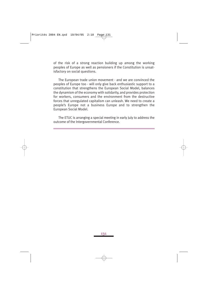of the risk of a strong reaction building up among the working peoples of Europe as well as pensioners if the Constitution is unsatisfactory on social questions.

The European trade union movement - and we are convinced the peoples of Europe too - will only give back enthusiastic support to a constitution that strengthens the European Social Model, balances the dynamism of the economy with solidarity, and provides protection for workers, consumers and the environment from the destructive forces that unregulated capitalism can unleash. We need to create a people's Europe not a business Europe and to strengthen the European Social Model.

The ETUC is arranging a special meeting in early July to address the outcome of the Intergovernmental Conference.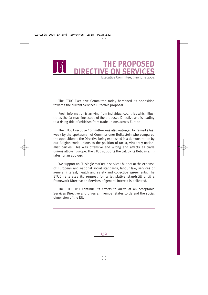

The ETUC Executive Committee today hardened its opposition towards the current Services Directive proposal.

Fresh information is arriving from individual countries which illustrates the far reaching scope of the proposed Directive and is leading to a rising tide of criticism from trade unions across Europe

The ETUC Executive Committee was also outraged by remarks last week by the spokesman of Commissioner Bolkestein who compared the opposition to the Directive being expressed in a demonstration by our Belgian trade unions to the position of racist, virulently nationalist parties. This was offensive and wrong and affects all trade unions all over Europe. The ETUC supports the call by its Belgian affiliates for an apology.

We support an EU single market in services but not at the expense of European and national social standards, labour law, services of general interest, health and safety and collective agreements. The ETUC reiterates its request for a legislative standstill until a framework Directive on Services of general interest is delivered.

The ETUC will continue its efforts to arrive at an acceptable Services Directive and urges all member states to defend the social dimension of the EU.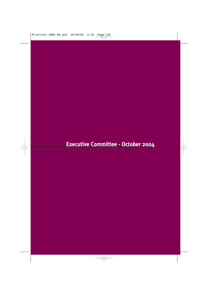**Executive Committee - October 2004**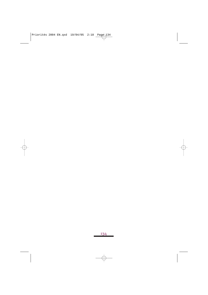Î.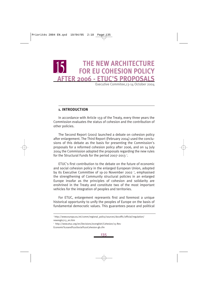# <sup>15</sup> **THE NEW ARCHITECTURE FOR EU COHESION POLICY AFTER 2006 - ETUC'S PROPOSALS**

Executive Commitee,13-14 October 2004

#### **1. INTRODUCTION**

In accordance with Article 159 of the Treaty, every three years the Commission evaluates the status of cohesion and the contribution of other policies.

The Second Report (2001) launched a debate on cohesion policy after enlargement. The Third Report (February 2004) used the conclusions of this debate as the basis for presenting the Commission's proposals for a reformed cohesion policy after 2006, and on 14 July 2004 the Commission adopted the proposals regarding the new rules for the Structural Funds for the period 2007-2013  $^{1}$ .

ETUC's first contribution to the debate on the future of economic and social cohesion policy in the enlarged European Union, adopted by its Executive Committee of 19-20 November 2002 <sup>2</sup>, emphasised the strengthening of Community structural policies in an enlarged Europe insofar as the principles of cohesion and solidarity are enshrined in the Treaty and constitute two of the most important vehicles for the integration of peoples and territories.

For ETUC, enlargement represents first and foremost a unique historical opportunity to unify the peoples of Europe on the basis of fundamental democratic values. This guarantees peace and political

<sup>1</sup> http://www.europa.eu.int/comm/regional\_policy/sources/docoffic/official/regulation/ newregl0713\_en.htm

<sup>2</sup> http://www.etuc.org/en/Decisions/ecenglish/Cohesion/15-Res-

Economic%20and%20Social%20Cohesion-gb.cfm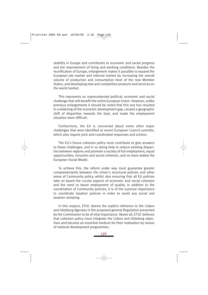stability in Europe and contributes to economic and social progress and the improvement of living and working conditions. Besides the reunification of Europe, enlargement makes it possible to expand the European job market and internal market by increasing the overall volume of production and consumption level of the new Member States, and developing new and competitive products and services on the world market.

This represents an unprecedented political, economic and social challenge that will benefit the entire European Union. However, unlike previous enlargements it should be noted that this one has resulted in a widening of the economic development gap, caused a geographic shift of disparities towards the East, and made the employment situation more difficult.

Furthermore, the EU is concerned about some other major challenges that were identified at recent European Council summits, which also require joint and coordinated responses and actions.

The EU's future cohesion policy must contribute to give answers to these challenges, and in so doing help to reduce existing disparities between regions and promote a society of full employment, equal opportunities, inclusion and social cohesion, and so more widely the European Social Model.

To achieve this, the reform under way must guarantee greater complementarity between the Union's structural policies and other areas of Community policy, whilst also ensuring that all EU policies take on board the crucial aspects of economic and social cohesion and the need to boost employment of quality. In addition to the coordination of Community policies, it is of the outmost importance to coordinate taxation policies in order to avoid any social and taxation dumping.

In this respect, ETUC deems the explicit reference to the Lisbon and Göteborg Agendas in the proposed general Regulation presented by the Commission to be of vital importance. Above all, ETUC believes that cohesion policy must integrate the Lisbon and Göteborg objectives and become an essential medium for their realisation by means of national development programmes.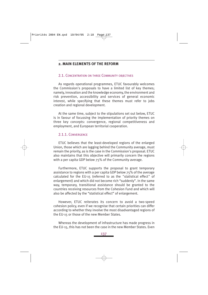#### **2. MAIN ELEMENTS OF THE REFORM**

#### 2.1. CONCENTRATION ON THREE COMMUNITY OBJECTIVES

As regards operational programmes, ETUC favourably welcomes the Commission's proposals to have a limited list of key themes; namely, innovation and the knowledge economy, the environment and risk prevention, accessibility and services of general economic interest, while specifying that these themes must refer to jobs creation and regional development.

At the same time, subject to the stipulations set out below, ETUC is in favour of focussing the implementation of priority themes on three key concepts: convergence, regional competitiveness and employment, and European territorial cooperation.

#### 2.1.1. CONVERGENCE

ETUC believes that the least-developed regions of the enlarged Union, those which are lagging behind the Community average, must remain the priority, as is the case in the Commission's proposal. ETUC also maintains that this objective will primarily concern the regions with a per capita GDP below 75% of the Community average.

Furthermore, ETUC supports the proposal to grant temporary assistance to regions with a per capita GDP below 75% of the average calculated for the EU-15 (referred to as the "statistical effect" of enlargement) and which did not become rich "suddenly". In the same way, temporary, transitional assistance should be granted to the countries receiving resources from the Cohesion Fund and which will also be affected by the "statistical effect" of enlargement.

However, ETUC reiterates its concern to avoid a two-speed cohesion policy, even if we recognise that certain priorities can differ according to whether they involve the most disadvantaged regions of the EU-15 or those of the new Member States.

Whereas the development of infrastructure has made progress in the EU-15, this has not been the case in the new Member States. Even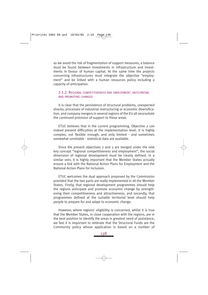as we avoid the risk of fragmentation of support measures, a balance must be found between investments in infrastructure and investments in favour of human capital. At the same time the projects concerning infrastructures must integrate the objective "employment" and be linked with a human resources policy including a capacity of anticipation.

#### 2.1.2. REGIONAL COMPETITIVENESS AND EMPLOYMENT: ANTICIPATINGAND PROMOTING CHANGES

It is clear that the persistence of structural problems, unexpected shocks, processes of industrial restructuring or economic diversification, and company mergers in several regions of the EU all necessitate the continued provision of support to these areas.

ETUC believes that in the current programming, Objective 2 can indeed present difficulties at the implementation level. It is highly complex, not flexible enough, and only limited - and sometimes somewhat unreliable - statistical data are available.

Since the present objectives 2 and 3 are merged under the new key concept "regional competitiveness and employment", the social dimension of regional development must be clearly defined. In a similar vein, it is highly important that the Member States actually ensure a link with the National Action Plans for Employment and the National Action Plans for Inclusion.

ETUC welcomes the dual approach proposed by the Commission provided that the two parts are really implemented in all the Member States. Firstly, that regional development programmes should help the regions anticipate and promote economic change by strengthening their competitiveness and attractiveness; and secondly, that programmes defined at the suitable territorial level should help people to prepare for and adapt to economic change.

However, where regions' eligibility is concerned, whilst it is true that the Member States, in close cooperation with the regions, are in the best position to identify the areas in greatest need of assistance, we feel it is important to reiterate that the Structural Funds are the Community policy whose application is based on a number of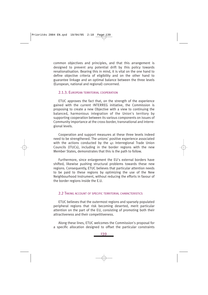common objectives and principles, and that this arrangement is designed to prevent any potential drift by this policy towards renationalisation. Bearing this in mind, it is vital on the one hand to define objective criteria of eligibility and on the other hand to guarantee linkage and an optimal balance between the three levels (European, national and regional) concerned.

#### 2.1.3. EUROPEAN TERRITORIAL COOPERATION

ETUC approves the fact that, on the strength of the experience gained with the current INTERREG initiative, the Commission is proposing to create a new Objective with a view to continuing the balanced, harmonious integration of the Union's territory by supporting cooperation between its various components on issues of Community importance at the cross-border, transnational and interregional levels.

Cooperation and support measures at these three levels indeed need to be strengthened. The unions' positive experience associated with the actions conducted by the 41 Interregional Trade Union Councils (ITUCs), including in the border regions with the new Member States, demonstrates that this is the path to follow.

Furthermore, since enlargement the EU's external borders have shifted, likewise pushing structural problems towards these new regions. Consequently, ETUC believes that particular attention needs to be paid to these regions by optimizing the use of the New Neighbourhood Instrument, without reducing the efforts in favour of the border regions inside the E.U.

#### 2.2 TAKING ACCOUNT OF SPECIFIC TERRITORIAL CHARACTERISTICS

ETUC believes that the outermost regions and sparsely populated peripheral regions that risk becoming deserted, merit particular attention on the part of the EU, consisting of promoting both their attractiveness and their competitiveness.

Along these lines, ETUC welcomes the Commission's proposal for a specific allocation designed to offset the particular constraints

**139**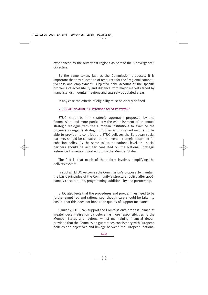experienced by the outermost regions as part of the 'Convergence" Objective.

By the same token, just as the Commission proposes, it is important that any allocation of resources for the "regional competitiveness and employment" Objective take account of the specific problems of accessibility and distance from major markets faced by many islands, mountain regions and sparsely populated areas.

In any case the criteria of eligibility must be clearly defined.

#### 2.3 SIMPLIFICATION: "A STRONGER DELIVERY SYSTEM"

ETUC supports the strategic approach proposed by the Commission, and more particularly the establishment of an annual strategic dialogue with the European institutions to examine the progress as regards strategic priorities and obtained results. To be able to provide its contribution, ETUC believes the European social partners should be consulted on the overall strategic document for cohesion policy. By the same token, at national level, the social partners should be actually consulted on the National Strategic Reference Framework worked out by the Member States.

The fact is that much of the reform involves simplifying the delivery system.

First of all, ETUC welcomes the Commission's proposal to maintain the basic principles of the Community's structural policy after 2006, namely concentration, programming, additionality and partnership.

ETUC also feels that the procedures and programmes need to be further simplified and rationalised, though care should be taken to ensure that this does not impair the quality of support measures.

Similarly, ETUC can support the Commission's proposal aimed at greater decentralisation by delegating more responsibilities to the Member States and regions, whilst maintaining financial rigour, provided that the Commission guarantees consistency with European policies and objectives and linkage between the European, national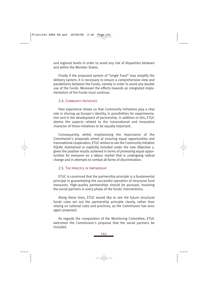and regional levels in order to avoid any risk of disparities between and within the Member States.

Finally if the proposed system of "single Fund" may simplify the delivery system, it is necessary to ensure a comprehensive view and parallelisms between the Funds, namely in order to avoid any double use of the Funds. Moreover the efforts towards an integrated implementation of the Funds must continue.

### 2.4. COMMUNITY INITIATIVES

Past experience shows us that Community Initiatives play a vital role in shoring up Europe's identity, in possibilities for experimentation and in the development of partnership. In addition to this, ETUC deems the aspects related to the transnational and innovative character of these initiatives to be equally important.

Consequently, whilst emphasising the importance of the Commission's proposals aimed at ensuring equal opportunities and transnational cooperation, ETUC wishes to see the Community Initiative EQUAL maintained or explicitly included under the new Objective 2, given the positive results achieved in terms of promoting equal opportunities for everyone on a labour market that is undergoing radical change and in attempts to combat all forms of discrimination.

#### 2.5. THE PRINCIPLE OF PARTNERSHIP

ETUC is convinced that the partnership principle is a fundamental principle in guaranteeing the successful operation of structural fund measures. High-quality partnerships should be pursued, involving the social partners in every phase of the funds' interventions.

Along these lines, ETUC would like to see the future structural funds rules set out the partnership principle clearly, rather than relying on national rules and practices, as the Commission has once again proposed.

As regards the composition of the Monitoring Committee, ETUC welcomes the Commission's proposal that the social partners be included.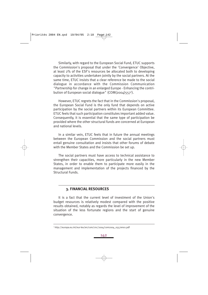Similarly, with regard to the European Social Fund, ETUC supports the Commission's proposal that under the 'Convergence' Objective, at least 2% of the ESF's resources be allocated both to developing capacity to activities undertaken jointly by the social partners. At the same time, ETUC insists that a clear reference be made to the social dialogue in accordance with the Commission Communication "Partnership for change in an enlarged Europe - Enhancing the contribution of European social dialogue" (COM(2004)557 $^3$ ).

However, ETUC regrets the fact that in the Commission's proposal, the European Social Fund is the only fund that depends on active participation by the social partners within its European Committee. ETUC feels that such participation constitutes important added value. Consequently, it is essential that the same type of participation be provided where the other structural funds are concerned at European and national levels.

In a similar vein, ETUC feels that in future the annual meetings between the European Commission and the social partners must entail genuine consultation and insists that other forums of debate with the Member States and the Commission be set up.

The social partners must have access to technical assistance to strengthen their capacities, more particularly in the new Member States, in order to enable them to participate more easily in the management and implementation of the projects financed by the Structural Funds.

#### **3. FINANCIAL RESOURCES**

It is a fact that the current level of investment of the Union's budget resources is relatively modest compared with the positive results obtained, notably as regards the level of improvement of the situation of the less fortunate regions and the start of genuine convergence.

#### **142**

<sup>3</sup> http://europa.eu.int/eur-lex/en/com/cnc/2004/com2004\_0557en01.pdf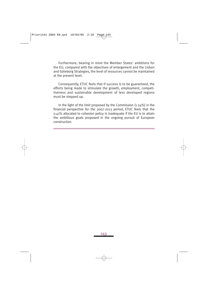Furthermore, bearing in mind the Member States' ambitions for the EU, compared with the objectives of enlargement and the Lisbon and Göteborg Strategies, the level of resources cannot be maintained at the present level.

Consequently, ETUC feels that if success is to be guaranteed, the efforts being made to stimulate the growth, employment, competitiveness and sustainable development of less developed regions must be stepped up.

In the light of the limit proposed by the Commission  $(1.24\%)$  in the financial perspective for the 2007-2013 period, ETUC feels that the 0.41% allocated to cohesion policy is inadequate if the EU is to attain the ambitious goals proposed in the ongoing pursuit of European construction.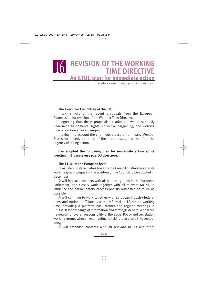# **REVISION OF THE WORKING TIME DIRECTIVE An ETUC plan for immediate action** 10

Executive Commitee, 13-14 October 2004

#### **The Executive Committee of the ETUC,**

- taking note of the recent proposals from the European Commission for revision of the Working Time Directive,

- agreeing that these proposals, if adopted, would seriously undermine fundamental rights, collective bargaining, and working time protection all over Europe,

- taking into account the enormous pressure from many Member States for speedy adoption of these proposals, and therefore the urgency of taking action,

#### **has adopted the following plan for immediate action at its meeting in Brussels on 13-14 October 2004 :**

#### **The ETUC, at the European level:**

**1)** will step up its activities towards the Council of Ministers and its working group, preparing the position of the Council to be adopted in December

**2)** will increase contacts with all political groups in the European Parliament, and closely work together with all relevant MEP's, to influence the parliamentary process and its outcomes as much as possible

**3)** will continue to work together with European industry federations and national affiliates via the informal taskforce on working time, providing a platform (via internet and regular meetings in Brussels) for exchange of information and strategic debate, within the framework of overall responsibility of the Social Policy and Legislation working group, whose next meeting is taking place on 16 November 2004

**4)** will establish contacts with all relevant NGO's and other

**144**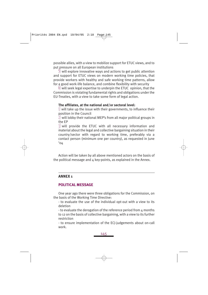possible allies, with a view to mobilize support for ETUC views, and to put pressure on all European institutions

**5)** will explore innovative ways and actions to get public attention and support for ETUC views on modern working time policies, that provide workers with healthy and safe working time patterns, allow for a good work-life balance, and combine flexibility with security

**6)** will seek legal expertise to underpin the ETUC opinion, that the Commission is violating fundamental rights and obligations under the EU-Treaties, with a view to take some form of legal action.

#### **The affiliates, at the national and/or sectoral level:**

1) will take up the issue with their governments, to influence their position in the Council<br>2) will lobby their national MEP's from all major political groups in

the EP

3) will provide the ETUC with all necessary information and material about the legal and collective bargaining situation in their country/sector with regard to working time, preferably via a contact person (minimum one per country), as requested in June  $^6O$ 

Action will be taken by all above mentioned actors on the basis of the political message and  $4$  key-points, as explained in the Annex.

# **ANNEX 1**

# **POLITICAL MESSAGE**

One year ago there were three obligations for the Commission, on the basis of the Working Time Directive:

- to evaluate the use of the individual opt-out with a view to its deletion

- to evaluate the derogation of the reference period from 4 months to 12 on the basis of collective bargaining, with a view to its further restriction

- to ensure implementation of the ECJ-judgements about on-call work.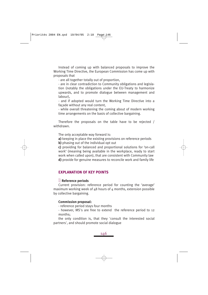Instead of coming up with balanced proposals to improve the Working Time Directive, the European Commission has come up with proposals that

- are all together totally out of proportion,

- are in clear contradiction to Community obligations and legislation (notably the obligations under the EU-Treaty to harmonize upwards, and to promote dialogue between management and labour),

- and if adopted would turn the Working Time Directive into a façade without any real content,

- while overall threatening the coming about of modern working time arrangements on the basis of collective bargaining.

Therefore the proposals on the table have to be rejected / withdrawn.

The only acceptable way forward is:

**a)** keeping in place the existing provisions on reference periods **b)** phasing out of the individual opt out

**c)** providing for balanced and proportional solutions for 'on-call work' (meaning being available in the workplace, ready to start work when called upon), that are consistent with Community law **d)** provide for genuine measures to reconcile work and family life

# **EXPLANATION OF KEY POINTS**

# **1) Reference periods**

Current provision: reference period for counting the 'average' maximum working week of 48 hours of 4 months, extension possible by collective bargaining.

#### **Commission proposal:**

- reference period stays four months

- however, MS's are free to extend the reference period to 12 months;

the only condition is, that they 'consult the interested social partners', and should promote social dialogue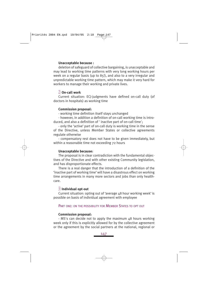#### **Unacceptable because :**

deletion of safeguard of collective bargaining, is unacceptable and may lead to working time patterns with very long working hours per week on a regular basis (up to 85!), and also to a very irregular and unpredictable working time pattern, which may make it very hard for workers to manage their working and private lives.

# **2) On-call work**

Current situation: ECJ-judgments have defined on-call duty (of doctors in hospitals) as working time

#### **Commission proposal:**

- working time definition itself stays unchanged

- however, in addition a definition of on-call working time is introduced, and also a definition of ' inactive part of on-call time';

- only the 'active' part of on-call duty is working time in the sense of the Directive, unless Member States or collective agreements regulate otherwise

- compensatory rest does not have to be given immediately, but within a reasonable time not exceeding 72 hours

#### **Unacceptable because:**

The proposal is in clear contradiction with the fundamental objectives of the Directive and with other existing Community legislation, and has disproportionate effects.

There is a real danger that the introduction of a definition of the 'inactive part of working time' will have a disastrous effect on working time arrangements in many more sectors and jobs than only healthcare.

## **3) Individual opt-out**

Current situation: opting out of 'average 48 hour working week' is possible on basis of individual agreement with employee

# PART ONE: ON THE POSSIBILITY FOR MEMBER STATES TO OPT OUT

#### **Commission proposal:**

- MS's can decide not to apply the maximum 48 hours working week only if this is explicitly allowed for by the collective agreement or the agreement by the social partners at the national, regional or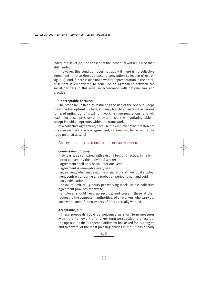'adequate' level (nb: the consent of the individual worker is also then still needed)

- however, this condition does not apply if there is no collective agreement in force (lorsque aucune convention collective n' est en vigueur), and if there is also not a worker representation in the enterprise that is empowered to conclude an agreement between the social partners in this area, in accordance with national law and practice

#### **Unacceptable because:**

The proposal, instead of restricting the use of the opt-out, keeps the individual opt-out in place, and may lead to an increase in various forms of opting-out of maximum working time regulations, and will lead to increased pressure on trade unions at the negotiating table to accept individual opt-outs within the framework

of a collective agreement, because the employer may threaten not to agree on the collective agreement, or even not to recognize the trade union at all……..!

#### PART TWO: ON THE CONDITIONS FOR THE INDIVIDUAL OPT OUT

#### **Commission proposal:**

(new parts, as compared with existing text of Directive, in italic) - prior consent by the individual worker

- agreement shall only be valid for one year
- agreement is renewable every year
- agreement, when made at time of signature of individual employment contract or during any probation period is null and void

- no victimisation

- absolute limit of 65 hours per working week, unless collective agreement provides otherwise

- employer should keep up records, and present these at their request to the competent authorities, of all workers who carry out such work, and of the numbers of hours actually worked.

# **Acceptable, but...**

- These proposals could be welcomed as short term measures within the framework of a longer term perspective to phase-out the opt-out, as the European Parliament has asked for. Putting an end to several of the most pressing abuses in the UK has already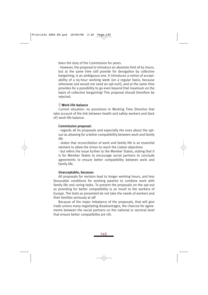been the duty of the Commission for years.

- However, the proposal to introduce an absolute limit of 65 hours, but at the same time still provide for derogation by collective bargaining, is an ambiguous one. It introduces a notion of acceptability of a 65-hour working week (on a regular basis, because otherwise one would not need an opt-out!), and at the same time provides for a possibility to go even beyond that maximum on the basis of collective bargaining! This proposal should therefore be rejected.

# **4) Work-life balance**

Current situation: no provisions in Working Time Directive that take account of the link between health and safety workers and (lack of) work-life balance.

#### **Commission proposal:**

- regards all its proposals and especially the ones about the optout as allowing for a better compatibility between work and family life

- states that reconciliation of work and family life is an essential element to allow the Union to reach the Lisbon objectives

- but refers the issue further to the Member States, stating that it is for Member States to encourage social partners to conclude agreements to ensure better compatibility between work and family life.

#### **Unacceptable, because:**

All proposals for revision lead to longer working hours, and less favourable conditions for working parents to combine work with family life and caring tasks. To present the proposals on the opt-out as providing for better compatibility is an insult to the workers of Europe. The texts as presented do not take the needs of workers and their families seriously at all!

Because of the major imbalance of the proposals, that will give trade unions many negotiating disadvantages, the chances for agreements between the social partners on the national or sectoral level that ensure better compatibility are nill.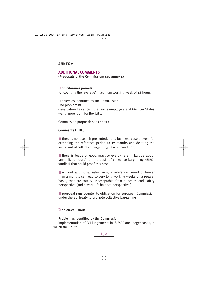# **ANNEX 2**

# **ADDITIONAL COMMENTS**

**(Proposals of the Commission: see annex 1)** 

# **1) on reference periods**

for counting the 'average' maximum working week of 48 hours:

Problem as identified by the Commission:

- no problem (!)

- evaluation has shown that some employers and Member States want 'more room for flexibility'.

Commission proposal: see annex 1

# **Comments ETUC:**

 $\blacksquare$  there is no research presented, nor a business case proven, for extending the reference period to 12 months and deleting the safeguard of collective bargaining as a precondition;

■ there is loads of good practice everywhere in Europe about 'annualized hours' on the basis of collective bargaining (EIROstudies) that could proof this case

■ without additional safeguards, a reference period of longer than 4 months can lead to very long working weeks on a regular basis, that are totally unacceptable from a health and safety perspective (and a work-life balance perspective!)

■ proposal runs counter to obligation for European Commission under the EU-Treaty to promote collective bargaining

# **2) on on-call work**

Problem as identified by the Commission:

implementation of ECJ-judgements in SIMAP and Jaeger cases, in which the Court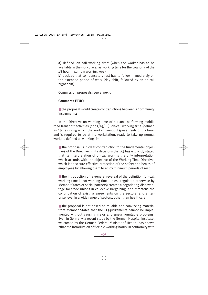**a)** defined 'on call working time' (when the worker has to be available in the workplace) as working time for the counting of the 48 hour maximum working week

**b)** decided that compensatory rest has to follow immediately on the extended period of work (day shift, followed by an on-call night shift).

Commission proposals: see annex 1

#### **Comments ETUC:**

 $\blacksquare$  the proposal would create contradictions between 2 Community instruments:

in the Directive on working time of persons performing mobile road transport activities (2002/15/EC), on-call working time (defined as ' time during which the worker cannot dispose freely of his time, and is required to be at his workstation, ready to take up normal work) is defined as working time

 $\blacksquare$  the proposal is in clear contradiction to the fundamental objectives of the Directive: in its decisions the ECJ has explicitly stated that its interpretation of on-call work is the only interpretation which accords with the objective of the Working Time Directive, which is to secure effective protection of the safety and health of employees by allowing them to enjoy minimum periods of rest

 $\blacksquare$  the introduction of a general reversal of the definition (on-call working time is not working time, unless regulated otherwise by Member States or social partners) creates a negotiating-disadvantage for trade unions in collective bargaining, and threatens the continuation of existing agreements on the sectoral and enterprise level in a wide range of sectors, other than healthcare

 $\blacksquare$  the proposal is not based on reliable and convincing material from Member States that the ECJ-judgements cannot be implemented without causing major and unsurmountable problems. Even in Germany, a recent study by the German Hospital Institute, welcomed by the German Federal Minister of Health, has shown "that the introduction of flexible working hours, in conformity with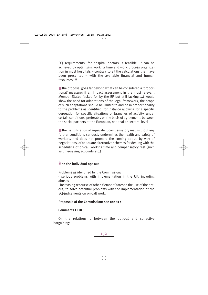ECJ requirements, for hospital doctors is feasible. It can be achieved by optimizing working time and work process organization in most hospitals – contrary to all the calculations that have been presented – with the available financial and human resources" !!

 $\blacksquare$  the proposal goes far beyond what can be considered a 'proportional' measure: if an impact assessment in the most relevant Member States (asked for by the EP but still lacking…..) would show the need for adaptations of the legal framework, the scope of such adaptations should be limited to and be in proportionality to the problems as identified, for instance allowing for a specific derogation for specific situations or branches of activity, under certain conditions, preferably on the basis of agreements between the social partners at the European, national or sectoral level

 $\blacksquare$  the flexibilization of 'equivalent compensatory rest' without any further conditions seriously undermines the health and safety of workers, and does not promote the coming about, by way of negotiations, of adequate alternative schemes for dealing with the scheduling of on-call working time and compensatory rest (such as time-saving accounts etc.)

# **3) on the individual opt-out**

Problems as identified by the Commission:

- serious problems with implementation in the UK, including abuses

- increasing recourse of other Member States to the use of the optout, to solve potential problems with the implementation of the ECJ-judgements on on-call work.

#### **Proposals of the Commission: see annex 1**

#### **Comments ETUC:**

On the relationship between the opt-out and collective bargaining: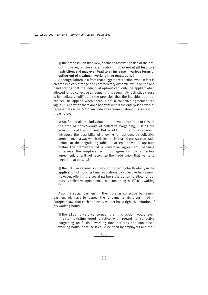$\blacksquare$  the proposal, on first view, seems to restrict the use of the optout. However, on closer examination, it **does not al all lead to a restriction, and may even lead to an increase in various forms of opting-out of maximum working time regulations** !

Although written in a from that suggests restriction, what in fact is created is a very strange and contradictory dynamic: while on the one hand stating that the individual opt-out can 'only' be applied when allowed for by collective agreement, this seemingly restrictive clause is immediately nullified by the provision that the individual opt-out can still be applied when there is not a collective agreement 'en vigueur', and when there does not exist within the enterprise a worker representation that 'can' conclude an agreement about this issue with the employer.

 $\blacksquare$  So, first of all, the individual opt-out would continue to exist in the area of non-coverage of collective bargaining, just as the situation is at this moment. But in addition, the proposal would introduce the possibility of allowing for opt-outs by collective agreement, in a way which will lead to increased pressure on trade unions at the negotiating table to accept individual opt-outs within the framework of a collective agreement, because otherwise the employer will not agree on the collective agreement, or will not recognize the trade union that wants to negotiate at all ……..!

■ the ETUC in general is in favour of providing for flexibility in the **application** of working time regulations by collective bargaining. However, offering the social partners the option to allow for opt outs by collective agreement, is not something the ETUC is waiting for!

Also the social partners in their role as collective bargaining partners will have to respect the fundamental right enshrined in European law, that each and every worker has a right to limitation of his working hours.

■ the ETUC is very concerned, that this option would even threaten existing good practice with regard to collective bargaining on flexible working time patterns and annualised working hours, because it could be seen by employers and their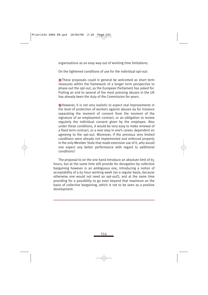organisations as an easy way out of working time limitations.

On the tightened conditions of use for the individual opt-out:

■ These proposals could in general be welcomed as short term measures within the framework of a longer term perspective to phase-out the opt-out, as the European Parliament has asked for. Putting an end to several of the most pressing abuses in the UK has already been the duty of the Commission for years.

■ However, it is not very realistic to expect real improvements in the level of protection of workers against abuses by for instance separating the moment of consent from the moment of the signature of an employment contract, or an obligation to review regularly the individual consent given by the employee. Also under these conditions, it would be very easy to make renewal of a fixed term contract, or a next step in one's career, dependent on agreeing to the opt-out. Moreover, if the previous very limited conditions were already not implemented and enforced properly in the only Member State that made extensive use of it, why would one expect any better performance with regard to additional conditions?

The proposal to on the one hand introduce an absolute limit of 65 hours, but at the same time still provide for derogation by collective bargaining however is an ambiguous one, introducing a notion of acceptability of a 65-hour working week (on a regular basis, because otherwise one would not need an opt-out!), and at the same time providing for a possibility to go even beyond that maximum on the basis of collective bargaining, which is not to be seen as a positive development.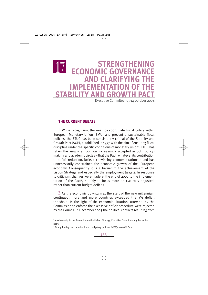# <sup>17</sup> **STRENGTHENING ECONOMIC GOVERNANCE AND CLARIFYING THE IMPLEMENTATION OF TH STABILITY AND GRO**

Executive Commitee, 13-14 october 2004

# **THE CURRENT DEBATE**

**1.** While recognising the need to coordinate fiscal policy within European Monetary Union (EMU) and prevent unsustainable fiscal policies, the ETUC has been consistently critical of the Stability and Growth Pact (SGP), established in 1997 with the aim of ensuring fiscal discipline under the specific conditions of monetary union<sup>1</sup>. ETUC has taken the view – an opinion increasingly accepted in both policymaking and academic circles – that the Pact, whatever its contribution to deficit reduction, lacks a convincing economic rationale and has unnecessarily constrained the economic growth of the- European economy. Consequently it is a barrier to the achievement of the Lisbon Strategy and especially the employment targets. In response to criticism, changes were made at the end of 2002 to the implementation of the Pact<sup>2</sup>, notably to focus more on cyclically adjusted, rather than current budget deficits.

**2.** As the economic downturn at the start of the new millennium continued, more and more countries exceeded the 3% deficit threshold. In the light of the economic situation, attempts by the Commission to enforce the excessive deficit procedure were rejected by the Council. In December 2003 the political conflicts resulting from

<sup>&</sup>lt;sup>1</sup> Most recently in the Resolution on the Lisbon Strategy, Executive Committee, 4-5 December 2003.

<sup>&</sup>lt;sup>2</sup> Strengthening the co-ordination of budgetary policies, COM(2002) 668 final.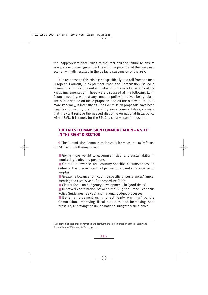the inappropriate fiscal rules of the Pact and the failure to ensure adequate economic growth in line with the potential of the European economy finally resulted in the de facto suspension of the SGP.

**3.** In response to this crisis (and specifically to a call from the June European Council), in September 2004 the Commission issued a Communication<sup>3</sup> setting out a number of proposals for reforms of the Pact's implementation. These were discussed at the following EcFin Council meeting, without any concrete policy initiatives being taken. The public debate on these proposals and on the reform of the SGP more generally, is intensifying. The Commission proposals have been heavily criticised by the ECB and by some commentators, claiming that they will remove the needed discipline on national fiscal policy within EMU. It is timely for the ETUC to clearly state its position.

## **THE LATEST COMMISSION COMMUNICATION – A STEP IN THE RIGHT DIRECTION**

**4.** The Commission Communication calls for measures to 'refocus' the SGP in the following areas:

■ Giving more weight to government debt and sustainability in monitoring budgetary positions.

■ Greater allowance for 'country-specific circumstances' in defining the medium-term objective of close-to balance or in surplus.

■ Greater allowance for 'country-specific circumstances' implementing the excessive deficit procedure (EDP).

■ Clearer focus on budgetary developments in 'good times'.

■ Improved coordination between the SGP, the Broad Economic Policy Guidelines (BEPGs) and national budget processes.

■ Better enforcement using direct 'early warnings' by the Commission, improving fiscal statistics and increasing peer pressure, improving the link to national budgetary timetables

<sup>&</sup>lt;sup>3</sup> Strengthening economic governance and clarifying the implementation of the Stability and Growth Pact, COM(2004) 581 final, 3.9.2004.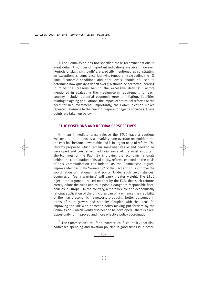**5.** The Commission has not specified these recommendations in great detail. A number of important indications are given, however. 'Periods of sluggish growth' are explicitly mentioned as constituting an 'exceptional circumstance' justifying temporarily exceeding the 3% limit. 'Economic conditions and debt levels' should be used to determine how quickly a deficit over 3% should be corrected, bearing in mind the 'reasons behind the excessive deficits'. Factors mentioned in evaluating the medium-term requirement for each country include 'potential economic growth, inflation, liabilities relating to ageing populations, the impact of structural reforms or the need for net investment'. Importantly, the Communication makes repeated reference to the need to prepare for ageing societies. These points are taken up below.

#### **ETUC POSITIONS AND REFORM PERSPECTIVES**

**6.** In an immediate press release the ETUC gave a cautious welcome to the proposals as marking long-overdue recognition that the Pact has become unworkable and is in urgent need of reform. The reforms proposed which remain somewhat vague and need to be developed and concretised, address some of the most important shortcomings of the Pact. By improving the economic rationale behind the coordination of fiscal policy, reforms enacted on the basis of this Communication can indeed, as the Commission argues, improve Member State 'ownership' of the Pact and thus improve the coordination of national fiscal policy. Under such circumstances, Commission 'early warnings' will carry greater weight. The ETUC rejects the argument, raised notably by the ECB, that such reforms merely dilute the rules and thus pose a danger to responsible fiscal policies in Europe. On the contrary, a more flexible and economically rational application of the principles can only enhance the credibility of the macro-economic framework, producing better outcomes in terms of both growth and stability. Coupled with the ideas for improving the link with domestic policy-making put forward by the Commission – which would also need to be developed – there is a real opportunity for improved and more effective policy coordination.

**7.** The Commission's call for a symmetrical fiscal policy that also addresses spending and taxation policies in good times is in accor-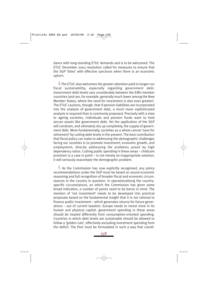dance with long-standing ETUC demands and is to be welcomed. The ETUC December 2003 resolution called for measures to ensure that the SGP 'bites' with effective sanctions when there is an economic upturn.

**8.** The ETUC also welcomes the greater attention paid to longer-run fiscal sustainability, especially regarding government debt. Government debt levels vary considerably between the EMU member countries (and are, for example, generally much lower among the New Member States, where the need for investment is also even greater). The ETUC cautions, though, that if pension liabilities are incorporated into the analysis of government debt, a much more sophisticated analysis is required than is commonly proposed. Precisely with a view to ageing societies, individuals and pension funds want to hold secure assets like government debt. Yet the application of the SGP will constrain, and ultimately dry up completely, the supply of government debt. More fundamentally, societies as a whole cannot 'save for retirement' by cutting debt levels in the present. The best contribution that fiscal policy can make to addressing the demographic challenges facing our societies is to promote investment, economic growth, and employment, directly addressing the problems posed by high dependency ratios. Cutting public spending in these areas – childcare provision is a case in point – is not merely an inappropriate solution; it will seriously exacerbate the demographic problem.

**9.** As the Commission has now explicitly recognised, any policy recommendations under the SGP must be based on sound economic reasoning and full recognition of broader fiscal and economic circumstances in the country in question. In operationalising the countryspecific circumstances, on which the Commission has given some broad indication, a number of points need to be borne in mind. The mention of 'net investment' needs to be developed into practical proposals based on the fundamental insight that it is not rational to finance public investment – which generates returns for future generations – out of current taxation. Europe needs to invest more in its human and physical capital: government spending in these areas should be treated differently from consumption-oriented spending. Countries in which debt levels are sustainable should be allowed to follow a 'golden rule', effectively excluding investment spending from the deficit. The Pact must be formulated in such a way that coordi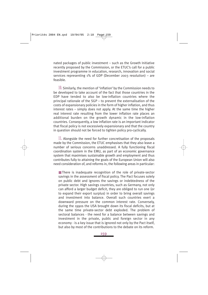nated packages of public investment – such as the Growth Initiative recently proposed by the Commission, or the ETUC's call for a public investment programme in education, research, innovation and social services representing 1% of GDP (December 2003 resolution) – are feasible.

**10.** Similarly, the mention of 'inflation' by the Commission needs to be developed to take account of the fact that those countries in the EDP have tended to also be low-inflation countries where the principal rationale of the SGP – to prevent the externalisation of the costs of expansionary policies in the form of higher inflation, and thus interest rates – simply does not apply. At the same time the higher real interest rate resulting from the lower inflation rate places an additional burden on the growth dynamic in the low-inflation countries. Consequently, a low inflation rate is an important indicator that fiscal policy is not excessively expansionary and that the country in question should not be forced to tighten policy pro-cyclically.

**11.** Alongside the need for further concretisation of the proposals made by the Commission, the ETUC emphasises that they also leave a number of serious concerns unaddressed. A fully functioning fiscal coordination system in the EMU, as part of an economic governance system that maximises sustainable growth and employment and thus contributes fully to attaining the goals of the European Union will also need consideration of, and reforms in, the following areas in particular:

■ There is inadequate recognition of the role of private-sector savings in the assessment of fiscal policy. The Pact focuses solely on public debt and ignores the savings or indebtedness of the private sector. High savings countries, such as Germany, not only can afford a larger budget deficit, they are obliged to run one (or to expand their export surplus) in order to bring overall savings and investment into balance. Overall such countries exert a downward pressure on the common interest rate. Conversely, during the 1990s the USA brought down its fiscal deficits, but at the same time private-sector debt exploded. The problem of sectoral balances - the need for a balance between savings and investment in the private, public and foreign sector in any economy - is a key issue that is ignored not only by the Pact itself, but also by most of the contributions to the debate on its reform.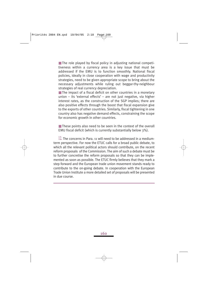$\blacksquare$  The role played by fiscal policy in adjusting national competitiveness within a currency area is a key issue that must be addressed if the EMU is to function smoothly. National fiscal policies, ideally in close cooperation with wage and productivity strategies, need to be given appropriate scope to bring about the necessary adjustments while ruling out beggar-thy-neighbour strategies of real currency depreciation.

■ The impact of a fiscal deficit on other countries in a monetary union – its 'external effects' – are not just negative, via higher interest rates, as the construction of the SGP implies; there are also positive effects through the boost that fiscal expansion give to the exports of other countries. Similarly, fiscal tightening in one country also has negative demand effects, constraining the scope for economic growth in other countries.

■ These points also need to be seen in the context of the overall EMU fiscal deficit (which is currently substantially below 3%).

**12.** The concerns in Para. 11 will need to be addressed in a mediumterm perspective. For now the ETUC calls for a broad public debate, to which all the relevant political actors should contribute, on the recent reform proposals of the Commission. The aim of such a debate must be to further concretise the reform proposals so that they can be implemented as soon as possible. The ETUC firmly believes that they mark a step forward and the European trade union movement stands ready to contribute to the on-going debate. In cooperation with the European Trade Union Institute a more detailed set of proposals will be presented in due course.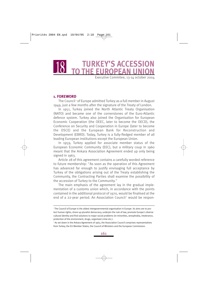# <sup>18</sup> **TURKEY'S ACCESSION TO THE EUROPEAN UNION**

Executive Commitee, 13-14 october 2004

#### **1. FOREWORD**

The Council<sup>1</sup> of Europe admitted Turkey as a full member in August 1949, just a few months after the signature of the Treaty of London.

In 1951, Turkey joined the North Atlantic Treaty Organisation (NATO) and became one of the cornerstones of the Euro-Atlantic defence system. Turkey also joined the Organisation for European Economic Cooperation (the OEEC, later to become the OECD), the Conference on Security and Cooperation in Europe (later to become the OSCE) and the European Bank for Reconstruction and Development (EBRD). Today, Turkey is a fully-fledged member of all leading European institutions except the European Union.

In 1959, Turkey applied for associate member status of the European Economic Community (EEC), but a military coup in 1960 meant that the Ankara Association Agreement ended up only being signed in 1963.

Article 28 of this agreement contains a carefully worded reference to future membership: "As soon as the operation of this Agreement has advanced far enough to justify envisaging full acceptance by Turkey of the obligations arising out of the Treaty establishing the Community, the Contracting Parties shall examine the possibility of the accession of Turkey to the Community."

The main emphasis of the agreement lay in the gradual implementation of a customs union which, in accordance with the points contained in the additional protocol of 1970, would be finalised at the end of a 22-year period. An Association Council<sup>2</sup> would be respon-

<sup>1</sup> The Council of Europe is the oldest intergovernmental organisation in Europe. Its aims are to protect human rights, shore up pluralist democracy, underpin the rule of law, promote Europe's diverse cultural identity and find solutions to major social problems (re minorities, xenophobia, intolerance, protection of the environment, drugs, organised crime etc.).

<sup>2</sup> As set down in the Ankara Agreement of 1963, the Association Council comprises representatives from Turkey, the EU Member States, the Council of Ministers and the European Commission.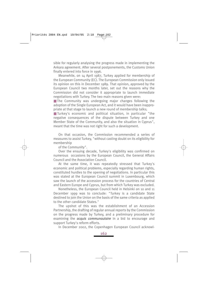sible for regularly analysing the progress made in implementing the Ankara agreement. After several postponements, the Customs Union finally entered into force in 1996.

Meanwhile, on 14 April 1987, Turkey applied for membership of the European Community (EC). The European Commission only issued its opinion on this in December 1989. That opinion, approved by the European Council two months later, set out the reasons why the Commission did not consider it appropriate to launch immediate negotiations with Turkey. The two main reasons given were:

■ The Community was undergoing major changes following the adoption of the Single European Act, and it would have been inappropriate at that stage to launch a new round of membership talks;

■ Turkey's economic and political situation, in particular "the negative consequences of the dispute between Turkey and one Member State of the Community, and also the situation in Cyprus", meant that the time was not right for such a development.

On that occasion, the Commission recommended a series of measures to assist Turkey, "without casting doubt on its eligibility for membership

of the Community".

Over the ensuing decade, Turkey's eligibility was confirmed on numerous occasions by the European Council, the General Affairs Council and the Association Council.

At the same time, it was repeatedly stressed that Turkey's economic and political problems, especially regarding human rights, constituted hurdles to the opening of negotiations. In particular this was stated at the European Council summit in Luxembourg, which saw the launch of the accession process for the countries of Central and Eastern Europe and Cyprus, but from which Turkey was excluded.

Nonetheless, the European Council held in Helsinki on 10 and 11 December 1999 was to conclude: "Turkey is a candidate State destined to join the Union on the basis of the same criteria as applied to the other candidate States."

The upshot of this was the establishment of an Accession Partnership, the drafting of regular annual reports by the Commission on the progress made by Turkey, and a preliminary procedure for examining the *acquis communautaire* in a bid to encourage and support Turkey's reform efforts.

In December 2002, the Copenhagen European Council acknowl-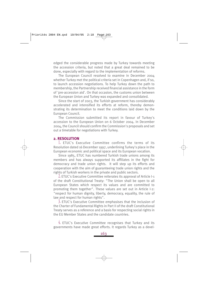edged the considerable progress made by Turkey towards meeting the accession criteria, but noted that a great deal remained to be done, especially with regard to the implementation of reforms.

The European Council resolved to examine in December 2004 whether Turkey met the political criteria set in Copenhagen and, if so, to launch accession negotiations. To help Turkey down the path to membership, the Partnership received financial assistance in the form of 'pre-accession aid'. On that occasion, the customs union between the European Union and Turkey was expanded and consolidated.

Since the start of 2003, the Turkish government has considerably accelerated and intensified its efforts at reform, thereby demonstrating its determination to meet the conditions laid down by the European Council.

The Commission submitted its report in favour of Turkey's accession to the European Union on 6 October 2004. In December 2004, the Council should confirm the Commission's proposals and set out a timetable for negotiations with Turkey.

#### **2. RESOLUTION**

**1.** ETUC's Executive Committee confirms the terms of its Resolution dated 16 December 1997, underlining Turkey's place in the European economic and political space and its European vocation.

Since 1985, ETUC has numbered Turkish trade unions among its members and has always supported its affiliates in the fight for democracy and trade union rights. It will step up its efforts and cooperation with the aim of guaranteeing trade union rights and the rights of Turkish workers in the private and public sectors.

**2.** ETUC's Executive Committee reiterates its approval of Article I-1 of the draft Constitutional Treaty: "The Union shall be open to all European States which respect its values and are committed to promoting them together". These values are set out in Article I-2: "respect for human dignity, liberty, democracy, equality, the rule of law and respect for human rights".

**3.** ETUC's Executive Committee emphasises that the inclusion of the Charter of Fundamental Rights in Part II of the draft Constitutional Treaty serves as a reference and a basis for respecting social rights in the EU Member States and the candidate countries.

**4.** ETUC's Executive Committee recognises that Turkey and its governments have made great efforts. It regards Turkey as a devel-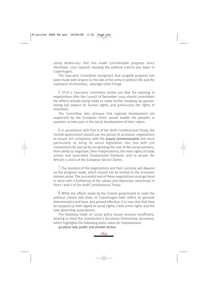oping democracy that has made considerable progress since December 2002 towards meeting the political criteria laid down in Copenhagen.

The Executive Committee recognises that tangible progress has been made with respect to the role of the army in political life and the treatment of minorities, amongst other things.

**5.** ETUC's Executive Committee points out that the opening of negotiations after the Council of December 2004 should consolidate the efforts already being made to make further headway by guaranteeing full respect for human rights, and particularly the rights of minorities.

The Committee also stresses that regional development aid supported by the European Union would enable the peoples in question to take part in the social development of their region.

**6.** In accordance with Part II of the draft Constitutional Treaty, the Turkish government should use the period of accession negotiations to ensure full compliance with the *acquis communautaire* and more particularly to bring its social legislation into line with ILO Conventions 87 and 98 by recognising the role of the social partners, their ability to negotiate, their independence, the main rights of trade unions and associated fundamental freedoms and to accept the Articles 5 and 6 of the European Social Charter.

**7.** The duration of the negotiations and their outcome will depend on the progress made, which should not be limited to the economic domain alone. The successful end of these negotiations must go hand in hand with a furthering of the values and objectives mentioned in Parts I and II of the draft Constitutional Treaty.

**8.** While the efforts made by the Turkish government to meet the political criteria laid down at Copenhagen both reflect its genuine determination and have also proved effective, it is now vital that they be stepped up with regard to social rights, trade union rights and the laws governing associations.

The headway made on social policy issues remains insufficient, bearing in mind the Commission's Accession Partnership document, which highlights the following major areas for improvement:

■ Labour law, public and private sector: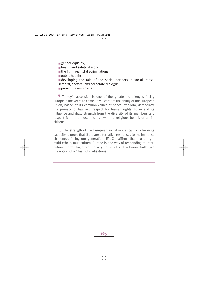- gender equality;
- health and safety at work:
- the fight against discrimination;
- public health:
- developing the role of the social partners in social, crosssectoral, sectoral and corporate dialogue;
- promoting employment.

**9.** Turkey's accession is one of the greatest challenges facing Europe in the years to come. It will confirm the ability of the European Union, based on its common values of peace, freedom, democracy, the primacy of law and respect for human rights, to extend its influence and draw strength from the diversity of its members and respect for the philosophical views and religious beliefs of all its citizens.

**10.** The strength of the European social model can only lie in its capacity to prove that there are alternative responses to the immense challenges facing our generation. ETUC reaffirms that nurturing a multi-ethnic, multicultural Europe is one way of responding to international terrorism, since the very nature of such a Union challenges the notion of a 'clash of civilisations'.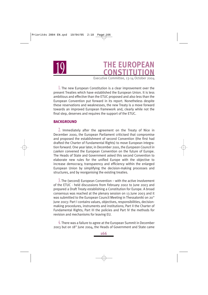

# <sup>19</sup> **THE EUROPEAN CONSTITUTION**

Executive Committee, 13-14 October 2004

**1.** The new European Constitution is a clear improvement over the present Treaties which have established the European Union. It is less ambitious and effective than the ETUC proposed and also less than the European Convention put forward in its report. Nonetheless despite these reservations and weaknesses, the new Treaty is a move forward towards an improved European framework and, clearly while not the final step, deserves and requires the support of the ETUC.

# **BACKGROUND**

**2.** Immediately after the agreement on the Treaty of Nice in December 2000, the European Parliament criticised that compromise and proposed the establishment of second Convention (the first had drafted the Charter of Fundamental Rights) to move European integration forward. One year later, in December 2001, the *European Council in Laeken* convened the European Convention on the future of Europe. The Heads of State and Government asked this second Convention to elaborate new rules for the unified Europe with the objective to increase democracy, transparency and efficiency within the enlarged European Union by simplifying the decision-making processes and structures, and by reorganising the existing treaties.

**3.** The (second) European Convention – with the active involvement of the ETUC - held discussions from February 2002 to June 2003 and prepared a Draft Treaty establishing a Constitution for Europe. A broad consensus was reached at the plenary session on 13 June 2003 and it was submitted to the European Council Meeting in Thessaloniki on 20<sup>th</sup> June 2003: Part I contains values, objectives, responsibilities, decisionmaking procedures, instruments and institutions; Part II the Charter of Fundamental Rights; Part III the policies and Part IV the methods for revision and mechanisms for leaving EU.

**4.** There was a failure to agree at the European Summit in December 2003 but on 18<sup>th</sup> June 2004, the Heads of Government and State came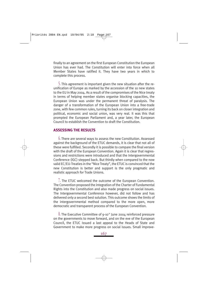finally to an agreement on the first European Constitution the European Union has ever had. The Constitution will enter into force when all Member States have ratified it. They have two years in which to complete this process.

**5.** This agreement is important given the new situation after the reunification of Europe as marked by the accession of the 10 new states to the EU in May 2004. As a result of the compromises of the Nice treaty in terms of helping member states organise blocking capacities, the European Union was under the permanent threat of paralysis. The danger of a transformation of the European Union into a free-trade zone, with few common rules, turning its back on closer integration and political, economic and social union, was very real. It was this that prompted the European Parliament and, a year later, the European Council to establish the Convention to draft the Constitution.

#### **ASSESSING THE RESULTS**

**6.** There are several ways to assess the new Constitution. Assessed against the background of the ETUC demands, it is clear that not all of these were fulfilled. Secondly it is possible to compare the final version with the draft of the European Convention. Again it is clear that regressions and restrictions were introduced and that the Intergovernmental Conference (IGC) stepped back. But thirdly when compared to the now valid EC/EU-Treaties in the "Nice Treaty", the ETUC is convinced that the new Constitution is better and support is the only pragmatic and realistic approach for Trade Unions.

**7.** The ETUC welcomed the outcome of the European Convention. The Convention proposed the integration of the Charter of Fundamental Rights into the Constitution and also made progress on social issues. The Intergovernmental Conference however, did not follow and has delivered only a second best solution. This outcome shows the limits of the intergovernmental method compared to the more open, more democratic and transparent process of the European Convention.

**8.** The Executive Committee of 9-10<sup>th</sup> June 2004 reinforced pressure on the governments to move forward, and on the eve of the European Council, the ETUC issued a last appeal to the Heads of State and Government to make more progress on social issues. Small improve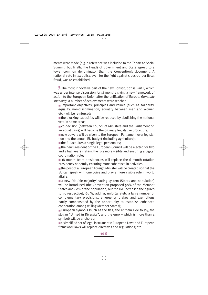ments were made (e.g. a reference was included to the Tripartite Social Summit) but finally, the Heads of Government and State agreed to a lower common denominator than the Convention's document. A national veto in tax policy, even for the fight against cross-border fiscal fraud, was re-established.

**9.** The most innovative part of the new Constitution is Part I, which was under intense discussion for 18 months giving a new framework of action to the European Union after the unification of Europe. *Generally speaking*, a number of achievements were reached:

■ Important objectives, principles and values (such as solidarity, equality, non-discrimination, equality between men and women etc.) will be reinforced;

 $\blacksquare$  the blocking capacities will be reduced by abolishing the national veto in some areas;

■ co-decision (between Council of Ministers and the Parliament on an equal basis) will become the ordinary legislative procedure;

■ new powers will be given to the European Parliament over legislation and the annual EU budget (including agriculture);

 $\blacksquare$  the EU acquires a single legal personality;

■ the new President of the European Council will be elected for two and a half years making the role more visible and ensuring a bigger coordination role;

■ 18 month team presidencies will replace the 6 month rotation presidency hopefully ensuring more coherence in activities;

■ the post of a European Foreign Minister will be created so that the EU can speak with one voice and play a more visible role in world affairs;

■ a new "double majority" voting system (States and population) will be introduced (the Convention proposed 50% of the Member States and 60% of the population, but the IGC increased the figures to 55 respectively 65 %, adding, unfortunately, a large number of complementary provisions, emergency brakes and exemptions partly compensated by the opportunity to establish enhanced cooperation among willing Member States);

■ European symbols (such as the flag, the anthem Ode to Joy, the slogan "United in Diversity", and the euro – which is more than a symbol) will be anchored;

■ a simplified set of legal instruments: European Laws and European framework laws will replace directives and regulations; etc.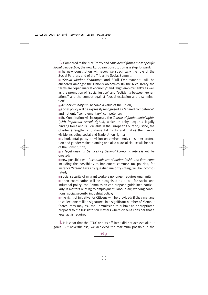**10.** Compared to the Nice Treaty and *considered from a more specific social perspective*, the new European Constitution is a step forward:

■The new Constitution will recognise specifically the role of the Social Partners and of the Tripartite Social Summit;

■ *"Social Market Economy"* and "Full Employment" will be anchored amongst the Union's objectives (in the Nice Treaty the terms are "open market economy" and "high employment") as well as the promotion of "social justice" and "solidarity between generations" and the combat against "social exclusion and discrimination";

■ *gender equality will* become a value of the Union;

■ social policy will be expressly recognised as "shared competence" and not only "complementary" competence;

■ the Constitution will incorporate the *Charter of fundamental rights* (*with important social rights*), which thereby acquires legally binding force and is judiciable in the European Court of Justice; the Charter strengthens fundamental rights and makes them more visible including social and Trade Union rights;

■ a horizontal policy provision on environment, consumer protection and gender mainstreaming and also a social clause will be part of the Constitution;

■ a *legal base for Services of General Economic Interest* will be created;

■ new possibilities of *economic coordination inside the Euro zone* including the possibility to implement common tax policies, for instance "green" taxes by qualified majority voting, will be incorporated;

■ social security of migrant workers no longer requires unanimity;

■ open coordination will be recognised as a tool for social and industrial policy; the Commission can propose guidelines particularly in matters relating to employment, labour law, working conditions, social security, industrial policy;

■ the right of initiative for Citizens will be provided: if they manage to collect one million signatures in a significant number of Member States, they may ask the Commission to submit an appropriated proposal to the legislator on matters where citizens consider that a legal act is required.

**11.** It is clear that the ETUC and its affiliates did not achieve all our goals. But nevertheless, we achieved the maximum possible in the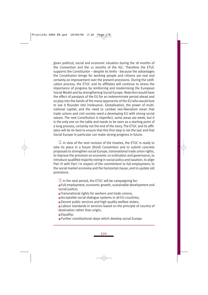given political, social and economic situation during the 18 months of the Convention and the 12 months of the IGC. Therefore the ETUC supports the Constitution – despite its limits - because the advantages the Constitution brings for working people and citizens are real and certainly an improvement over the present provisions. During the ratification process, the ETUC and its affiliates will continue to stress the importance of progress by reinforcing and modernising the European Social Model and by strengthening Social Europe. Rejection would have the effect of paralysis of the EU for an indeterminate period ahead and so play into the hands of the many opponents of the EU who would love to see it flounder into irrelevance. Globalisation, the power of multinational capital, and the need to combat neo-liberalism mean that trade unions and civil society need a developing EU with strong social values. The new Constitution is imperfect, some areas are weak, but it is the only one on the table and needs to be seen as a starting point of a long process, certainly not the end of the story. The ETUC and its affiliates will do its best to ensure that this first step is not the last and that Social Europe in particular can make strong progress in future.

**12.** In view of the next revision of the treaties, the ETUC is ready to take its place in a future (third) Convention and to submit concrete proposals to strengthen social Europe, transnational trade union rights, to improve the provision on economic co-ordination and governance, to introduce qualified majority voting in social policy and taxation, to align Part III with Part I in respect of the commitment to full employment, to the social market economy and the horizontal clause, and to update old provisions.

- **13.** In the next period, the ETUC will be campaigning for:
- Full employment, economic growth, sustainable development and social justice;
- Transnational rights for workers and trade unions;
- Acceptable social dialogue systems in all EU countries;
- Decent public services and high quality welfare states;
- Labour standards in services based on the principle of country of destination rather than origin;
- Equality:
- Further constitutional steps which develop social Europe.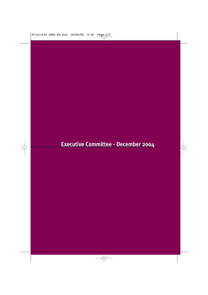**Executive Committee - December 2004**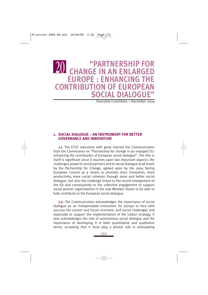# <sup>20</sup> **"PARTNERSHIP FOR CHANGE IN AN ENLARGED EUROPE : ENHANCING THE CONTRIBUTION OF EUROPEAN SOCIAL DIALOGUE"**

Executive Committee, 1 December 2004

#### **1. SOCIAL DIALOGUE – AN INSTRUMENT FOR BETTER GOVERNANCE AND INNOVATION**

**1.1.** The ETUC welcomes with great interest the Communication from the Commission on "Partnership for change in an enlarged EU: enhancing the contribution of European social dialogue". The title in itself is significant since it touches upon two important aspects: the challenges posed to social partners and to social dialogue at all levels by the Partnership for Change, agreed upon by the 2004 Spring European Council as a means to promote more innovation, more productivity, more social cohesion through more and better social dialogue; but also the challenge linked to the recent enlargement of the EU and consequently to the collective engagement to support social partner organisations in the new Member States to be able to fully contribute to the European social dialogue.

**1.2.** The Communication acknowledges the importance of social dialogue as an indispensable instrument for Europe to face with success the current and future economic and social challenges and especially to support the implementation of the Lisbon strategy. It also acknowledges the role of autonomous social dialogue and the importance of developing it in both quantitative and qualitative terms, accepting that it must play a pivotal role in anticipating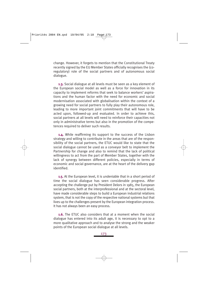change. However, it forgets to mention that the Constitutional Treaty recently signed by the EU Member States officially recognises the (coregulatory) role of the social partners and of autonomous social dialogue.

**1.3.** Social dialogue at all levels must be seen as a key element of the European social model as well as a force for innovation in its capacity to implement reforms that seek to balance workers' aspirations and the human factor with the need for economic and social modernisation associated with globalisation within the context of a growing need for social partners to fully play their autonomous role, leading to more important joint commitments that will have to be acted upon, followed-up and evaluated. In order to achieve this, social partners at all levels will need to reinforce their capacities not only in administrative terms but also in the promotion of the competences required to deliver such results.

**1.4.** While reaffirming its support to the success of the Lisbon strategy and willing to contribute in the areas that are of the responsibility of the social partners, the ETUC would like to state that the social dialogue cannot be used as a conveyor belt to implement the Partnership for change and also to remind that the lack of political willingness to act from the part of Member States, together with the lack of synergy between different policies, especially in terms of economic and social governance, are at the heart of the delivery gap identified.

**1.5.** At the European level, it is undeniable that in a short period of time the social dialogue has seen considerable progress. After accepting the challenge put by President Delors in 1985, the European social partners, both at the interprofessional and at the sectoral level, have made considerable steps to build a European industrial relations system, that is not the copy of the respective national systems but that lives up to the challenges present by the European integration process. It has not always been an easy process.

**1.6.** The ETUC also considers that at a moment when the social dialogue has entered into its adult age, it is necessary to opt to a more qualitative approach and to analyse the strong and the weaker points of the European social dialogue at all levels.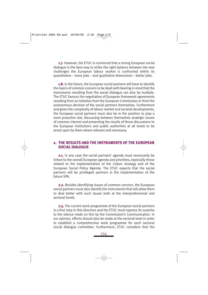**1.7.** However, the ETUC is convinced that a strong European social dialogue is the best way to strike the right balance between the new challenges the European labour market is confronted within its quantitative – more jobs – and qualitative dimensions – better jobs.

**1.8.** In the future, the European social partners will have to identify the topics of common concern to be dealt with bearing in mind that the instruments resulting from the social dialogue can also be multiple. The ETUC favours the negotiation of European framework agreements resulting from an initiative from the European Commission or from the autonomous decision of the social partners themselves. Furthermore and given the complexity of labour market and societal developments, the European social partners must also be in the position to play a more proactive role, discussing between themselves strategic issues of common interest and presenting the results of those discussions to the European institutions and public authorities at all levels to be acted upon by them where relevant and necessary.

#### **2. THE RESULTS AND THE INSTRUMENTS OF THE EUROPEAN SOCIAL DIALOGUE**

**2.1.** In any case the social partners' agenda must necessarily be linked to the overall European agenda and priorities, especially those related to the implementation of the Lisbon strategy and of the European Social Policy Agenda. The ETUC expects that the social partners will be privileged partners in the implementation of the future SPA.

**2.2.** Besides identifying issues of common concern, the European social partners must also identify the instruments that will allow them to deal better with such issues both at the interprofessional and sectoral levels.

**2.3.** The current work programme of the European social partners is a first step in this direction and the ETUC must express its surprise to the silence made on this by the Commission's Communication. In our opinion, efforts should also be made at the sectoral level in order to establish a comprehensive work programme for each sectoral social dialogue committee. Furthermore, ETUC considers that the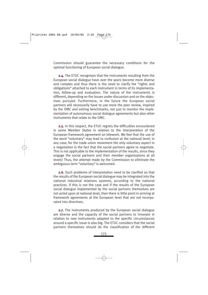Commission should guarantee the necessary conditions for the optimal functioning of European social dialogue.

**2.4.** The ETUC recognises that the instruments resulting from the European social dialogue have over the years become more diverse and complex and thus there is the need to clarify the "rights and obligations" attached to each instrument in terms of its implementation, follow-up and evaluation. The nature of the instruments is different, depending on the issues under discussion and on the objectives pursued. Furthermore, in the future the European social partners will necessarily have to use more the peer review, inspired by the OMC and setting benchmarks, not just to monitor the implementation of autonomous social dialogue agreements but also other instruments that relate to the OMC.

**2.5.** In this respect, the ETUC regrets the difficulties encountered in some Member States in relation to the interpretation of the European framework agreement on telework. We feel that the use of the word "voluntary" may lead to confusion at the national level; in any case, for the trade union movement the only voluntary aspect in a negotiation is the fact that the social partners agree to negotiate. This is not applicable to the implementation of the results, since they engage the social partners and their member organisations at all levels! Thus, the attempt made by the Commission to eliminate the ambiguous term "voluntary" is welcomed.

**2.6.** Such problems of interpretation need to be clarified so that the results of the European social dialogue may be integrated into the national industrial relations systems, according to the national practices. If this is not the case and if the results of the European social dialogue implemented by the social partners themselves are not acted upon at national level, then there is little point in arriving at framework agreements at the European level that are not incorporated into directives.

**2.7.** The instruments produced by the European social dialogue are diverse and the capacity of the social partners to innovate in relation to new instruments adapted to the specific circumstances around a specific issue is also big. The ETUC considers that the social partners themselves should do the classification of the different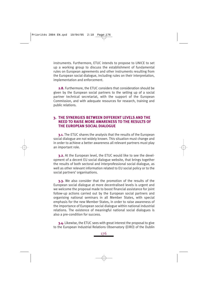instruments. Furthermore, ETUC intends to propose to UNICE to set up a working group to discuss the establishment of fundamental rules on European agreements and other instruments resulting from the European social dialogue, including rules on their interpretation, implementation and enforcement.

**2.8.** Furthermore, the ETUC considers that consideration should be given by the European social partners to the setting up of a social partner technical secretariat, with the support of the European Commission, and with adequate resources for research, training and public relations.

# **3. THE SYNERGIES BETWEEN DIFFERENT LEVELS AND THE NEED TO RAISE MORE AWARENESS TO THE RESULTS OF THE EUROPEAN SOCIAL DIALOGUE**

**3.1.** The ETUC shares the analysis that the results of the European social dialogue are not widely known. This situation must change and in order to achieve a better awareness all relevant partners must play an important role.

**3.2.** At the European level, the ETUC would like to see the development of a decent EU social dialogue website, that brings together the results of both sectoral and interprofessional social dialogue, as well as other relevant information related to EU social policy or to the social partners' organisations.

**3.3.** We also consider that the promotion of the results of the European social dialogue at more decentralised levels is urgent and we welcome the proposal made to boost financial assistance for joint follow-up actions carried out by the European social partners and organising national seminars in all Member States, with special emphasis for the new Member States, in order to raise awareness of the importance of European social dialogue within national industrial relations. The existence of meaningful national social dialogues is also a pre-condition for success.

**3.4.** Likewise, the ETUC sees with great interest the proposal to give to the European Industrial Relations Observatory (EIRO) of the Dublin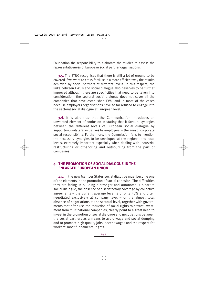Foundation the responsibility to elaborate the studies to assess the representativeness of European social partner organisations.

**3.5.** The ETUC recognises that there is still a lot of ground to be covered if we want to cross-fertilise in a more efficient way the results achieved by social partners at different levels. In this respect, the links between EWC's and social dialogue also deserves to be further improved although there are specificities that need to be taken into consideration: the sectoral social dialogue does not cover all the companies that have established EWC and in most of the cases because employers organisations have so far refused to engage into the sectoral social dialogue at European level.

**3.6.** It is also true that the Communication introduces an unwanted element of confusion in stating that it favours synergies between the different levels of European social dialogue by supporting unilateral initiatives by employers in the area of corporate social responsibility. Furthermore, the Commission fails to mention the necessary synergies to be developed at the regional and local levels, extremely important especially when dealing with industrial restructuring or off-shoring and outsourcing from the part of companies.

#### **4. THE PROMOTION OF SOCIAL DIALOGUE IN THE ENLARGED EUROPEAN UNION**

**4.1.** In the new Member States social dialogue must become one of the elements in the promotion of social cohesion. The difficulties they are facing in building a stronger and autonomous bipartite social dialogue, the absence of a satisfactory coverage by collective agreements – the current average level is of only 30% and often negotiated exclusively at company level – or the almost total absence of negotiations at the sectoral level, together with governments that often use the reduction of social rights to attract investment from multinational companies, clearly point to a great need to invest in the promotion of social dialogue and negotiations between the social partners as a means to avoid wage and social dumping and to promote high quality jobs, decent wages and the respect for workers' most fundamental rights.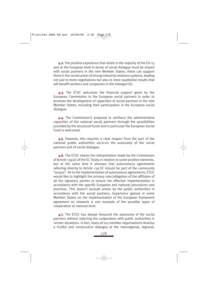**4.2.** The positive experience that exists in the majority of the EU-15 and at the European level in terms of social dialogue must be shared with social partners in the new Member States; these can support them in the construction of strong industrial relations systems, leading not just to more negotiations but also to more qualitative results that will benefit workers and companies in the enlarged EU.

**4.3.** The ETUC welcomes the financial support given by the European Commission to the European social partners in order to promote the development of capacities of social partners in the new Member States, including their participation in the European social dialogue.

**4.4.** The Commission's proposal to reinforce the administrative capacities of the national social partners through the possibilities provided by the structural funds and in particular the European Social Fund is welcomed.

**4.5.** However, this requires a clear respect from the part of the national public authorities vis-à-vis the autonomy of the social partners and of social dialogue.

**4.6.** The ETUC shares the interpretation made by the Commission of Article 139(2) of the EC Treaty in relation to some positive elements, but at the same time it stresses that autonomous agreements referring directly to Article 139 EC should be part of the community "acquis". As to the implementation of autonomous agreements, ETUC would like to highlight the primary role/obligation of the affiliates of all the signatory parties to ensure the effective implementation in accordance with the specific European and national procedures and practices. This doesn't exclude action by the public authorities in accordance with the social partners. Experience gained in some Member States on the implementation of the European framework agreement on telework is one example of the possible types of cooperation at national level.

**4.7.** The ETUC has always favoured the autonomy of the social partners without rejecting the cooperation with public authorities in certain situations. In fact, many of our member organisations develop a fruitful and constructive dialogue at the interregional, regional,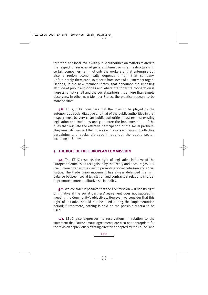territorial and local levels with public authorities on matters related to the respect of services of general interest or when restructuring in certain companies harm not only the workers of that enterprise but also a region economically dependant from that company. Unfortunately, there are also reports from some of our member organisations, in the new Member States, that denounce the imposing attitude of public authorities and where the tripartite cooperation is more an empty shell and the social partners little more than simple observers. In other new Member States, the practice appears to be more positive.

**4.8.** Thus, ETUC considers that the roles to be played by the autonomous social dialogue and that of the public authorities in that respect must be very clear: public authorities must respect existing legislation and traditions and guarantee the implementation of the rules that regulate the effective participation of the social partners. They must also respect their role as employers and support collective bargaining and social dialogue throughout the public sector, including at EU level.

#### **5. THE ROLE OF THE EUROPEAN COMMISSION**

**5.1.** The ETUC respects the right of legislative initiative of the European Commission recognised by the Treaty and encourages it to use it more often with a view to promoting social cohesion and social justice. The trade union movement has always defended the right balance between social legislation and contractual relations in order to promote a more qualitative social policy.

**5.2.** We consider it positive that the Commission will use its right of initiative if the social partners' agreement does not succeed in meeting the Community's objectives. However, we consider that this right of initiative should not be used during the implementation period; furthermore, nothing is said on the possible criteria to be used.

**5.3.** ETUC also expresses its reservations in relation to the statement that "autonomous agreements are also not appropriate for the revision of previously existing directives adopted by the Council and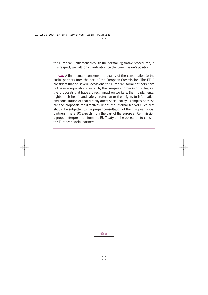the European Parliament through the normal legislative procedure"; in this respect, we call for a clarification on the Commission's position.

**5.4.** A final remark concerns the quality of the consultation to the social partners from the part of the European Commission. The ETUC considers that on several occasions the European social partners have not been adequately consulted by the European Commission on legislative proposals that have a direct impact on workers, their fundamental rights, their health and safety protection or their rights to information and consultation or that directly affect social policy. Examples of these are the proposals for directives under the Internal Market rules that should be subjected to the proper consultation of the European social partners. The ETUC expects from the part of the European Commission a proper interpretation from the EU Treaty on the obligation to consult the European social partners.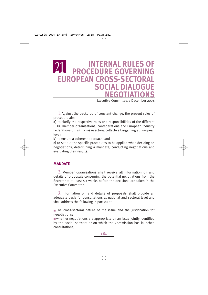# **INTERNAL RULES OF PROCEDURE GOVERNING EUROPEAN CROSS-SECTORAL SOCIAL DIALOGUE NEGOTIATI**  $21$

Executive Committee, 1 December 2004

**1.** Against the backdrop of constant change, the present rules of procedure aim

**a)** to clarify the respective roles and responsibilities of the different ETUC member organisations, confederations and European Industry Federations (EIFs) in cross-sectoral collective bargaining at European level;

**b**) to ensure a coherent approach; and

**c)** to set out the specific procedures to be applied when deciding on negotiations, determining a mandate, conducting negotiations and evaluating their results.

# **MANDATE**

**2.** Member organisations shall receive all information on and details of proposals concerning the potential negotiations from the Secretariat at least six weeks before the decisions are taken in the Executive Committee.

**3.** Information on and details of proposals shall provide an adequate basis for consultations at national and sectoral level and shall address the following in particular:

■ The cross-sectoral nature of the issue and the justification for negotiations;

■ whether negotiations are appropriate on an issue jointly identified by the social partners or on which the Commission has launched consultations;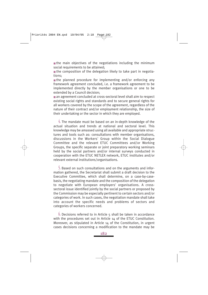$\blacksquare$  the main objectives of the negotiations including the minimum social requirements to be attained:

 $\blacksquare$  the composition of the delegation likely to take part in negotiations;

 $\blacksquare$  the planned procedure for implementing and/or enforcing any framework agreement concluded, i.e. a framework agreement to be implemented directly by the member organisations or one to be extended by a Council decision;

■ an agreement concluded at cross-sectoral level shall aim to respect existing social rights and standards and to secure general rights for all workers covered by the scope of the agreement, regardless of the nature of their contract and/or employment relationship, the size of their undertaking or the sector in which they are employed.

**4.** The mandate must be based on an in-depth knowledge of the actual situation and trends at national and sectoral level. This knowledge may be amassed using all available and appropriate structures and tools such as: consultations with member organisations, discussions in the Workers' Group within the Social Dialogue Committee and the relevant ETUC Committees and/or Working Groups, the specific separate or joint preparatory working seminars held by the social partners and/or internal surveys conducted in cooperation with the ETUC NETLEX network, ETUC institutes and/or relevant external institutions/organisations.

**5.** Based on such consultations and on the arguments and information gathered, the Secretariat shall submit a draft decision to the Executive Committee, which shall determine, on a case-by-casebasis, the negotiating mandate and the composition of the delegation to negotiate with European employers' organisations. A crosssectoral issue identified jointly by the social partners or proposed by the Commission may be especially pertinent to certain sectors and/or categories of work. In such cases, the negotiation mandate shall take into account the specific needs and problems of sectors and categories of workers concerned.

**6.** Decisions referred to in Article 5 shall be taken in accordance with the procedures set out in Article 14 of the ETUC Constitution. Moreover, as stipulated in Article 14 of the Constitution, in urgent cases decisions concerning a modification to the mandate may be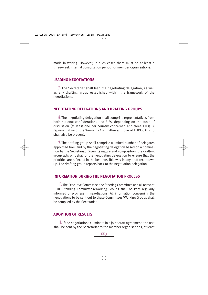made in writing. However, in such cases there must be at least a three-week internal consultation period for member organisations.

#### **LEADING NEGOTIATIONS**

**7.** The Secretariat shall lead the negotiating delegation, as well as any drafting group established within the framework of the negotiations.

#### **NEGOTIATING DELEGATIONS AND DRAFTING GROUPS**

**8.** The negotiating delegation shall comprise representatives from both national confederations and EIFs, depending on the topic of discussion (at least one per country concerned and three EIFs). A representative of the Women's Committee and one of EUROCADRES shall also be present.

**9.** The drafting group shall comprise a limited number of delegates appointed from and by the negotiating delegation based on a nomination by the Secretariat. Given its nature and composition, the drafting group acts on behalf of the negotiating delegation to ensure that the priorities are reflected in the best possible way in any draft text drawn up. The drafting group reports back to the negotiation delegation.

#### **INFORMATION DURING THE NEGOTIATION PROCESS**

**10.** The Executive Committee, the Steering Committee and all relevant ETUC Standing Committees/Working Groups shall be kept regularly informed of progress in negotiations. All information concerning the negotiations to be sent out to these Committees/Working Groups shall be compiled by the Secretariat.

## **ADOPTION OF RESULTS**

**11.** If the negotiations culminate in a joint draft agreement, the text shall be sent by the Secretariat to the member organisations, at least

**183**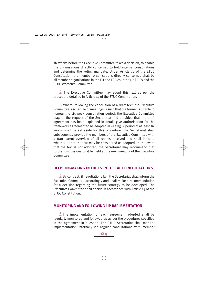six weeks before the Executive Committee takes a decision, to enable the organisations directly concerned to hold internal consultations and determine the voting mandate. Under Article 14 of the ETUC Constitution, the member organisations directly concerned shall be all member organisations in the EU and EEA countries, all EIFs and the ETUC Women's Committee.

**12.** The Executive Committee may adopt this text as per the procedure detailed in Article 14 of the ETUC Constitution.

**13.** Where, following the conclusion of a draft text, the Executive Committee's schedule of meetings is such that the former is unable to honour the six-week consultation period, the Executive Committee may, at the request of the Secretariat and provided that the draft agreement has been explained in detail, give authorisation for the framework agreement to be adopted in writing. A period of at least six weeks shall be set aside for this procedure. The Secretariat shall subsequently provide the members of the Executive Committee with a transparent overview of all replies received and shall indicate whether or not the text may be considered as adopted. In the event that the text is not adopted, the Secretariat may recommend that further discussions on it be held at the next meeting of the Executive Committee.

#### **DECISION-MAKING IN THE EVENT OF FAILED NEGOTIATIONS**

**14.** By contrast, if negotiations fail, the Secretariat shall inform the Executive Committee accordingly and shall make a recommendation for a decision regarding the future strategy to be developed. The Executive Committee shall decide in accordance with Article 14 of the ETUC Constitution.

#### **MONITORING AND FOLLOWING-UP IMPLEMENTATION**

**15.** The implementation of each agreement adopted shall be regularly monitored and followed up as per the procedures specified in the agreement in question. The ETUC Secretariat shall monitor implementation internally via regular consultations with member

**184**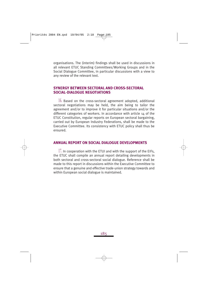organisations. The (interim) findings shall be used in discussions in all relevant ETUC Standing Committees/Working Groups and in the Social Dialogue Committee, in particular discussions with a view to any review of the relevant text.

#### **SYNERGY BETWEEN SECTORAL AND CROSS-SECTORAL SOCIAL-DIALOGUE NEGOTIATIONS**

**16.** Based on the cross-sectoral agreement adopted, additional sectoral negotiations may be held, the aim being to tailor the agreement and/or to improve it for particular situations and/or the different categories of workers. In accordance with article 14 of the ETUC Constitution, regular reports on European sectoral bargaining, carried out by European Industry Federations, shall be made to the Executive Committee. Its consistency with ETUC policy shall thus be ensured.

#### **ANNUAL REPORT ON SOCIAL DIALOGUE DEVELOPMENTS**

**17.** In cooperation with the ETUI and with the support of the EIFs, the ETUC shall compile an annual report detailing developments in both sectoral and cross-sectoral social dialogue. Reference shall be made to this report in discussions within the Executive Committee to ensure that a genuine and effective trade-union strategy towards and within European social dialogue is maintained.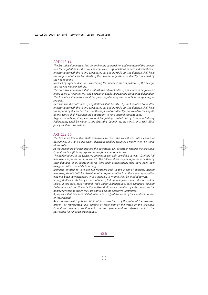#### ARTICLE  $14$

*The Executive Committee shall determine the composition and mandate of the delegation for negotiations with European employers' organisations in each individual case, in accordance with the voting procedures set out in Article 20. The decision shall have the support of at least two thirds of the member organisations directly concerned by the negotiations.*

*In cases of urgency, decisions concerning the mandate for composition of the delegation may be made in writing.*

*The Executive Committee shall establish the internal rules of procedure to be followed in the event of negotiations. The Secretariat shall supervise the bargaining delegation. The Executive Committee shall be given regular progress reports on bargaining in progress.*

*Decisions on the outcomes of negotiations shall be taken by the Executive Committee in accordance with the voting procedures set out in Article 20. The decision shall have the support of at least two thirds of the organisations directly concerned by the negotiations, which shall have had the opportunity to hold internal consultations.*

*Regular reports on European sectoral bargaining, carried out by European Industry Federations, shall be made to the Executive Committee. Its consistency with ETUC policy shall thus be ensured.*

#### ARTICLE 20:

*The Executive Committee shall endeavour to reach the widest possible measure of agreement. If a vote is necessary, decisions shall be taken by a majority of two-thirds of the votes.*

*At the beginning of each meeting the Secretariat will ascertain whether the Executive Committee is sufficiently representative for a vote to be taken.*

*The deliberations of the Executive Committee can only be valid if at least 3/4 of the full members are present or represented. The full members may be represented either by their deputies or by representatives from their organisations who have been duly delegated with a mandate in writing.*

*Members entitled to vote are full members and, in the event of absence, deputy members; should both be absent, another representative from the same organisation who has been duly delegated with a mandate in writing shall be entitled to vote.*

*Voting shall as a rule be by a show of hands, but upon request a roll call vote shall be taken. In this case, each National Trade Union Confederation, each European Industry Federation and the Women's Committee shall have a number of votes equal to the number of seats to which they are entitled on the Executive Committee.*

*A proposal shall be carried if it obtains at least 2/3 of the votes of the members present or represented.*

*Any proposal which fails to obtain at least two thirds of the votes of the members present or represented, but obtains at least half of the votes of the Executive Committee members, shall remain on the agenda and be referred back to the Secretariat for renewed examination.*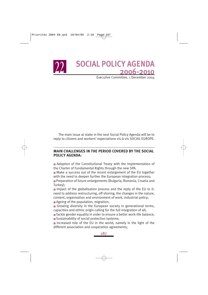

Executive Committee, 1 December 2004

The main issue at stake in the next Social Policy Agenda will be to reply to citizens and workers' expectations vis-à-vis SOCIAL EUROPE.

### **MAIN CHALLENGES IN THE PERIOD COVERED BY THE SOCIAL POLICY AGENDA:**

- Adoption of the Constitutional Treaty with the implementation of the Charter of Fundamental Rights through the new SPA.
- Make a success out of the recent enlargement of the EU together with the need to deepen further the European integration process;
- Preparation of future enlargements (Bulgaria, Romania, Croatia and Turkey);
- Impact of the globalisation process and the reply of the EU to it: need to address restructuring, off shoring, the changes in the nature, content, organisation and environment of work, industrial policy;
- Ageing of the population, migration;
- Growing diversity in the European society in generational terms, capacities and ethnic origin calling for the full integration of all;
- Tackle gender equality in order to ensure a better work-life balance;
- Sustainability of social protection systems;
- Increased role of the EU in the world, namely in the light of the different association and cooperation agreements;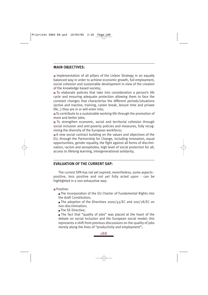## **MAIN OBJECTIVES:**

■ Implementation of all pillars of the Lisbon Strategy in an equally balanced way in order to achieve economic growth, full employment, social cohesion and sustainable development in view of the creation of the knowledge based society;

■ To elaborate policies that take into consideration a person's life cycle and ensuring adequate protection allowing them to face the constant changes that characterise the different periods/situations (active and inactive, training, career break, leisure time and private life…) they are in or will enter into;

■ To contribute to a sustainable working life through the promotion of more and better jobs;

■ To strengthen economic, social and territorial cohesion through social inclusion and anti-poverty policies and measures, fully recognising the diversity of the European workforce;

■ A new social contract building on the values and objectives of the EU, through the Partnership for Change, including innovation, equal opportunities, gender equality, the fight against all forms of discrimination, racism and xenophobia, high level of social protection for all, access to lifelong learning, intergenerational solidarity;

# **EVALUATION OF THE CURRENT SAP:**

The current SPA has not yet expired; nevertheless, some aspects positive, less positive and not yet fully acted upon - can be highlighted in a non exhaustive way:

■ Positive:

- The incorporation of the EU Charter of Fundamental Rights into the draft Constitution;
- The adoption of the Directives 2000/43/EC and 200/78/EC on non-discrimination;

■ The SE Directive;

■ The fact that "quality of jobs" was placed at the heart of the debate on social inclusion and the European social model; this represents a shift from previous discussions on the quality of jobs merely along the lines of "productivity and employment";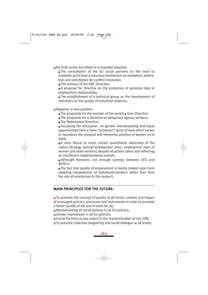■ No (full) action but where it is (rapidly) required:

■ The consultation of the EU social partners on the need to establish at EU level a voluntary mechanism on mediation, arbitration and conciliation for conflict resolution;

■ The revision of the EWC Directive;

■ A proposal for Directive on the protection of personal data in employment relationships;

■ The establishment of a technical group on the development of indicators on the quality of industrial relations;

- Negative or less positive:
	- The proposals for the revision of the working time Directive;
	- The proposals for a Directive on temporary agency workers;
	- The Bolkenstein Directive ;

■ Focussing the discussion on gender mainstreaming and equal opportunities from a mere "activation" point of view which serves to reproduce the unequal and hierarchal position of women at/in work;

■ A clear failure to reach certain quantitative objectives of the Lisbon Strategy (overall employment rates, employment rates of women and older workers) despite all actions taken and reflecting an insufficient implementation overall;

■ Although foreseen, not enough synergy between EES and BEPG's;

■ The fact that quality of employment is mostly looked upon from adapting competences of individuals/workers rather than from the role of enterprises in this respect;

# **MAIN PRINCIPLES FOR THE FUTURE:**

■ To promote the concept of quality at all levels: content and impact of envisaged policies, processes and instruments in order to promote a better quality of life and of work for all;

- Mainstreaming of social policies in all EU policies;
- Gender mainstream in all EU policies;
- Social Partners as key actors in the implementation of this SPA;
- To promote collective bargaining and social dialogue at all levels;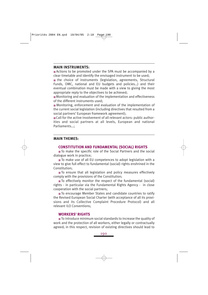#### **MAIN INSTRUMENTS:**

■ Actions to be promoted under the SPA must be accompanied by a clear timetable and identify the envisaged instrument to be used;

■ the choice of instruments (legislation, agreements, Structural Funds, OMC, national and EU budgets and policies…) and their eventual combination must be made with a view to giving the most appropriate reply to the objectives to be achieved;

■ Monitoring and evaluation of the implementation and effectiveness of the different instruments used;

■ Monitoring, enforcement and evaluation of the implementation of the current social legislation (including directives that resulted from a social partners' European framework agreement);

■ Call for the active involvement of all relevant actors: public authorities and social partners at all levels, European and national Parliaments…;

## **MAIN THEMES:**

### **CONSTITUTION AND FUNDAMENTAL (SOCIAL) RIGHTS**

■ To make the specific role of the Social Partners and the social dialogue work in practice;

■ To make use of all EU competences to adopt legislation with a view to give full effect to fundamental (social) rights enshrined in the Constitution;

■ To ensure that all legislation and policy measures effectively comply with the provisions of the Constitution;

 $\blacksquare$  To effectively monitor the respect of the fundamental (social) rights - in particular via the Fundamental Rights Agency - in close cooperation with the social partners;

■ To encourage Member States and candidate countries to ratify the Revised European Social Charter (with acceptance of all its provisions and its Collective Complaint Procedure Protocol) and all relevant ILO Conventions;

#### **WORKERS' RIGHTS**

■ To introduce minimum social standards to increase the quality of work and the protection of all workers, either legally or contractually agreed; in this respect, revision of existing directives should lead to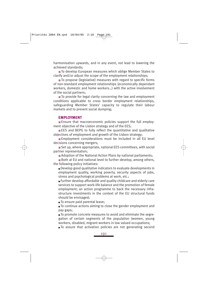harmonisation upwards, and in any event, not lead to lowering the achieved standards;

■ To develop European measures which oblige Member States to clarify and/or adjust the scope of the employment relationships;

■ To propose (legislative) measures with regard to specific forms of non-standard employment relationships (economically dependant workers, domestic and home workers…) with the active involvement of the social partners;

■ To provide for legal clarity concerning the law and employment conditions applicable to cross border employment relationships, safeguarding Member States' capacity to regulate their labour markets and to prevent social dumping;

#### **EMPLOYMENT**

■ Ensure that macroeconomic policies support the full employment objective of the Lisbon strategy and of the EES;

■ EES and BEPG to fully reflect the quantitative and qualitative objectives of employment and growth of the Lisbon strategy;

■ Employment considerations must be included in all EU level decisions concerning mergers;

■ Set up, where appropriate, national EES committees, with social partner representation;

■ Adoption of the National Action Plans by national parliaments;

■ Both at EU and national level to further develop, among others, the following policy initiatives:

■ Develop good qualitative indicators to evaluate developments in employment quality, working poverty, security aspects of jobs, stress and psychological problems at work, etc.;

■ Further develop affordable and quality childcare and elderly care services to support work-life balance and the promotion of female employment; an action programme to back the necessary infrastructure investments in the context of the EU structural funds should be envisaged;

■ To ensure paid parental leave;

■ To continue actions aiming to close the gender employment and pay gaps;

■ To promote concrete measures to avoid and eliminate the segregation of certain segments of the population (women, young workers, disabled, migrant workers in low valued occupations;

■ To assure that activation policies are not generating second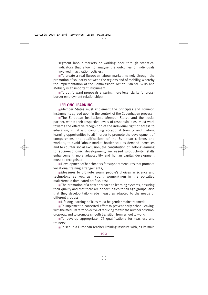segment labour markets or working poor through statistical indicators that allow to analyse the outcomes of individuals involved in activation policies;

■ To create a real European labour market, namely through the promotion of solidarity between the regions and of mobility, whereby the implementation of the Commission's Action Plan for Skills and Mobility is an important instrument;

■ To put forward proposals ensuring more legal clarity for crossborder employment relationships;

#### **LIFELONG LEARNING**

■ Member States must implement the principles and common instruments agreed upon in the context of the Copenhagen process;

■ The European institutions, Member States and the social partner, within their respective levels of responsibilities, must work towards the effective recognition of the individual right of access to education, initial and continuing vocational training and lifelong learning opportunities to all in order to promote the development of competences and qualifications of the European citizens and workers, to avoid labour market bottlenecks as demand increases and to counter social exclusion; the contribution of lifelong-learning to socio-economic development, increased productivity, skills enhancement, more adaptability and human capital development must be recognised;

■ Development of benchmarks for support measures that promote vocational training arrangements;

■ Measures to promote young people's choices in science and technology as well as young women/men in the so-called male/female dominated professions;

■ The promotion of a new approach to learning systems, ensuring their quality and that there are opportunities for all age groups; also that they develop tailor-made measures adapted to the needs of different groups;

■ Lifelong learning policies must be gender mainstreamed;

■ To implement a concerted effort to prevent early school leaving, with the medium term objective of reducing to zero the number of school drop-out, and to promote smooth transition from school to work;

■ To develop appropriate ICT qualifications for teachers and trainers;

 $\blacksquare$  To set up a European Teacher Training Institute with, as its main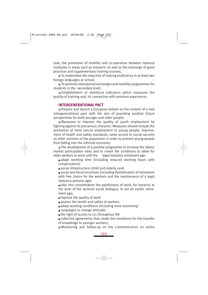task, the promotion of mobility and co-operation between national institutes in areas such as research, as well as the exchange of good practices and supplementary training courses;

 $\blacksquare$  To materialise the objective of making proficiency in at least two foreign languages at school;

■ To promote educational exchanges and mobility programmes for students in the secondary level;

■ Establishment of statistical indicators which measures the quality of training and, its connection with previous experience;

#### **INTERGENERATIONAL PACT**

■ Prepare and launch a European debate on the content of a new intergenerational pact with the aim of providing positive future perspectives for both younger and older people;

■ Measures to improve the quality of youth employment by fighting against its precarious character. Measures should include the promotion of more secure employment to young people, improvement of health and safety standards, same access to social security as other sections of the population in order to prevent young people from falling into the informal economy;

■ The development of a positive programme to increase the labour market participation rates and to create the conditions to allow for older workers to work until the legal statutory retirement age:

- adapt working time (including reduced working hours with compensation)
- social infrastructure (child and elderly care)
- social and fiscal incentives (including flexibilisation of retirement with free choice for the workers and the maintenance of a legal statutory pension age)

■ take into consideration the painfulness of work, for instance at the level of the sectoral social dialogue, to set an earlier retirement age;

- improve the quality of work
- protect the health and safety of workers
- adapt working conditions (including more autonomy)
- campaigns to change attitudes
- the right of access to LLL throughout life
- collective agreements that create the conditions for the transfer of knowledge to younger workers;
- Monitoring and follow-up on the Communication on active

**193**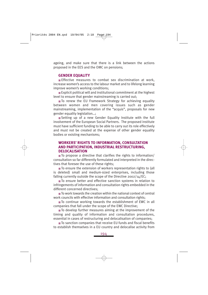ageing, and make sure that there is a link between the actions proposed in the EES and the OMC on pensions;

#### **GENDER EQUALITY**

■ Effective measures to combat sex discrimination at work, increase women's access to the labour market and to lifelong learning improve women's working conditions;

 $\blacksquare$  Explicit political will and institutional commitment at the highest level to ensure that gender mainstreaming is carried out;

■ To renew the EU Framework Strategy for achieving equality between women and men covering issues such as gender mainstreaming, implementation of the "acquis", proposals for new gender equality legislation…;

■ Setting up of a new Gender Equality Institute with the full involvement of the European Social Partners. The proposed institute must have sufficient funding to be able to carry out its role effectively and must not be created at the expense of other gender equality bodies or existing mechanisms;

#### **WORKERS' RIGHTS TO INFORMATION, CONSULTATION AND PARTICIPATION, INDUSTRIAL RESTRUCTURING, DELOCALISATION**

■ To propose a directive that clarifies the rights to information/ consultation so far differently formulated and interpreted in the directives that foresee the use of these rights;

■ To ensure the extension of workers representation rights to (all is deleted) small and medium-sized enterprises, including those falling currently outside the scope of the Directive 2002/14/EC;

■ To ensure better and effective sanction systems in relation to infringements of information and consultation rights embedded in the different concerned directives;

 $\blacksquare$  To work towards the creation within the national context of central work councils with effective information and consultation rights;

■ To continue working towards the establishment of EWC in all companies that fall under the scope of the EWC Directive;

■ To develop further measures aiming at the improvement of the timing and quality of information and consultation procedures, essential in cases of restructuring and delocalisation of companies;

■ To sanction companies that receive EU funds and fiscal benefits to establish themselves in a EU country and delocalise activity from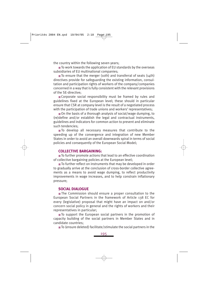the country within the following seven years;

 $\blacksquare$  To work towards the application of EU standards by the overseas subsidiaries of EU multinational companies;

 $\blacksquare$  To ensure that the merger (10th) and transferral of seats (14th) directives provide for safeguarding the existing information, consultation and participation rights of workers of the company/companies concerned in a way that is fully consistent with the relevant provisions of the SE-directive;

■ Corporate social responsibility must be framed by rules and guidelines fixed at the European level; these should in particular ensure that CSR at company level is the result of a negotiated process with the participation of trade unions and workers' representatives;

■ On the basis of a thorough analysis of social/wage dumping, to (re)define and/or establish the legal and contractual instruments, guidelines and indicators for common action to prevent and eliminate such tendencies;

■ To develop all necessary measures that contribute to the speeding up of the convergence and integration of new Member States in order to avoid an overall downwards spiral in terms of social policies and consequently of the European Social Model;

#### **COLLECTIVE BARGAINING:**

■ To further promote actions that lead to an effective coordination of collective bargaining policies at the European level;

■ To further reflect on instruments that may be developed in order to gradually arrive at the conclusion of cross-border collective agreements as a means to avoid wage dumping, to reflect productivity improvements in wage increases, and to help constrain inflationary pressure;

#### **SOCIAL DIALOGUE**

■ The Commission should ensure a proper consultation to the European Social Partners in the framework of Article 138 EC for every (legislative) proposal that might have an impact on and/or concern social policy in general and the rights of workers and their representatives in particular;

■ To support the European social partners in the promotion of capacity building of the social partners in Member States and in candidate countries;

 $\blacksquare$  To (ensure deleted) facilitate/stimulate the social partners in the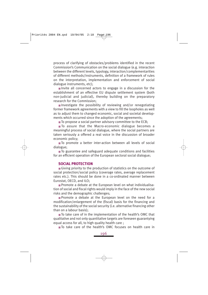process of clarifying of obstacles/problems identified in the recent Commission's Communication on the social dialogue (e.g. interaction between the different levels, typology, interaction/complementarities of different methods/instruments, definition of a framework of rules on the interpretation, implementation and enforcement of social dialogue instruments, etc);

■ Invite all concerned actors to engage in a discussion for the establishment of an effective EU dispute settlement system (both non-judicial and judicial), thereby building on the preparatory research for the Commission;

■ Investigate the possibility of reviewing and/or renegotiating former framework agreements with a view to fill the loopholes as well as to adjust them to changed economic, social and societal developments which occurred since the adoption of the agreements;

■ To propose a social partner advisory committee to the ECB;

■ To assure that the Macro-economic dialogue becomes a meaningful process of social dialogue, where the social partners are taken seriously a offered a real voice in the discussion of broader economic policy;

■ To promote a better inter-action between all levels of social dialogue;

■ To guarantee and safeguard adequate conditions and facilities for an efficient operation of the European sectoral social dialogue;

#### **SOCIAL PROTECTION**

■ Giving priority to the production of statistics on the outcome of social protection/social policy (coverage rates, average replacement rates etc.). This should be done in a co-ordinated manner between Eurostat, OECD, and ILO;

■ Promote a debate at the European level on what individualisation of social and fiscal rights would imply in the face of the new social risks and the demographic challenges;

■ Promote a debate at the European level on the need for a modification/enlargement of the (fiscal) basis for the financing and the sustainability of the social security (i.e. alternative financing other than on a labour basis);

■ To take care of in the implementation of the health's OMC that qualitative and not only quantitative targets are foreseen guarantying equal access for all, to high quality health care ;

■ To take care of the health's OMC focuses on health care in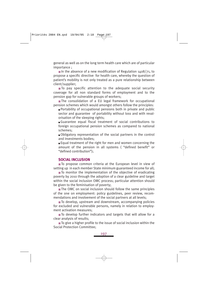general as well as on the long term health care which are of particular importance ;

In the absence of a new modification of Regulation  $1408/71$ , to propose a specific directive for health care, whereby the question of patient's mobility is not only treated as a pure relationship between client/supplier;

■ To pay specific attention to the adequate social security coverage for all non standard forms of employment and to the pension gap for vulnerable groups of workers;

■ The consolidation of a EU legal framework for occupational pension schemes which would amongst others follow the principles:

■ Portability of occupational pensions both in private and public sector and guarantee of portability without loss and with revalorisation of the sleeping rights;

■ Guarantee equal fiscal treatment of social contributions to foreign occupational pension schemes as compared to national schemes;

■ Obligatory representation of the social partners in the control and investments bodies;

■ Equal treatment of the right for men and women concerning the amount of the pension in all systems ( "defined benefit" or "defined contribution");

#### **SOCIAL INCLUSION**

■ To propose common criteria at the European level in view of setting up in each member State minimum guaranteed income for all;

■ To monitor the implementation of the objective of eradicating poverty by 2010 through the adoption of a clear guideline and target within the social inclusion OMC process; particular attention should be given to the feminisation of poverty;

■ The OMC on social inclusion should follow the same principles of the one on employment: policy guidelines, peer review, recommendations and involvement of the social partners at all levels;

■ To develop, upstream and downstream, accompanying policies for excluded and vulnerable persons, namely in relation to employment activation measures;

■ To develop further indicators and targets that will allow for a clear analysis of results;

■ To give a higher profile to the issue of social inclusion within the Social Protection Committee;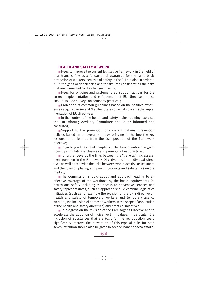#### **HEALTH AND SAFETY AT WORK**

■ Need to improve the current legislative framework in the field of health and safety as a fundamental guarantee for the same basic protection of workers' health and safety in the EU but also in order to fill in the gaps or deficiencies and to take into consideration the risks that are connected to the changes in work;

■ Need for ongoing and systematic EU support actions for the correct implementation and enforcement of EU directives; these should include surveys on company practices;

■ Promotion of common guidelines based on the positive experiences acquired in several Member States on what concerns the implementation of EU directives;

 $\blacksquare$  In the context of the health and safety mainstreaming exercise, the Luxembourg Advisory Committee should be informed and consulted;

■ Support to the promotion of coherent national prevention policies based on an overall strategy, bringing to the fore the key lessons to be learned from the transposition of the framework directive;

■ To go beyond essential compliance checking of national regulations by stimulating exchanges and promoting best practices;

■ To further develop the links between the "general" risk assessment foreseen in the Framework Directive and the individual directives as well as to revisit the links between workplace risk assessment and the rules on placing equipment, products and substances on the market;

■ The Commission should adopt and approach leading to an effective coverage of the workforce by the basic requirements for health and safety including the access to preventive services and safety representatives; such an approach should combine legislative initiatives (such as for example the revision of the 1991 directive on health and safety of temporary workers and temporary agency workers, the inclusion of domestic workers in the scope of application of the health and safety directives) and practical initiatives;

■ To progress on the revision of the Carcinogens Directive and to accelerate the adoption of indicative limit values; in particular, the inclusion of substances that are toxic for the reproduction could significantly improve the prevention of this type of risks for both sexes; attention should also be given to second-hand tobacco smoke;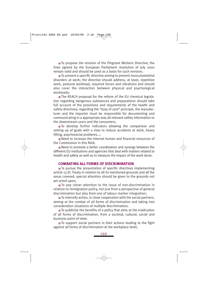■ To propose the revision of the Pregnant Workers Directive; the lines agreed by the European Parliament resolution of July 2000 remain valid and should be used as a basis for such revision;

 $\blacksquare$  To present a specific directive aiming to prevent musculoskeletal disorders at work; the directive should address, at least, repetitive work, postural workload, required forces and vibrations and should also cover the interaction between physical and psychological workloads;

■ The REACH proposal for the reform of the EU chemical legislation regarding dangerous substances and preparations should take full account of the provisions and requirements of the health and safety directives; regarding the "duty of care" principle, the manufacturer and the importer must be responsible for documenting and communicating in a appropriate way all relevant safety information to the downstream users and the consumers;

■ To develop further indicators allowing the comparison and setting up of goals with a view to reduce accidents at work, heavy lifting, psychosocial problems…;

■ Need to increase the internal human and financial resources of the Commission in this field;

■ Need to promote a better coordination and synergy between the different EU institutions and agencies that deal with matters related to health and safety as well as to measure the impact of the work done;

#### **COMBATING ALL FORMS OF DISCRIMINATION**

■ To pursue the presentation of specific directives implementing article 13 EC Treaty in relation to all its mentioned grounds and all the areas covered; special attention should be given to the grounds not yet acted upon;

■ To pay closer attention to the issue of non-discrimination in relation to immigration policy, not just from a perspective of general discrimination but also from one of labour marker integration;

■ To intensify action, in close cooperation with the social partners, aiming at the combat of all forms of discrimination and taking into consideration situations of multiple discrimination;

■ To publicise the benefits of a policy that aims at the eradication of all forms of discrimination, from a societal, cultural, social and business point of view;

■ To support social partners in their actions leading to the fight against all forms of discrimination at the workplace level;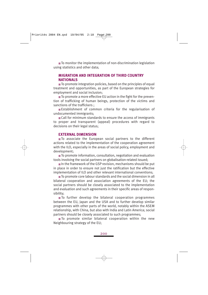■ To monitor the implementation of non-discrimination legislation using statistics and other data;

#### **MIGRATION AND INTEGRATION OF THIRD COUNTRY NATIONALS**

 $\blacksquare$  To promote integration policies, based on the principles of equal treatment and opportunities, as part of the European strategies for employment and social inclusion;

 $\blacksquare$  To promote a more effective EU action in the fight for the prevention of trafficking of human beings, protection of the victims and sanctions of the traffickers ;

■ Establishment of common criteria for the regularisation of undocumented immigrants;

■ Call for minimum standards to ensure the access of immigrants to proper and transparent (appeal) procedures with regard to decisions on their legal status;

#### **EXTERNAL DIMENSION**

■ To associate the European social partners to the different actions related to the implementation of the cooperation agreement with the ILO, especially in the areas of social policy, employment and development;

■ To promote information, consultation, negotiation and evaluation tools involving the social partners on globalisation-related issued;

 $\blacksquare$  In the framework of the GSP revision, mechanisms should be put in place in order to ensure not just the ratification but the effective implementation of ILO and other relevant international conventions;

■ To promote core labour standards and the social dimension in all bilateral cooperation and association agreements of the EU; the social partners should be closely associated to the implementation and evaluation and such agreements in their specific areas of responsibility;

■ To further develop the bilateral cooperation programmes between the EU, Japan and the USA and to further develop similar programmes with other parts of the world, notably within the ASEM relationship, with China, but also with India and Latin America; social partners should be closely associated to such programmes;

■ To promote similar bilateral cooperation within the new Neighbouring strategy of the EU;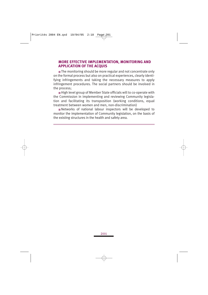#### **MORE EFFECTIVE IMPLEMENTATION, MONITORING AND APPLICATION OF THE ACQUIS**

■ The monitoring should be more regular and not concentrate only on the formal process but also on practical experiences, clearly identifying infringements and taking the necessary measures to apply infringement procedures. The social partners should be involved in the process;

■ High level group of Member State officials will to co-operate with the Commission in implementing and reviewing Community legislation and facilitating its transposition (working conditions, equal treatment between women and men, non-discrimination)

■ Networks of national labour inspectors will be developed to monitor the implementation of Community legislation, on the basis of the existing structures in the health and safety area.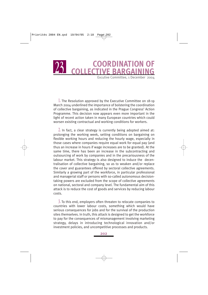# **COORDINATION OF COLLECTIVE BARGAINING** Excutive Committee, 1 December 2004 <u>43</u>

**1.** The Resolution approved by the Executive Committee on 18-19 March 2004 underlined the importance of bolstering the coordination of collective bargaining, as indicated in the Prague Congress' Action Programme. This decision now appears even more important in the light of recent action taken in many European countries which could

worsen existing contractual and working conditions for workers.

**2.** In fact, a clear strategy is currently being adopted aimed at: prolonging the working week, setting conditions on bargaining on flexible working hours and reducing the hourly wage, especially in those cases where companies require equal work for equal pay (and thus an increase in hours if wage increases are to be granted). At the same time, there has been an increase in the subcontracting and outsourcing of work by companies and in the precariousness of the labour market. This strategy is also designed to induce the decentralisation of collective bargaining, so as to weaken and/or replace the cover and guarantees offered by sectoral collective agreements. Similarly a growing part of the workforce, in particular professional and managerial staff or persons with so-called autonomous decisiontaking powers are excluded from the scope of collective agreements on national, sectoral and company level. The fundamental aim of this attack is to reduce the cost of goods and services by reducing labour costs.

**3.** To this end, employers often threaten to relocate companies to countries with lower labour costs, something which would have serious consequences for jobs and for the survival of the production sites themselves. In truth, this attack is designed to get the workforce to pay for the consequences of mismanagement involving marketing strategy, delays in introducing technological innovation and/or investment policies, and uncompetitive processes and products.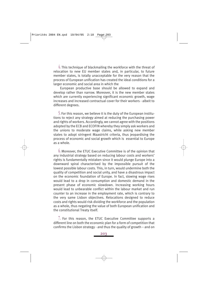**4.** This technique of blackmailing the workforce with the threat of relocation to new EU member states and, in particular, to future member states, is totally unacceptable for the very reason that the process of European unification has created the ideal conditions for a larger economic and social area in which the

European productive base should be allowed to expand and develop rather than narrow. Moreover, it is the new member states which are currently experiencing significant economic growth, wage increases and increased contractual cover for their workers - albeit to different degrees.

**5.** For this reason, we believe it is the duty of the European institutions to reject any strategy aimed at reducing the purchasing power and rights of workers. Accordingly, we cannot agree with the positions adopted by the ECB and ECOFIN whereby they simply ask workers and the unions to moderate wage claims, while asking new member states to adopt stringent Maastricht criteria, thus jeopardising the process of economic and social growth which is essential to Europe as a whole.

**6.** Moreover, the ETUC Executive Committee is of the opinion that any industrial strategy based on reducing labour costs and workers' rights is fundamentally mistaken since it would plunge Europe into a downward spiral characterised by the impossible pursuit of the lowest possible labour costs. This, in turn, would undermine both the quality of competition and social unity, and have a disastrous impact on the economic foundation of Europe. In fact, slowing wage rises would lead to a drop in consumption and domestic demand in the present phase of economic slowdown. Increasing working hours would lead to unbearable conflict within the labour market and run counter to an increase in the employment rate, which is contrary to the very same Lisbon objectives. Relocations designed to reduce costs and rights would risk dividing the workforce and the population as a whole, thus negating the value of both European unification and the constitutional Treaty itself.

**7.** For this reason, the ETUC Executive Committee supports a different line on both the economic plan for a form of competition that confirms the Lisbon strategy - and thus the quality of growth – and on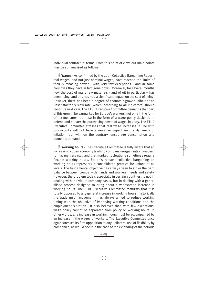individual contractual terms. From this point of view, our main points may be summarised as follows:

**8. Wages** - As confirmed by the 2003 Collective Bargaining Report, real wages, and not just nominal wages, have reached the limits of their purchasing power - with very few exceptions - and in some countries they have in fact gone down. Moreover, for several months now the cost of many raw materials - and of oil in particular – has been rising, and this has had a significant impact on the cost of living. However, there has been a degree of economic growth, albeit at an unsatisfactorily slow rate, which, according to all indicators, should continue next year. The ETUC Executive Committee demands that part of this growth be earmarked for Europe's workers, not only in the form of tax measures, but also in the form of a wage policy designed to defend and bolster the purchasing power of wages in 2005. The ETUC Executive Committee stresses that real wage increases in line with productivity will not have a negative impact on the dynamics of inflation, but will, on the contrary, encourage consumption and domestic demand.

**9. Working hours** - The Executive Committee is fully aware that an increasingly open economy leads to company reorganisation, restructuring, mergers etc., and that market fluctuations sometimes require flexible working hours. For this reason, collective bargaining on working hours represents a consolidated practice for unions at all levels. The fundamental objective has always been to strike the right balance between company demands and workers' needs and safety. However, the problem today, especially in certain countries, is not in dealing with individual company cases, but in dealing with a generalised process designed to bring about a widespread increase in working hours. The ETUC Executive Committee reaffirms that it is totally opposed to any general increase in working hours; historically the trade union movement has always aimed to reduce working timing with the objective of improving working conditions and the employment situation. It also believes that, with few exceptions, wage policy cannot be separated from policy on working hours: in other words, any increase in working hours must be accompanied by an increase in the wages of workers. The Executive Committee once again stresses its firm opposition to any unilateral use of flexibility by companies, as would occur in the case of the extending of the periods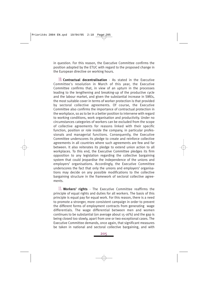in question. For this reason, the Executive Committee confirms the position adopted by the ETUC with regard to the proposed change in the European directive on working hours.

**10. Contractual decentralisation** - As stated in the Executive Committee's resolution in March of this year, the Executive Committee confirms that, in view of an upturn in the processes leading to the lengthening and breaking-up of the productive cycle and the labour market, and given the substantial increase in SMEs, the most suitable cover in terms of worker protection is that provided by sectoral collective agreements. Of course, the Executive Committee also confirms the importance of contractual protection in the workplace, so as to be in a better position to intervene with regard to working conditions, work organisation and productivity. Under no circumstances categories of workers can be excluded from the scope of collective agreements for reasons linked with their specific function, position or role inside the company, in particular professionals and managerial functions. Consequently, the Executive Committee underscores its pledge to create and reinforce collective agreements in all countries where such agreements are few and far between. It also reiterates its pledge to extend union action to all workplaces. To this end, the Executive Committee pledges its firm opposition to any legislation regarding the collective bargaining system that could jeopardise the independence of the unions and employers' organisations. Accordingly, the Executive Committee underscores the fact that only the unions and employers' organisations may decide on any possible modifications to the collective bargaining structure in the framework of sectoral collective agreements.

**11. Workers' rights** - The Executive Committee reaffirms the principle of equal rights and duties for all workers. The basis of this principle is equal pay for equal work. For this reason, there is a need to promote a stronger, more consistent campaign in order to prevent the different forms of employment contracts from generating wage differentials. The wage differential between men and women continues to be substantial (on average about 15-16%) and the gap is being closed too slowly, apart from one or two exceptional cases. The Executive Committee demands, once again, that significant measures be taken in national and sectoral collective bargaining, and with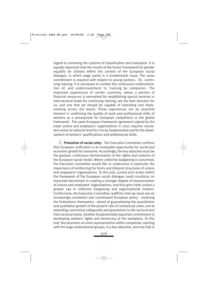regard to reviewing the systems of classification and evaluation. It is equally important that the results of the Action Framework for gender equality be utilised within the context of the European social dialogue, in which wage parity is a fundamental issue. The same commitment is required with respect to young workers. On continuing training, it is necessary to combat the continuous underestimation of, and underinvestment in, training by companies. The important experiences of certain countries, where a portion of financial resources is earmarked for establishing special sectoral or inter-sectoral funds for continuing training, are the best direction for us, and one that we should be capable of extending and implementing across the board. These experiences are an essential element in confirming the quality of work and professional skills of workers as a prerequisite for European competition in the global framework. The same European framework agreement signed by the trade unions and employers' organisations in 2002 requires consistent action at national level for it to be implemented and for the development of workers' qualifications and professional skills.

**12. Promotion of social unity** - The Executive Committee confirms that European unification is an invaluable opportunity for social and economic growth for everyone. Accordingly, the key objective must be the gradual, continuous harmonisation of the rights and contents of the European social model. Where collective bargaining is concerned, the Executive Committee would like to underscore in particular the importance of reinforcing the forms and bilateral structures of unions and employers' organisations. To this end, current joint action within the framework of the European social dialogue could constitute an important benchmark in creating a stronger degree of representation of unions and employers' organisations, and thus give trade unions a greater say in collective bargaining and organisational matters. Furthermore, the Executive Committee reaffirms that we must see an increasingly consistent and coordinated European policy - involving the Federations themselves - aimed at guaranteeing the quantitative and qualitative growth of the present rate of contractual cover, and at extending contractual safeguards and guarantees to the sectoral and inter-sectoral levels. Another fundamentally important commitment is developing workers' rights and democracy at the workplace. To this end, the extension of union representation within companies, starting with the large multinational groups, is a key objective, and one that is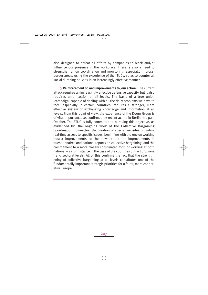also designed to defeat all efforts by companies to block and/or influence our presence in the workplace. There is also a need to strengthen union coordination and monitoring, especially in crossborder areas, using the experience of the ITUCs, so as to counter all social dumping policies in an increasingly effective manner.

**13. Reinforcement of, and improvements to, our action** - The current attack requires an increasingly effective defensive capacity, but it also requires union action at all levels. The basis of a true union 'campaign' capable of dealing with all the daily problems we have to face, especially in certain countries, requires a stronger, more effective system of exchanging knowledge and information at all levels. From this point of view, the experience of the Doorn Group is of vital importance, as confirmed by recent action in Berlin this past October. The ETUC is fully committed to pursuing this objective, as evidenced by: the ongoing work of the Collective Bargaining Coordination Committee; the creation of special websites providing real-time access to specific issues, beginning with the one on working hours; improvements to the newsletters; the improvements in questionnaires and national reports on collective bargaining; and the commitment to a more closely coordinated form of working at both national – as for instance in the case of the countries of the Euro-zone - and sectoral levels. All of this confirms the fact that the strengthening of collective bargaining at all levels constitutes one of the fundamentally important strategic priorities for a fairer, more cooperative Europe.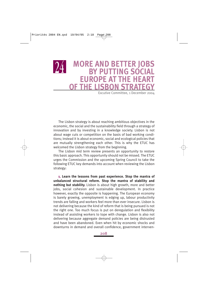# **MORE AND BETTER JOBS BY PUTTING SOCIAL EUROPE AT THE HEART OF THE LISBON STRATEGY** <u>74</u>

Excutive Committee, 1 December 2004

The Lisbon strategy is about reaching ambitious objectives in the economic, the social and the sustainability field through a strategy of innovation and by investing in a knowledge society. Lisbon is not about wage cuts or competition on the basis of bad working conditions; instead it is about economic, social and ecological policies that are mutually strengthening each other. This is why the ETUC has welcomed the Lisbon strategy from the beginning.

The Lisbon mid term review presents an opportunity to restore this basic approach. This opportunity should not be missed. The ETUC urges the Commission and the upcoming Spring Council to take the following ETUC key demands into account when reviewing the Lisbon strategy:

**1. Learn the lessons from past experience. Stop the mantra of unbalanced structural reform. Stop the mantra of stability and nothing but stability.** Lisbon is about high growth, more and better jobs, social cohesion and sustainable development. In practice however, exactly the opposite is happening. The European economy is barely growing, unemployment is edging up, labour productivity trends are falling and workers feel more than ever insecure. Lisbon is not delivering because the kind of reform that is being pursued is not the right one. Too much focus is put on deregulation and flexibility instead of assisting workers to tope with change. Lisbon is also not delivering because aggregate demand policies are being distrusted and have been abandoned. Even when hit by economic shocks and downturns in demand and overall confidence, government interven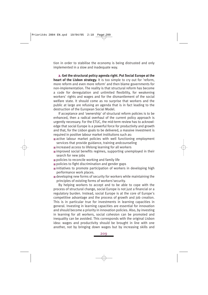tion in order to stabilise the economy is being distrusted and only implemented in a slow and inadequate way.

**2. Get the structural policy agenda right. Put Social Europe at the heart of the Lisbon strategy.** It is too simple to cry out for 'reform, more reform and even more reform' and then blame governments for non-implementation. The reality is that structural reform has become a code for deregulation and unlimited flexibility, for weakening workers' rights and wages and for the dismantlement of the social welfare state. It should come as no surprise that workers and the public at large are refusing an agenda that is in fact leading to the destruction of the European Social Model.

If acceptance and 'ownership' of structural reform policies is to be enhanced, then a radical overhaul of the current policy approach is urgently necessary. For the ETUC, the mid-term review has to acknowledge that social Europe is a powerful force for productivity and growth and that, for the Lisbon goals to be delivered, a massive investment is required in positive labour market institutions such as:

- active labour market policies with well functioning employment services that provide guidance, training andcounseling
- increased access to lifelong learning for all workers
- improved social benefits regimes, supporting unemployed in their search for new jobs
- policies to reconcile working and family life
- policies to fight discrimination and gender gaps
- initiatives to promote participation of workers in developing high performance work places.
- developing new forms of security for workers while maintaining the principles of existing forms of workers'security.

By helping workers to accept and to be able to cope with the process of structural change, social Europe is not just a financial or a regulatory burden. Instead, social Europe is at the core of Europe's competitive advantage and the process of growth and job creation. This is in particular true for investments in learning capacities in general. Investing in learning capacities are essential for innovation and should become a priority in innovation policies. Also, by investing in learning for all workers, social cohesion can be promoted and inequality can be avoided. This corresponds with the original Lisbon idea: wages and productivity should be brought in line with one another, not by bringing down wages but by increasing skills and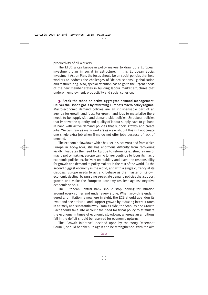productivity of all workers.

The ETUC urges European policy makers to draw up a European investment plan in social infrastructure. In this European Social Investment Action Plan, the focus should be on social policies that help workers to address the challenges of 'delocalisations', globalisation and restructuring. Also, special attention has to go to the urgent needs of the new member states in building labour market structures that underpin employment, productivity and social cohesion.

**3. Break the taboo on active aggregate demand management**. **Deliver the Lisbon goals by reforming Europe's macro policy regime.** Macro-economic demand policies are an indispensable part of an agenda for growth and jobs. For growth and jobs to materialise there needs to be supply side and demand side policies. Structural policies that improve the quantity and quality of labour supply have to go hand in hand with active demand policies that support growth and create jobs. We can train as many workers as we wish, but this will not create one single extra job when firms do not offer jobs because of lack of demand.

The economic slowdown which has set in since 2001 and from which Europe in 2004/2005 still has enormous difficulty from recovering vividly illustrates the need for Europe to reform its existing regime of macro policy making. Europe can no longer continue to focus its macro economic policies exclusively on stability and leave the responsibility for growth and demand to policy makers in the rest of the world. As the second biggest economy in the world, and with a single currency at its disposal, Europe needs to act and behave as the 'master of its own economic destiny' by pursuing aggregate demand policies that support growth and make the European economy resilient against negative economic shocks.

The European Central Bank should stop looking for inflation around every corner and under every stone. When growth is endangered and inflation is nowhere in sight, the ECB should abandon its 'wait and see attitude' and support growth by reducing interest rates in a timely and substantial way. From its side, the Stability and Growth Pact should take into account the need for fiscal policy to stimulate the economy in times of economic slowdown, whereas an ambitious fall in the deficit should be reserved for economic upturns.

The 'Growth Initiative', decided upon by the 2003 December Council, should be taken up again and be strengthened. With the aim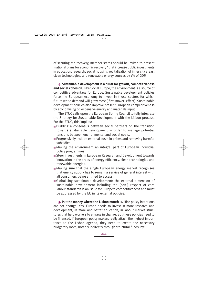of securing the recovery, member states should be invited to present 'national plans for economic recovery ' that increase public investments in education, research, social housing, revitalisation of inner city areas, clean technologies, and renewable energy sources by 1% of GDP.

**4. Sustainable development is a pillar for growth, competitiveness and social cohesion.** Like Social Europe, the environment is a source of competitive advantage for Europe. Sustainable development policies force the European economy to invest in those sectors for which future world demand will grow most ('first mover' effect). Sustainable development policies also improve present European competitiveness by economising on expensive energy and materials input.

The ETUC calls upon the European Spring Council to fully integrate the Strategy for Sustainable Development with the Lisbon process. For the ETUC, this implies:

- Building a consensus between social partners on the transition towards sustainable development in order to manage potential tensions between environmental and social goals.
- Progressively include external costs in prices and removing harmful subsidies.
- Making the environment an integral part of European industrial policy programmes.
- Steer investments in European Research and Development towards innovation in the areas of energy efficiency, clean technologies and renewable energies.
- Making sure that the single European energy market recognises that energy supply has to remain a service of general interest with all consumers being entitled to access.
- Globalising sustainable development: the external dimension of sustainable development including the (non-) respect of core labour standards is an issue for Europe's competitiveness and must be addressed by the EU in its external policies.

**5. Put the money where the Lisbon mouth is.** Nice policy intentions are not enough. Yes, Europe needs to invest in more research and development, in more and better education, in labour market structures that help workers to engage in change. But these policies need to be financed. If European policy makers really attach the highest importance to the Lisbon agenda, they need to create the necessary budgetary room, notably indirectly through structural funds, by: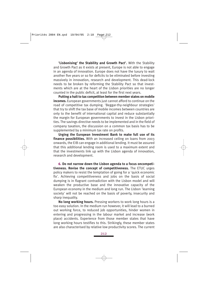**'Lisbonising' the Stability and Growth Pact'.** With the Stability and Growth Pact as it exists at present, Europe is not able to engage in an agenda of innovation. Europe does not have the luxury to wait another five years or so for deficits to be eliminated before investing massively in innovation, research and development. This dead-lock needs to be broken by reforming the Stability Pact so that investments which are at the heart of the Lisbon priorities are no longer counted in the public deficit, at least for the first next years.

**Putting a halt to tax competition between member states on mobile incomes.** European governments just cannot afford to continue on the road of competitive tax dumping. 'Beggar-thy-neighbour strategies' that try to shift the tax base of mobile incomes between countries are only to the benefit of international capital and reduce substantially the margin for European governments to invest in the Lisbon priorities. The savings directive needs to be implemented and in the field of company taxation, the discussion on a common tax basis has to be supplemented by a minimum tax rate on profits.

**Urging the European Investment Bank to make full use of its finance possibilities.** With an increased ceiling on loans from 2003 onwards, the EIB can engage in additional lending. It must be assured that this additional lending room is used to a maximum extent and that the investments link up with the Lisbon agenda of innovation, research and development.

**6. Do not narrow down the Lisbon agenda to a focus oncompetitiveness. Revise the concept of competitiveness.** The ETUC urges policy makers to resist the temptation of going for a 'quick economic fix'. Achieving competitiveness and jobs on the basis of social dumping is in flagrant contradiction with the Lisbon model and will weaken the productive base and the innovative capacity of the European economy in the medium and long run. The Lisbon 'learning society' will not be reached on the basis of poverty, insecurity and sharp inequality.

**No long working hours.** Pressing workers to work long hours is a too easy solution. In the medium run however, it will lead to a burned out working force, to reduced job opportunities, hinder women in entering and progressing in the labour market and increase (work place) accidents. Experience from those member states that have long working hours testifies to this. Strikingly, these member states are also characterised by relative low productivity scores. The current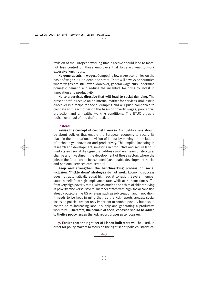revision of the European working time directive should lead to more, not less control on those employers that force workers to work excessive long hours.

**No general cuts in wages.** Competing low wage economies on the basis of wage cuts is a dead-end street. There will always be countries where wages are still lower. Moreover, general wage cuts undermine domestic demand and reduce the incentive for firms to invest in innovation and productivity.

**No to a services directive that will lead to social dumping.** The present draft directive on an internal market for services (Bolkestein directive) is a recipe for social dumping and will push companies to compete with each other on the basis of poverty wages, poor social protection and unhealthy working conditions. The ETUC urges a radical overhaul of this draft directive.

#### **Instead:**

**Revise the concept of competitiveness.** Competitiveness should be about policies that enable the European economy to secure its place in the international division of labour by moving up the ladder of technology, innovation and productivity. This implies investing in research and development, investing in productive and secure labour markets and social dialogue that address workers' fears of structural change and investing in the development of those sectors where the jobs of the future are to be expected (sustainable development, social and personal services care sectors).

**Keep and strengthen the benchmarking process on social inclusion. 'Trickle down' strategies do not work.** Economic success does not automatically equal high social cohesion. Several member states benefit from high employment rates while at the same time suffer from very high poverty rates, with as much as one third of children living in poverty. Vice versa, several member states with high social cohesion already outscore the US on areas such as job creation and innovation. It needs to be kept in mind that, as the Kok reports argues, social inclusion policies are not only important to combat poverty but also to contribute to increasing labour supply and generating a productive workforce'. **Therefore, the domain of social cohesion should be added to thefive policy issues the Kok report proposes to focus on.**

**7. Ensure that the right set of Lisbon indicators will be used.** In order for policy makers to focus on the right set of policies, statistical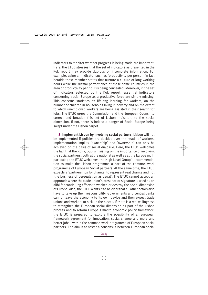indicators to monitor whether progress is being made are important. Here, the ETUC stresses that the set of indicators as presented in the Kok report may provide dubious or incomplete information. For example, using an indicator such as 'productivity per person' in fact heralds those member states that nurture a culture of long working hours while the dismal performance of these same countries in the area of productivity per hour is being concealed. Moreover, in the set of indicators selected by the Kok report, essential indicators concerning social Europe as a productive force are simply missing. This concerns statistics on lifelong learning for workers, on the number of children in households living in poverty and on the extent to which unemployed workers are being assisted in their search for jobs. The ETUC urges the Commission and the European Council to correct and broaden this set of Lisbon indicators to the social dimension. If not, there is indeed a danger of Social Europe being swept under the Lisbon carpet.

**8. Implement Lisbon by involving social partners.** Lisbon will not be implemented if policies are decided over the heads of workers. Implementation implies 'ownership' and 'ownership' can only be achieved on the basis of social dialogue. Here, the ETUC welcomes the fact that the Kok group is insisting on the importance of involving the social partners, both at the national as well as at the European. In particular, the ETUC welcomes the High Level Group's recommendation to make the Lisbon programme a part of the common work programme of European Social partners. At the same time, the ETUC expects a 'partnerships for change' to represent real change and not 'the business of deregulation as usual'. The ETUC cannot accept an approach where the trade union's presence or signature is used as an alibi for continuing efforts to weaken or destroy the social dimension of Europe. Also, the ETUC wants it to be clear that all other actors also have to take up their responsibility. Governments and central banks cannot leave the economy to its own device and then expect trade unions and workers to pick up the pieces. If there is a real willingness to strengthen the European social dimension as part of the Lisbon process and to reform Europe's macro economic policy framework, the ETUC is prepared to explore the possibility of a 'European framework agreement for innovation, social change and more and better jobs', within the common work programme of European social partners The aim is to foster a consensus between European social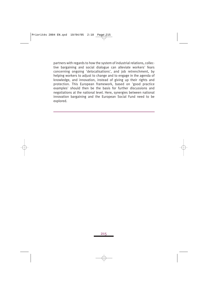partners with regards to how the system of industrial relations, collective bargaining and social dialogue can alleviate workers' fears concerning ongoing 'delocalisations', and job retrenchment, by helping workers to adjust to change and to engage in the agenda of knowledge, and innovation, instead of giving up their rights and protection. This European framework, based on 'good practice examples' should then be the basis for further discussions and negotiations at the national level. Here, synergies between national innovation bargaining and the European Social Fund need to be explored.